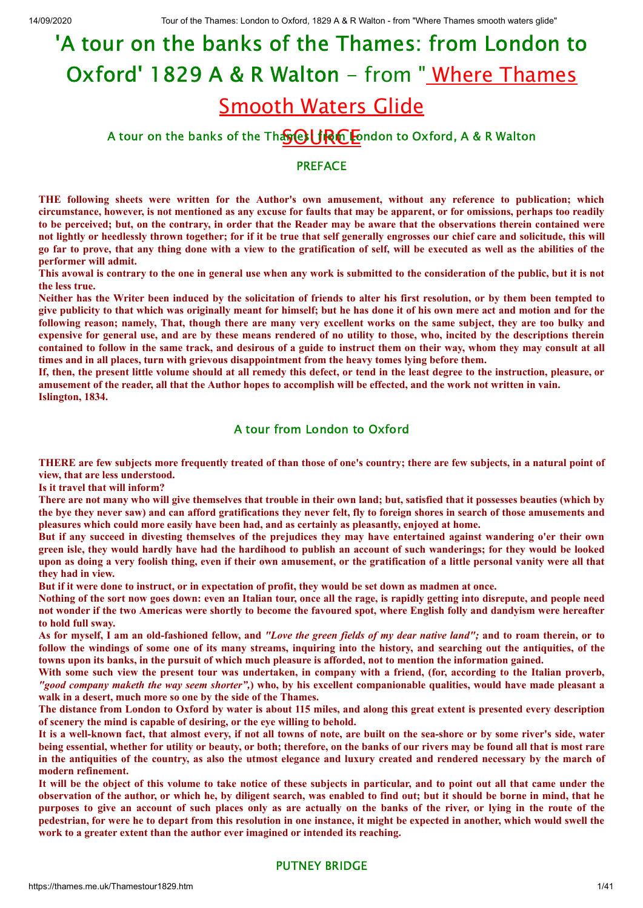# <u>Smooth Waters Glide</u> 'A tour on the banks of the Thames: from London to Oxford' 1829 A & R Walton - from "Where Thames

# A tour on the banks of the Thase  $\bigcup \mathbb{R} \cap$  and to Oxford, A & R Walton

#### PREFACE

**THE following sheets were written for the Author's own amusement, without any reference to publication; which** circumstance, however, is not mentioned as any excuse for faults that may be apparent, or for omissions, perhaps too readily to be perceived; but, on the contrary, in order that the Reader may be aware that the observations therein contained were not lightly or heedlessly thrown together; for if it be true that self generally engrosses our chief care and solicitude, this will go far to prove, that any thing done with a view to the gratification of self, will be executed as well as the abilities of the **performer will admit.**

This avowal is contrary to the one in general use when any work is submitted to the consideration of the public, but it is not **the less true.**

Neither has the Writer been induced by the solicitation of friends to alter his first resolution, or by them been tempted to give publicity to that which was originally meant for himself; but he has done it of his own mere act and motion and for the following reason; namely, That, though there are many very excellent works on the same subject, they are too bulky and expensive for general use, and are by these means rendered of no utility to those, who, incited by the descriptions therein contained to follow in the same track, and desirous of a guide to instruct them on their way, whom they may consult at all **times and in all places, turn with grievous disappointment from the heavy tomes lying before them.**

If, then, the present little volume should at all remedy this defect, or tend in the least degree to the instruction, pleasure, or amusement of the reader, all that the Author hopes to accomplish will be effected, and the work not written in vain. **Islington, 1834.**

# A tour from London to Oxford

THERE are few subjects more frequently treated of than those of one's country; there are few subjects, in a natural point of **view, that are less understood.**

**Is it travel that will inform?**

There are not many who will give themselves that trouble in their own land; but, satisfied that it possesses beauties (which by the bye they never saw) and can afford gratifications they never felt, fly to foreign shores in search of those amusements and **pleasures which could more easily have been had, and as certainly as pleasantly, enjoyed at home.**

But if any succeed in divesting themselves of the prejudices they may have entertained against wandering o'er their own green isle, they would hardly have had the hardihood to publish an account of such wanderings; for they would be looked upon as doing a very foolish thing, even if their own amusement, or the gratification of a little personal vanity were all that **they had in view.**

But if it were done to instruct, or in expectation of profit, they would be set down as madmen at once.

Nothing of the sort now goes down: even an Italian tour, once all the rage, is rapidly getting into disrepute, and people need not wonder if the two Americas were shortly to become the favoured spot, where English folly and dandyism were hereafter **to hold full sway.**

As for myself, I am an old-fashioned fellow, and "Love the green fields of my dear native land": and to roam therein, or to follow the windings of some one of its many streams, inquiring into the history, and searching out the antiquities, of the towns upon its banks, in the pursuit of which much pleasure is afforded, not to mention the information gained.

With some such view the present tour was undertaken, in company with a friend, (for, according to the Italian proverb, "good company maketh the way seem shorter",) who, by his excellent companionable qualities, would have made pleasant a **walk in a desert, much more so one by the side of the Thames.**

The distance from London to Oxford by water is about 115 miles, and along this great extent is presented every description **of scenery the mind is capable of desiring, or the eye willing to behold.**

It is a well-known fact, that almost every, if not all towns of note, are built on the sea-shore or by some river's side, water being essential, whether for utility or beauty, or both; therefore, on the banks of our rivers may be found all that is most rare in the antiquities of the country, as also the utmost elegance and luxury created and rendered necessary by the march of **modern refinement.**

It will be the object of this volume to take notice of these subjects in particular, and to point out all that came under the observation of the author, or which he, by diligent search, was enabled to find out; but it should be borne in mind, that he purposes to give an account of such places only as are actually on the banks of the river, or lying in the route of the pedestrian, for were he to depart from this resolution in one instance, it might be expected in another, which would swell the **work to a greater extent than the author ever imagined or intended its reaching.**

# PUTNEY BRIDGE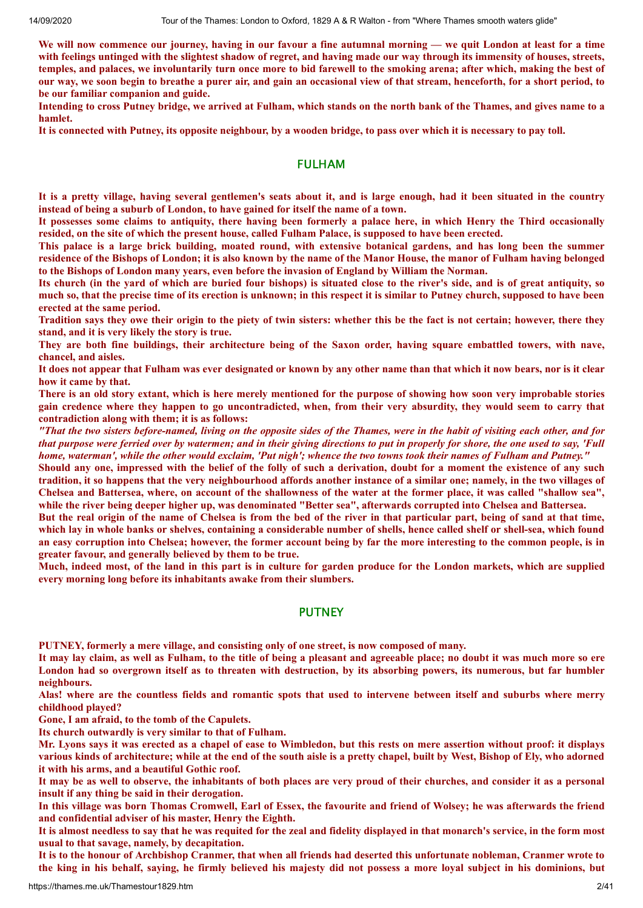We will now commence our journey, having in our favour a fine autumnal morning — we quit London at least for a time with feelings untinged with the slightest shadow of regret, and having made our way through its immensity of houses, streets, temples, and palaces, we involuntarily turn once more to bid farewell to the smoking arena; after which, making the best of our way, we soon begin to breathe a purer air, and gain an occasional view of that stream, henceforth, for a short period, to **be our familiar companion and guide.**

Intending to cross Putney bridge, we arrived at Fulham, which stands on the north bank of the Thames, and gives name to a **hamlet.**

It is connected with Putney, its opposite neighbour, by a wooden bridge, to pass over which it is necessary to pay toll.

#### FULHAM

It is a pretty village, having several gentlemen's seats about it, and is large enough, had it been situated in the country **instead of being a suburb of London, to have gained for itself the name of a town.**

It possesses some claims to antiquity, there having been formerly a palace here, in which Henry the Third occasionally resided, on the site of which the present house, called Fulham Palace, is supposed to have been erected.

This palace is a large brick building, moated round, with extensive botanical gardens, and has long been the summer residence of the Bishops of London; it is also known by the name of the Manor House, the manor of Fulham having belonged **to the Bishops of London many years, even before the invasion of England by William the Norman.**

Its church (in the vard of which are buried four bishops) is situated close to the river's side, and is of great antiquity, so much so, that the precise time of its erection is unknown; in this respect it is similar to Putney church, supposed to have been **erected at the same period.**

Tradition says they owe their origin to the piety of twin sisters: whether this be the fact is not certain; however, there they **stand, and it is very likely the story is true.**

They are both fine buildings, their architecture being of the Saxon order, having square embattled towers, with nave, **chancel, and aisles.**

It does not appear that Fulham was ever designated or known by any other name than that which it now bears, nor is it clear **how it came by that.**

There is an old story extant, which is here merely mentioned for the purpose of showing how soon very improbable stories gain credence where they happen to go uncontradicted, when, from their very absurdity, they would seem to carry that **contradiction along with them; it is as follows:**

"That the two sisters before-named, living on the opposite sides of the Thames, were in the habit of visiting each other, and for that purpose were ferried over by watermen; and in their giving directions to put in properly for shore, the one used to say, 'Full home, waterman', while the other would exclaim, 'Put nigh'; whence the two towns took their names of Fulham and Putney."

Should any one, impressed with the belief of the folly of such a derivation, doubt for a moment the existence of any such tradition, it so happens that the very neighbourhood affords another instance of a similar one; namely, in the two villages of Chelsea and Battersea, where, on account of the shallowness of the water at the former place, it was called "shallow sea", while the river being deeper higher up, was denominated "Better sea", afterwards corrupted into Chelsea and Battersea.

But the real origin of the name of Chelsea is from the bed of the river in that particular part, being of sand at that time, which lay in whole banks or shelves, containing a considerable number of shells, hence called shelf or shell-sea, which found an easy corruption into Chelsea; however, the former account being by far the more interesting to the common people, is in **greater favour, and generally believed by them to be true.**

Much, indeed most, of the land in this part is in culture for garden produce for the London markets, which are supplied **every morning long before its inhabitants awake from their slumbers.**

# PUTNEY

**PUTNEY, formerly a mere village, and consisting only of one street, is now composed of many.**

It may lay claim, as well as Fulham, to the title of being a pleasant and agreeable place; no doubt it was much more so ere London had so overgrown itself as to threaten with destruction, by its absorbing powers, its numerous, but far humbler **neighbours.**

Alas! where are the countless fields and romantic spots that used to intervene between itself and suburbs where merry **childhood played?**

**Gone, I am afraid, to the tomb of the Capulets.**

**Its church outwardly is very similar to that of Fulham.**

Mr. Lyons says it was erected as a chapel of ease to Wimbledon, but this rests on mere assertion without proof: it displays various kinds of architecture; while at the end of the south aisle is a pretty chapel, built by West, Bishop of Ely, who adorned **it with his arms, and a beautiful Gothic roof.**

It may be as well to observe, the inhabitants of both places are very proud of their churches, and consider it as a personal **insult if any thing be said in their derogation.**

In this village was born Thomas Cromwell, Earl of Essex, the favourite and friend of Wolsey; he was afterwards the friend **and confidential adviser of his master, Henry the Eighth.**

It is almost needless to say that he was requited for the zeal and fidelity displayed in that monarch's service, in the form most **usual to that savage, namely, by decapitation.**

It is to the honour of Archbishop Cranmer, that when all friends had deserted this unfortunate nobleman, Cranmer wrote to the king in his behalf, saying, he firmly believed his majesty did not possess a more loyal subject in his dominions, but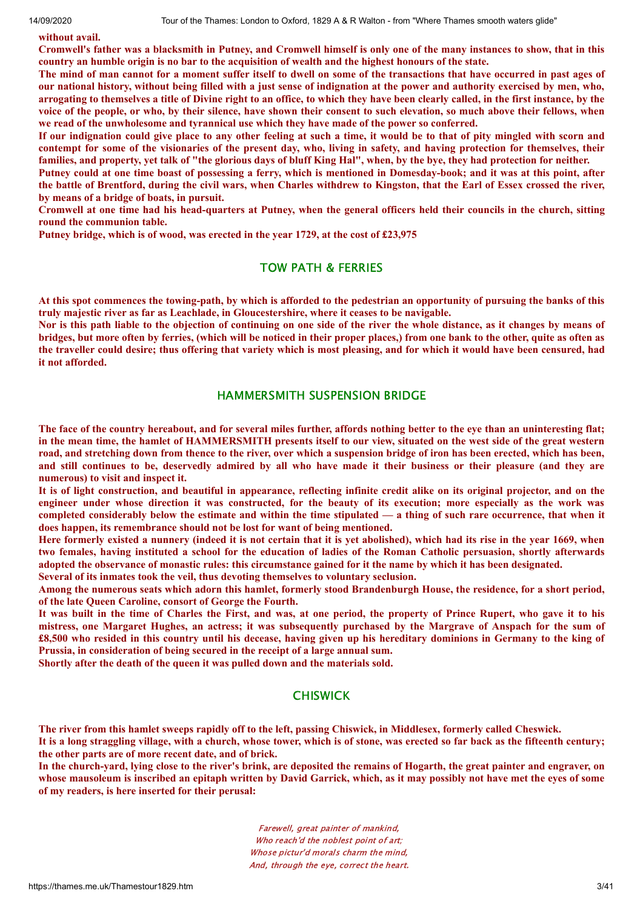#### **without avail.**

Cromwell's father was a blacksmith in Putney, and Cromwell himself is only one of the many instances to show, that in this country an humble origin is no bar to the acquisition of wealth and the highest honours of the state.

The mind of man cannot for a moment suffer itself to dwell on some of the transactions that have occurred in past ages of our national history, without being filled with a just sense of indignation at the power and authority exercised by men, who, arrogating to themselves a title of Divine right to an office, to which they have been clearly called, in the first instance, by the voice of the people, or who, by their silence, have shown their consent to such elevation, so much above their fellows, when **we read of the unwholesome and tyrannical use which they have made of the power so conferred.**

If our indignation could give place to any other feeling at such a time, it would be to that of pity mingled with scorn and contempt for some of the visionaries of the present day, who, living in safety, and having protection for themselves, their families, and property, yet talk of "the glorious days of bluff King Hal", when, by the bye, they had protection for neither.

Putney could at one time boast of possessing a ferry, which is mentioned in Domesday-book; and it was at this point, after the battle of Brentford, during the civil wars, when Charles withdrew to Kingston, that the Earl of Essex crossed the river. **by means of a bridge of boats, in pursuit.**

Cromwell at one time had his head-quarters at Putney, when the general officers held their councils in the church, sitting **round the communion table.**

**Putney bridge, which is of wood, was erected in the year 1729, at the cost of £23,975**

# TOW PATH & FERRIES

At this spot commences the towing-path, by which is afforded to the pedestrian an opportunity of pursuing the banks of this **truly majestic river as far as Leachlade, in Gloucestershire, where it ceases to be navigable.**

Nor is this path liable to the objection of continuing on one side of the river the whole distance, as it changes by means of bridges, but more often by ferries, (which will be noticed in their proper places,) from one bank to the other, quite as often as the traveller could desire; thus offering that variety which is most pleasing, and for which it would have been censured, had **it not afforded.**

# HAMMERSMITH SUSPENSION BRIDGE

The face of the country hereabout, and for several miles further, affords nothing better to the eye than an uninteresting flat; in the mean time, the hamlet of HAMMERSMITH presents itself to our view, situated on the west side of the great western road, and stretching down from thence to the river, over which a suspension bridge of iron has been erected, which has been, and still continues to be, deservedly admired by all who have made it their business or their pleasure (and they are **numerous) to visit and inspect it.**

It is of light construction, and beautiful in appearance, reflecting infinite credit alike on its original projector, and on the engineer under whose direction it was constructed, for the beauty of its execution; more especially as the work was completed considerably below the estimate and within the time stipulated — a thing of such rare occurrence, that when it **does happen, its remembrance should not be lost for want of being mentioned.**

Here formerly existed a nunnery (indeed it is not certain that it is yet abolished), which had its rise in the year 1669, when two females, having instituted a school for the education of ladies of the Roman Catholic persuasion, shortly afterwards adopted the observance of monastic rules: this circumstance gained for it the name by which it has been designated.

**Several of its inmates took the veil, thus devoting themselves to voluntary seclusion.**

Among the numerous seats which adorn this hamlet, formerly stood Brandenburgh House, the residence, for a short period, **of the late Queen Caroline, consort of George the Fourth.**

It was built in the time of Charles the First, and was, at one period, the property of Prince Rupert, who gave it to his mistress, one Margaret Hughes, an actress; it was subsequently purchased by the Margrave of Anspach for the sum of £8,500 who resided in this country until his decease, having given up his hereditary dominions in Germany to the king of **Prussia, in consideration of being secured in the receipt of a large annual sum.**

**Shortly after the death of the queen it was pulled down and the materials sold.**

#### CHISWICK

The river from this hamlet sweeps rapidly off to the left, passing Chiswick, in Middlesex, formerly called Cheswick.

It is a long straggling village, with a church, whose tower, which is of stone, was erected so far back as the fifteenth century; **the other parts are of more recent date, and of brick.**

In the church-yard, lying close to the river's brink, are deposited the remains of Hogarth, the great painter and engraver, on whose mausoleum is inscribed an epitaph written by David Garrick, which, as it may possibly not have met the eyes of some **of my readers, is here inserted for their perusal:**

> Farewell, great painter of mankind, Who reach'd the noblest point of art; Whose pictur'd morals charm the mind, And, through the eye, correct the heart.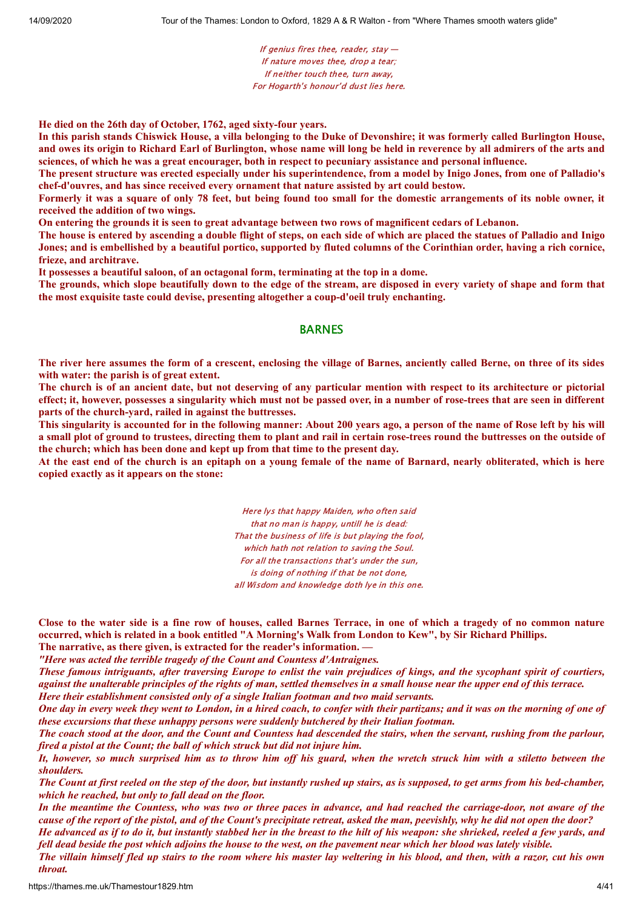If genius fires thee, reader, stay  $-$ If nature moves thee, drop a tear; If neither touch thee, turn away, For Hogarth's honour'd dust lies here.

**He died on the 26th day of October, 1762, aged sixty-four years.**

In this parish stands Chiswick House, a villa belonging to the Duke of Devonshire; it was formerly called Burlington House, and owes its origin to Richard Earl of Burlington, whose name will long be held in reverence by all admirers of the arts and sciences, of which he was a great encourager, both in respect to pecuniary assistance and personal influence.

The present structure was erected especially under his superintendence, from a model by Inigo Jones, from one of Palladio's **chef-d'ouvres, and has since received every ornament that nature assisted by art could bestow.**

Formerly it was a square of only 78 feet, but being found too small for the domestic arrangements of its noble owner, it **received the addition of two wings.**

On entering the grounds it is seen to great advantage between two rows of magnificent cedars of Lebanon.

The house is entered by ascending a double flight of steps, on each side of which are placed the statues of Palladio and Inigo Jones; and is embellished by a beautiful portico, supported by fluted columns of the Corinthian order, having a rich cornice, **frieze, and architrave.**

**It possesses a beautiful saloon, of an octagonal form, terminating at the top in a dome.**

The grounds, which slope beautifully down to the edge of the stream, are disposed in every variety of shape and form that **the most exquisite taste could devise, presenting altogether a coup-d'oeil truly enchanting.**

#### BARNES

The river here assumes the form of a crescent, enclosing the village of Barnes, anciently called Berne, on three of its sides **with water: the parish is of great extent.**

The church is of an ancient date, but not deserving of any particular mention with respect to its architecture or pictorial effect; it, however, possesses a singularity which must not be passed over, in a number of rose-trees that are seen in different **parts of the church-yard, railed in against the buttresses.**

This singularity is accounted for in the following manner: About 200 years ago, a person of the name of Rose left by his will a small plot of ground to trustees, directing them to plant and rail in certain rose-trees round the buttresses on the outside of **the church; which has been done and kept up from that time to the present day.**

At the east end of the church is an epitaph on a young female of the name of Barnard, nearly obliterated, which is here **copied exactly as it appears on the stone:**

> Here lys that happy Maiden, who often said that no man is happy, untill he is dead: That the business of life is but playing the fool, which hath not relation to saving the Soul. For all the transactions that's under the sun, is doing of nothing if that be not done, all Wisdom and knowledge doth lye in this one.

Close to the water side is a fine row of houses, called Barnes Terrace, in one of which a tragedy of no common nature occurred, which is related in a book entitled "A Morning's Walk from London to Kew", by Sir Richard Phillips.

**The narrative, as there given, is extracted for the reader's information. —**

*"Here was acted the terrible tragedy of the Count and Countess d'Antraignes.*

These famous intriguants, after traversing Europe to enlist the vain prejudices of kings, and the sycophant spirit of courtiers, against the unalterable principles of the rights of man, settled themselves in a small house near the upper end of this terrace. *Here their establishment consisted only of a single Italian footman and two maid servants.*

One day in every week they went to London, in a hired coach, to confer with their partizans; and it was on the morning of one of

*these excursions that these unhappy persons were suddenly butchered by their Italian footman.*

The coach stood at the door, and the Count and Countess had descended the stairs, when the servant, rushing from the parlour, *fired a pistol at the Count; the ball of which struck but did not injure him.*

It, however, so much surprised him as to throw him off his guard, when the wretch struck him with a stiletto between the *shoulders.*

The Count at first reeled on the step of the door, but instantly rushed up stairs, as is supposed, to get arms from his bed-chamber, *which he reached, but only to fall dead on the floor.*

In the meantime the Countess, who was two or three paces in advance, and had reached the carriage-door, not aware of the cause of the report of the pistol, and of the Count's precipitate retreat, asked the man, peevishly, why he did not open the door? He advanced as if to do it, but instantly stabbed her in the breast to the hilt of his weapon: she shrieked, reeled a few yards, and

fell dead beside the post which adjoins the house to the west, on the pavement near which her blood was lately visible.

The villain himself fled up stairs to the room where his master lay weltering in his blood, and then, with a razor, cut his own *throat.*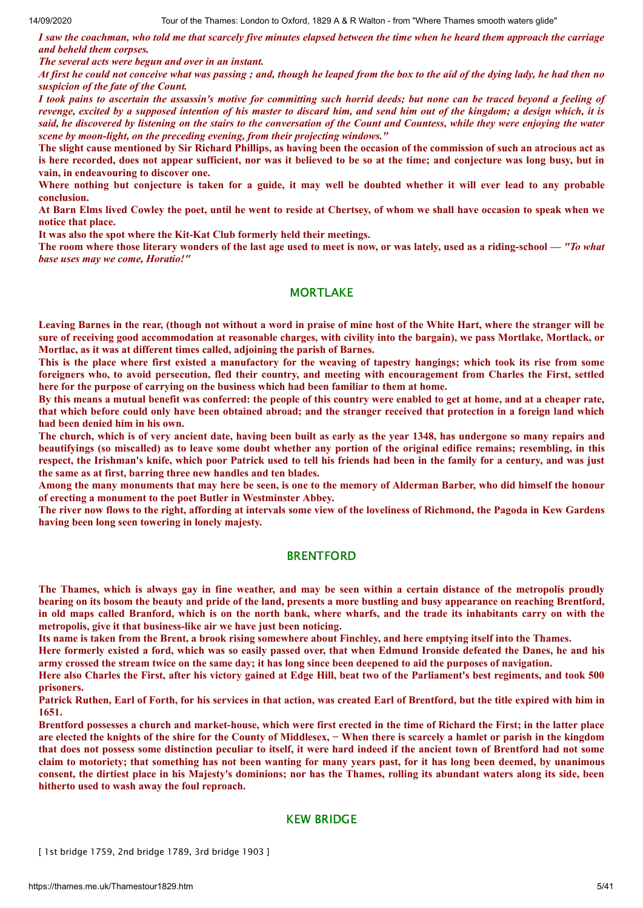I saw the coachman, who told me that scarcely five minutes elapsed between the time when he heard them approach the carriage *and beheld them corpses.*

*The several acts were begun and over in an instant.*

At first he could not conceive what was passing; and, though he leaped from the box to the aid of the dying lady, he had then no *suspicion of the fate of the Count.*

I took pains to ascertain the assassin's motive for committing such horrid deeds; but none can be traced beyond a feeling of revenge, excited by a supposed intention of his master to discard him, and send him out of the kingdom; a design which, it is said, he discovered by listening on the stairs to the conversation of the Count and Countess, while they were enjoying the water *scene by moon-light, on the preceding evening, from their projecting windows."*

The slight cause mentioned by Sir Richard Phillips, as having been the occasion of the commission of such an atrocious act as is here recorded, does not appear sufficient, nor was it believed to be so at the time; and conjecture was long busy, but in **vain, in endeavouring to discover one.**

Where nothing but conjecture is taken for a guide, it may well be doubted whether it will ever lead to any probable **conclusion.**

At Barn Elms lived Cowley the poet, until he went to reside at Chertsey, of whom we shall have occasion to speak when we **notice that place.**

**It was also the spot where the Kit-Kat Club formerly held their meetings.**

The room where those literary wonders of the last age used to meet is now, or was lately, used as a riding-school — "To what *base uses may we come, Horatio!"*

# **MORTLAKE**

Leaving Barnes in the rear, (though not without a word in praise of mine host of the White Hart, where the stranger will be sure of receiving good accommodation at reasonable charges, with civility into the bargain), we pass Mortlake, Mortlack, or **Mortlac, as it was at different times called, adjoining the parish of Barnes.**

This is the place where first existed a manufactory for the weaving of tapestry hangings; which took its rise from some foreigners who, to avoid persecution, fled their country, and meeting with encouragement from Charles the First, settled **here for the purpose of carrying on the business which had been familiar to them at home.**

By this means a mutual benefit was conferred: the people of this country were enabled to get at home, and at a cheaper rate, that which before could only have been obtained abroad; and the stranger received that protection in a foreign land which **had been denied him in his own.**

The church, which is of very ancient date, having been built as early as the year 1348, has undergone so many repairs and beautifyings (so miscalled) as to leave some doubt whether any portion of the original edifice remains; resembling, in this respect, the Irishman's knife, which poor Patrick used to tell his friends had been in the family for a century, and was just **the same as at first, barring three new handles and ten blades.**

Among the many monuments that may here be seen, is one to the memory of Alderman Barber, who did himself the honour **of erecting a monument to the poet Butler in Westminster Abbey.**

The river now flows to the right, affording at intervals some view of the loveliness of Richmond, the Pagoda in Kew Gardens **having been long seen towering in lonely majesty.**

#### **BRENTFORD**

The Thames, which is always gay in fine weather, and may be seen within a certain distance of the metropolis proudly bearing on its bosom the beauty and pride of the land, presents a more bustling and busy appearance on reaching Brentford, in old maps called Branford, which is on the north bank, where wharfs, and the trade its inhabitants carry on with the **metropolis, give it that business-like air we have just been noticing.**

Its name is taken from the Brent, a brook rising somewhere about Finchley, and here emptying itself into the Thames.

Here formerly existed a ford, which was so easily passed over, that when Edmund Ironside defeated the Danes, he and his army crossed the stream twice on the same day; it has long since been deepened to aid the purposes of navigation.

Here also Charles the First, after his victory gained at Edge Hill, beat two of the Parliament's best regiments, and took 500 **prisoners.**

Patrick Ruthen, Earl of Forth, for his services in that action, was created Earl of Brentford, but the title expired with him in **1651.**

Brentford possesses a church and market-house, which were first erected in the time of Richard the First; in the latter place are elected the knights of the shire for the County of Middlesex, - When there is scarcely a hamlet or parish in the kingdom that does not possess some distinction peculiar to itself, it were hard indeed if the ancient town of Brentford had not some claim to motoriety; that something has not been wanting for many years past, for it has long been deemed, by unanimous consent, the dirtiest place in his Majesty's dominions; nor has the Thames, rolling its abundant waters along its side, been **hitherto used to wash away the foul reproach.**

# KEW BRIDGE

[ 1st bridge 1759, 2nd bridge 1789, 3rd bridge 1903 ]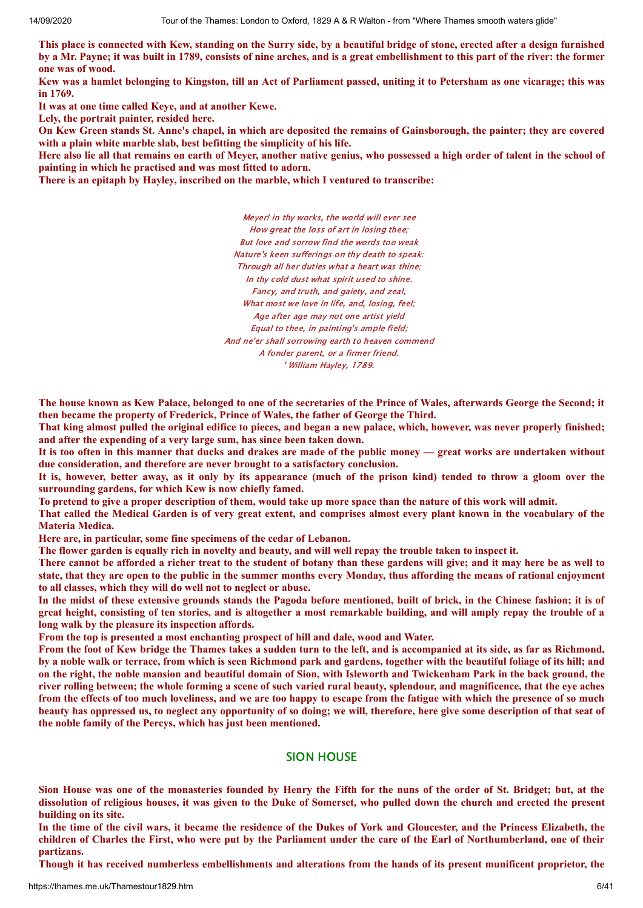This place is connected with Kew, standing on the Surry side, by a beautiful bridge of stone, erected after a design furnished by a Mr. Payne; it was built in 1789, consists of nine arches, and is a great embellishment to this part of the river: the former **one was of wood.**

Kew was a hamlet belonging to Kingston, till an Act of Parliament passed, uniting it to Petersham as one vicarage; this was **in 1769.**

**It was at one time called Keye, and at another Kewe.**

**Lely, the portrait painter, resided here.**

On Kew Green stands St. Anne's chapel, in which are deposited the remains of Gainsborough, the painter; they are covered **with a plain white marble slab, best befitting the simplicity of his life.**

Here also lie all that remains on earth of Meyer, another native genius, who possessed a high order of talent in the school of **painting in which he practised and was most fitted to adorn.**

**There is an epitaph by Hayley, inscribed on the marble, which I ventured to transcribe:**

Meyer! in thy works, the world will ever see How great the loss of art in losing thee; But love and sorrow find the words too weak Nature's keen sufferings on thy death to speak: Through all her duties what a heart was thine; In thy cold dust what spirit used to shine. Fancy, and truth, and gaiety, and zeal, What most we love in life, and, losing, feel; Age after age may not one artist yield Equal to thee, in painting's ample field; And ne'er shall sorrowing earth to heaven commend A fonder parent, or a firmer friend. ' William Hayley, 1789.

The house known as Kew Palace, belonged to one of the secretaries of the Prince of Wales, afterwards George the Second; it **then became the property of Frederick, Prince of Wales, the father of George the Third.**

That king almost pulled the original edifice to pieces, and began a new palace, which, however, was never properly finished; **and after the expending of a very large sum, has since been taken down.**

It is too often in this manner that ducks and drakes are made of the public money — great works are undertaken without **due consideration, and therefore are never brought to a satisfactory conclusion.**

It is, however, better away, as it only by its appearance (much of the prison kind) tended to throw a gloom over the **surrounding gardens, for which Kew is now chiefly famed.**

To pretend to give a proper description of them, would take up more space than the nature of this work will admit.

That called the Medical Garden is of very great extent, and comprises almost every plant known in the vocabulary of the **Materia Medica.**

**Here are, in particular, some fine specimens of the cedar of Lebanon.**

The flower garden is equally rich in novelty and beauty, and will well repay the trouble taken to inspect it.

There cannot be afforded a richer treat to the student of botany than these gardens will give; and it may here be as well to state, that they are open to the public in the summer months every Monday, thus affording the means of rational enjoyment **to all classes, which they will do well not to neglect or abuse.**

In the midst of these extensive grounds stands the Pagoda before mentioned, built of brick, in the Chinese fashion; it is of great height, consisting of ten stories, and is altogether a most remarkable building, and will amply repay the trouble of a **long walk by the pleasure its inspection affords.**

**From the top is presented a most enchanting prospect of hill and dale, wood and Water.**

From the foot of Kew bridge the Thames takes a sudden turn to the left, and is accompanied at its side, as far as Richmond, by a noble walk or terrace, from which is seen Richmond park and gardens, together with the beautiful foliage of its hill; and on the right, the noble mansion and beautiful domain of Sion, with Isleworth and Twickenham Park in the back ground, the river rolling between; the whole forming a scene of such varied rural beauty, splendour, and magnificence, that the eye aches from the effects of too much loveliness, and we are too happy to escape from the fatigue with which the presence of so much beauty has oppressed us, to neglect any opportunity of so doing; we will, therefore, here give some description of that seat of **the noble family of the Percys, which has just been mentioned.**

# SION HOUSE

Sion House was one of the monasteries founded by Henry the Fifth for the nuns of the order of St. Bridget: but, at the dissolution of religious houses, it was given to the Duke of Somerset, who pulled down the church and erected the present **building on its site.**

In the time of the civil wars, it became the residence of the Dukes of York and Gloucester, and the Princess Elizabeth, the children of Charles the First, who were put by the Parliament under the care of the Earl of Northumberland, one of their **partizans.**

Though it has received numberless embellishments and alterations from the hands of its present munificent proprietor, the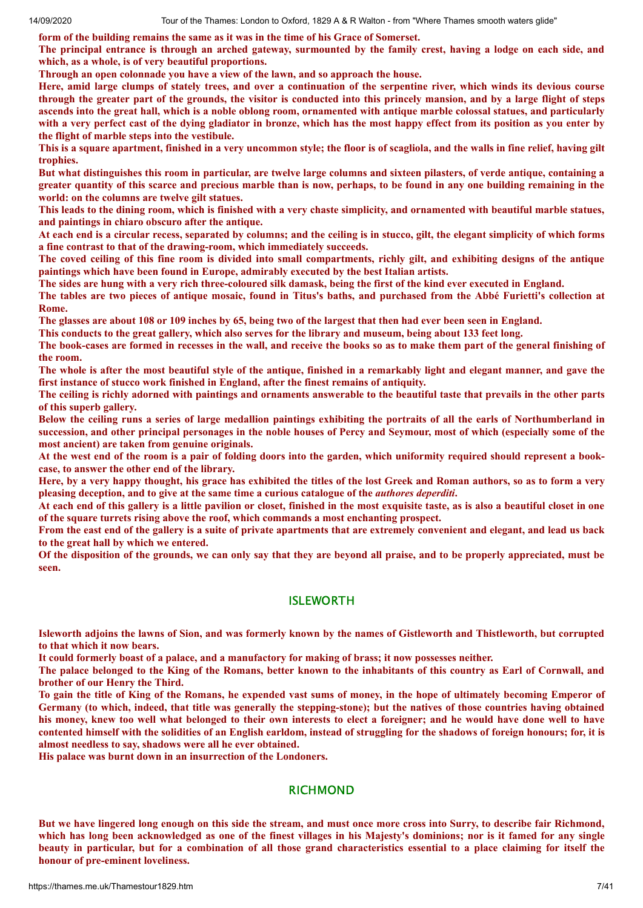**form of the building remains the same as it was in the time of his Grace of Somerset.**

The principal entrance is through an arched gateway, surmounted by the family crest, having a lodge on each side, and **which, as a whole, is of very beautiful proportions.**

**Through an open colonnade you have a view of the lawn, and so approach the house.**

Here, amid large clumps of stately trees, and over a continuation of the serpentine river, which winds its devious course through the greater part of the grounds, the visitor is conducted into this princely mansion, and by a large flight of steps ascends into the great hall, which is a noble oblong room, ornamented with antique marble colossal statues, and particularly with a very perfect cast of the dying gladiator in bronze, which has the most happy effect from its position as you enter by **the flight of marble steps into the vestibule.**

This is a square apartment, finished in a very uncommon style; the floor is of scagliola, and the walls in fine relief, having gilt **trophies.**

But what distinguishes this room in particular, are twelve large columns and sixteen pilasters, of verde antique, containing a greater quantity of this scarce and precious marble than is now, perhaps, to be found in any one building remaining in the **world: on the columns are twelve gilt statues.**

This leads to the dining room, which is finished with a very chaste simplicity, and ornamented with beautiful marble statues, **and paintings in chiaro obscuro after the antique.**

At each end is a circular recess, separated by columns; and the ceiling is in stucco, gilt, the elegant simplicity of which forms **a fine contrast to that of the drawing-room, which immediately succeeds.**

The coved ceiling of this fine room is divided into small compartments, richly gilt, and exhibiting designs of the antique **paintings which have been found in Europe, admirably executed by the best Italian artists.**

The sides are hung with a very rich three-coloured silk damask, being the first of the kind ever executed in England.

The tables are two pieces of antique mosaic, found in Titus's baths, and purchased from the Abbé Furietti's collection at **Rome.**

The glasses are about 108 or 109 inches by 65, being two of the largest that then had ever been seen in England.

This conducts to the great gallery, which also serves for the library and museum, being about 133 feet long.

The book-cases are formed in recesses in the wall, and receive the books so as to make them part of the general finishing of **the room.**

The whole is after the most beautiful style of the antique, finished in a remarkably light and elegant manner, and gave the **first instance of stucco work finished in England, after the finest remains of antiquity.**

The ceiling is richly adorned with paintings and ornaments answerable to the beautiful taste that prevails in the other parts **of this superb gallery.**

Below the ceiling runs a series of large medallion paintings exhibiting the portraits of all the earls of Northumberland in succession, and other principal personages in the noble houses of Percy and Seymour, most of which (especially some of the **most ancient) are taken from genuine originals.**

At the west end of the room is a pair of folding doors into the garden, which uniformity required should represent a book**case, to answer the other end of the library.**

Here, by a very happy thought, his grace has exhibited the titles of the lost Greek and Roman authors, so as to form a very **pleasing deception, and to give at the same time a curious catalogue of the** *authores deperditi***.**

At each end of this gallery is a little pavilion or closet, finished in the most exquisite taste, as is also a beautiful closet in one **of the square turrets rising above the roof, which commands a most enchanting prospect.**

From the east end of the gallery is a suite of private apartments that are extremely convenient and elegant, and lead us back **to the great hall by which we entered.**

Of the disposition of the grounds, we can only say that they are beyond all praise, and to be properly appreciated, must be **seen.**

# ISLEWORTH

Isleworth adjoins the lawns of Sion, and was formerly known by the names of Gistleworth and Thistleworth, but corrupted **to that which it now bears.**

It could formerly boast of a palace, and a manufactory for making of brass; it now possesses neither.

The palace belonged to the King of the Romans, better known to the inhabitants of this country as Earl of Cornwall, and **brother of our Henry the Third.**

To gain the title of King of the Romans, he expended vast sums of money, in the hope of ultimately becoming Emperor of Germany (to which, indeed, that title was generally the stepping-stone); but the natives of those countries having obtained his money, knew too well what belonged to their own interests to elect a foreigner; and he would have done well to have contented himself with the solidities of an English earldom, instead of struggling for the shadows of foreign honours; for, it is **almost needless to say, shadows were all he ever obtained.**

**His palace was burnt down in an insurrection of the Londoners.**

#### RICHMOND

But we have lingered long enough on this side the stream, and must once more cross into Surry, to describe fair Richmond, which has long been acknowledged as one of the finest villages in his Majesty's dominions; nor is it famed for any single beauty in particular, but for a combination of all those grand characteristics essential to a place claiming for itself the **honour of pre-eminent loveliness.**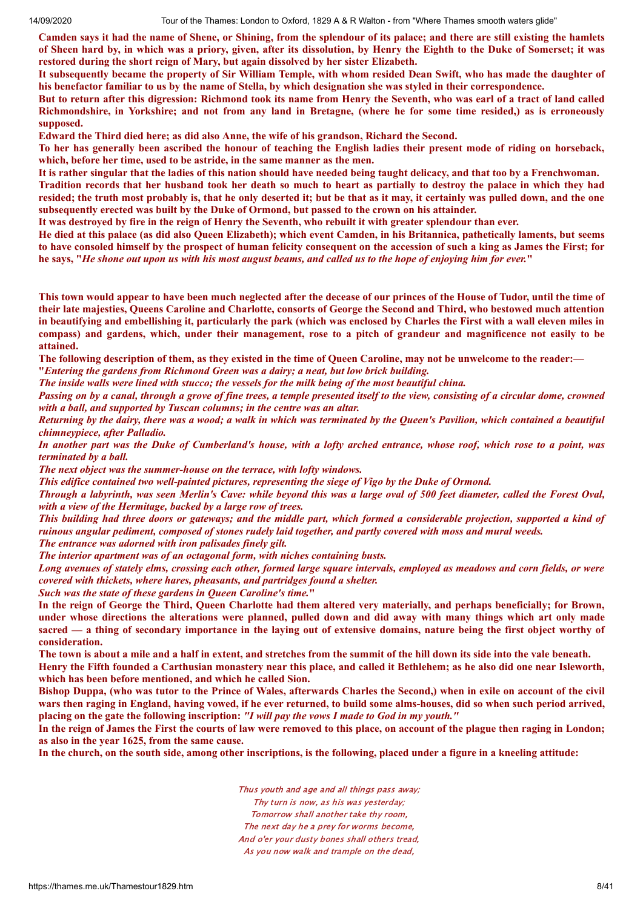Camden says it had the name of Shene, or Shining, from the splendour of its palace; and there are still existing the hamlets of Sheen hard by, in which was a priory, given, after its dissolution, by Henry the Eighth to the Duke of Somerset; it was **restored during the short reign of Mary, but again dissolved by her sister Elizabeth.**

It subsequently became the property of Sir William Temple, with whom resided Dean Swift, who has made the daughter of his benefactor familiar to us by the name of Stella, by which designation she was styled in their correspondence.

But to return after this digression: Richmond took its name from Henry the Seventh, who was earl of a tract of land called Richmondshire, in Yorkshire; and not from any land in Bretagne, (where he for some time resided,) as is erroneously **supposed.**

**Edward the Third died here; as did also Anne, the wife of his grandson, Richard the Second.**

To her has generally been ascribed the honour of teaching the English ladies their present mode of riding on horseback, **which, before her time, used to be astride, in the same manner as the men.**

It is rather singular that the ladies of this nation should have needed being taught delicacy, and that too by a Frenchwoman.

Tradition records that her husband took her death so much to heart as partially to destroy the palace in which they had resided; the truth most probably is, that he only deserted it; but be that as it may, it certainly was pulled down, and the one **subsequently erected was built by the Duke of Ormond, but passed to the crown on his attainder.**

It was destroyed by fire in the reign of Henry the Seventh, who rebuilt it with greater splendour than ever.

He died at this palace (as did also Queen Elizabeth); which event Camden, in his Britannica, pathetically laments, but seems to have consoled himself by the prospect of human felicity consequent on the accession of such a king as James the First; for he says, "He shone out upon us with his most august beams, and called us to the hope of enjoying him for ever."

This town would appear to have been much neglected after the decease of our princes of the House of Tudor, until the time of their late majesties, Queens Caroline and Charlotte, consorts of George the Second and Third, who bestowed much attention in beautifying and embellishing it, particularly the park (which was enclosed by Charles the First with a wall eleven miles in compass) and gardens, which, under their management, rose to a pitch of grandeur and magnificence not easily to be **attained.**

The following description of them, as they existed in the time of Queen Caroline, may not be unwelcome to the reader:-**"***Entering the gardens from Richmond Green was a dairy; a neat, but low brick building.*

The inside walls were lined with stucco; the vessels for the milk being of the most beautiful china.

Passing on by a canal, through a grove of fine trees, a temple presented itself to the view, consisting of a circular dome, crowned *with a ball, and supported by Tuscan columns; in the centre was an altar.*

Returning by the dairy, there was a wood; a walk in which was terminated by the Oueen's Pavilion, which contained a beautiful *chimneypiece, after Palladio.*

In another part was the Duke of Cumberland's house, with a lofty arched entrance, whose roof, which rose to a point, was *terminated by a ball.*

*The next object was the summer-house on the terrace, with lofty windows.*

*This edifice contained two well-painted pictures, representing the siege of Vigo by the Duke of Ormond.*

Through a labyrinth, was seen Merlin's Cave; while bevond this was a large oval of 500 feet diameter, called the Forest Oval, *with a view of the Hermitage, backed by a large row of trees.*

This building had three doors or gateways; and the middle part, which formed a considerable projection, supported a kind of ruinous angular pediment, composed of stones rudely laid together, and partly covered with moss and mural weeds.

*The entrance was adorned with iron palisades finely gilt.*

*The interior apartment was of an octagonal form, with niches containing busts.*

Long avenues of stately elms, crossing each other, formed large square intervals, employed as meadows and corn fields, or were *covered with thickets, where hares, pheasants, and partridges found a shelter.*

*Such was the state of these gardens in Queen Caroline's time.***"**

In the reign of George the Third, Queen Charlotte had them altered very materially, and perhaps beneficially; for Brown, under whose directions the alterations were planned, pulled down and did away with many things which art only made sacred — a thing of secondary importance in the laying out of extensive domains, nature being the first object worthy of **consideration.**

The town is about a mile and a half in extent, and stretches from the summit of the hill down its side into the vale beneath. Henry the Fifth founded a Carthusian monastery near this place, and called it Bethlehem; as he also did one near Isleworth, **which has been before mentioned, and which he called Sion.**

Bishop Duppa, (who was tutor to the Prince of Wales, afterwards Charles the Second,) when in exile on account of the civil wars then raging in England, having vowed, if he ever returned, to build some alms-houses, did so when such period arrived, placing on the gate the following inscription: "I will pay the vows I made to God in my youth."

In the reign of James the First the courts of law were removed to this place, on account of the plague then raging in London; **as also in the year 1625, from the same cause.**

In the church, on the south side, among other inscriptions, is the following, placed under a figure in a kneeling attitude:

Thus youth and age and all things pass away; Thy turn is now, as his was yesterday; Tomorrow shall another take thy room, The next day he a prey for worms become, And o'er your dusty bones shall others tread, As you now walk and trample on the dead,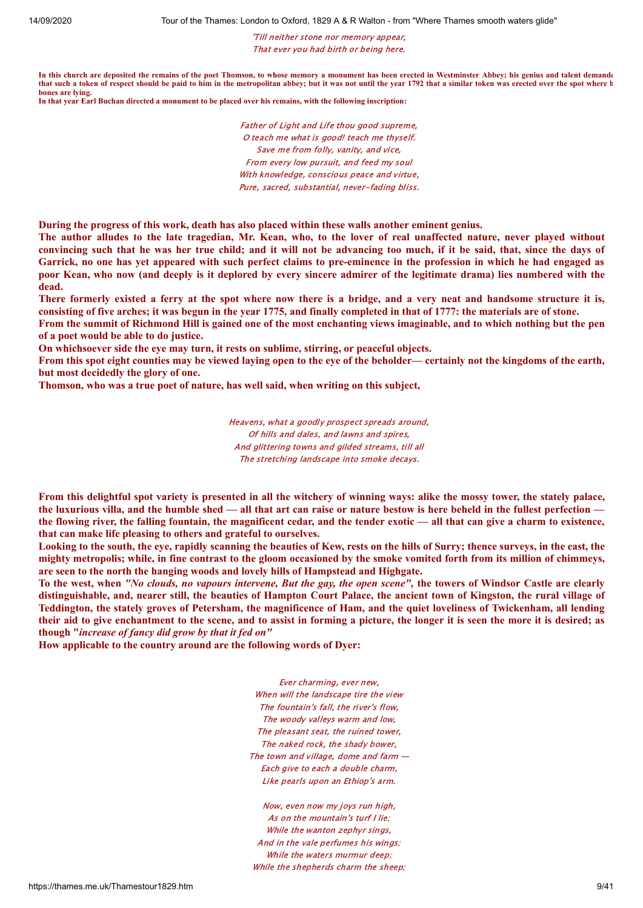'Till neither stone nor memory appear, That ever you had birth or being here.

**In this church are deposited the remains of the poet Thomson, to whose memory a monument has been erected in Westminster Abbey; his genius and talent demande that such a token of respect should be paid to him in the metropolitan abbey; but it was not until the year 1792 that a similar token was erected over the spot where h bones are lying.**

**In that year Earl Buchan directed a monument to be placed over his remains, with the following inscription:**

Father of Light and Life thou good supreme, O teach me what is good! teach me thyself. Save me from folly, vanity, and vice, From every low pursuit, and feed my soul With knowledge, conscious peace and virtue, Pure, sacred, substantial, never-fading bliss.

**During the progress of this work, death has also placed within these walls another eminent genius.**

The author alludes to the late tragedian, Mr. Kean, who, to the lover of real unaffected nature, never played without convincing such that he was her true child; and it will not be advancing too much, if it be said, that, since the days of Garrick, no one has vet appeared with such perfect claims to pre-eminence in the profession in which he had engaged as poor Kean, who now (and deeply is it deplored by every sincere admirer of the legitimate drama) lies numbered with the **dead.**

There formerly existed a ferry at the spot where now there is a bridge, and a very neat and handsome structure it is, consisting of five arches; it was begun in the year 1775, and finally completed in that of 1777; the materials are of stone.

From the summit of Richmond Hill is gained one of the most enchanting views imaginable, and to which nothing but the pen **of a poet would be able to do justice.**

**On whichsoever side the eye may turn, it rests on sublime, stirring, or peaceful objects.**

From this spot eight counties may be viewed laying open to the eve of the beholder—certainly not the kingdoms of the earth, **but most decidedly the glory of one.**

**Thomson, who was a true poet of nature, has well said, when writing on this subject,**

Heavens, what a goodly prospect spreads around, Of hills and dales, and lawns and spires, And glittering towns and gilded streams, till all The stretching landscape into smoke decays.

From this delightful spot variety is presented in all the witchery of winning ways: alike the mossy tower, the stately palace, the luxurious villa, and the humble shed — all that art can raise or nature bestow is here beheld in the fullest perfection the flowing river, the falling fountain, the magnificent cedar, and the tender exotic — all that can give a charm to existence, **that can make life pleasing to others and grateful to ourselves.**

Looking to the south, the eye, rapidly scanning the beauties of Kew, rests on the hills of Surry; thence surveys, in the east, the mighty metropolis; while, in fine contrast to the gloom occasioned by the smoke vomited forth from its million of chimmeys, **are seen to the north the hanging woods and lovely hills of Hampstead and Highgate.**

To the west, when "No clouds, no vapours intervene, But the gay, the open scene", the towers of Windsor Castle are clearly distinguishable, and, nearer still, the beauties of Hampton Court Palace, the ancient town of Kingston, the rural village of Teddington, the stately groves of Petersham, the magnificence of Ham, and the quiet loveliness of Twickenham, all lending their aid to give enchantment to the scene, and to assist in forming a picture, the longer it is seen the more it is desired; as **though "***increase of fancy did grow by that it fed on"*

**How applicable to the country around are the following words of Dyer:**

Ever charming, ever new, When will the landscape tire the view The fountain's fall, the river's flow, The woody valleys warm and low, The pleasant seat, the ruined tower, The naked rock, the shady bower, The town and village, dome and farm  $-$ Each give to each a double charm, Like pearls upon an Ethiop's arm.

Now, even now my joys run high, As on the mountain's turf I lie; While the wanton zephyr sings, And in the vale perfumes his wings; While the waters murmur deep; While the shepherds charm the sheep;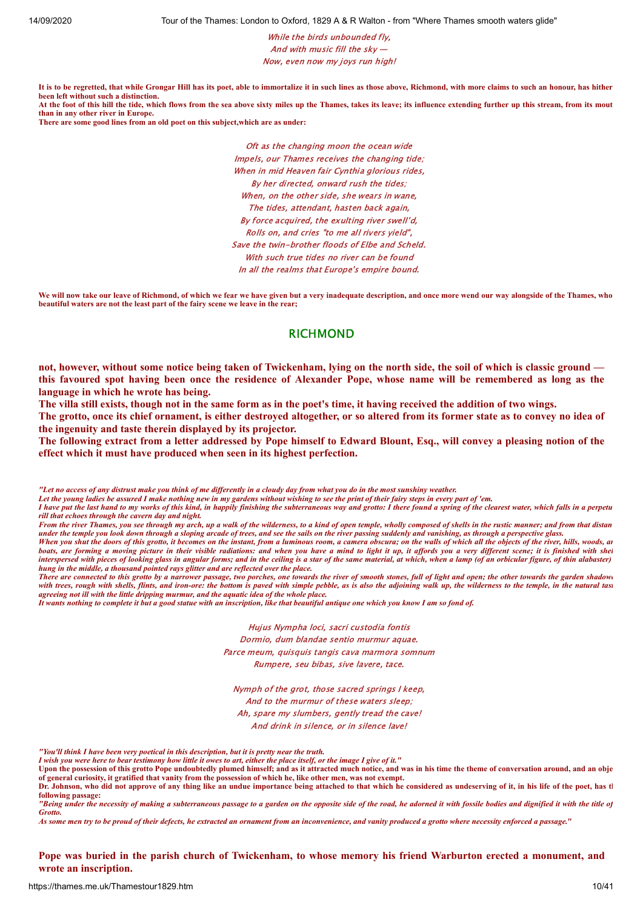While the birds unbounded fly. And with music fill the sky — Now, even now my joys run high!

**It is to be regretted, that while Grongar Hill has its poet, able to immortalize it in such lines as those above, Richmond, with more claims to such an honour, has hither been left without such a distinction. At the foot of this hill the tide, which flows from the sea above sixty miles up the Thames, takes its leave; its influence extending further up this stream, from its mout than in any other river in Europe.**

**There are some good lines from an old poet on this subject,which are as under:**

Oft as the changing moon the ocean wide Impels, our Thames receives the changing tide; When in mid Heaven fair Cynthia glorious rides, By her directed, onward rush the tides; When, on the other side, she wears in wane, The tides, attendant, hasten back again, By force acquired, the exulting river swell'd, Rolls on, and cries "to me all rivers yield", Save the twin-brother floods of Elbe and Scheld. With such true tides no river can be found In all the realms that Europe's empire bound.

**We will now take our leave of Richmond, of which we fear we have given but a very inadequate description, and once more wend our way alongside of the Thames, who beautiful waters are not the least part of the fairy scene we leave in the rear;**

#### RICHMOND

not, however, without some notice being taken of Twickenham, lying on the north side, the soil of which is classic ground this favoured spot having been once the residence of Alexander Pope, whose name will be remembered as long as the **language in which he wrote has being.**

The villa still exists, though not in the same form as in the poet's time, it having received the addition of two wings.

The grotto, once its chief ornament, is either destroyed altogether, or so altered from its former state as to convey no idea of **the ingenuity and taste therein displayed by its projector.**

The following extract from a letter addressed by Pope himself to Edward Blount, Esq., will convey a pleasing notion of the **effect which it must have produced when seen in its highest perfection.**

*"Let no access of any distrust make you think of me differently in a cloudy day from what you do in the most sunshiny weather.*

*Let the young ladies be assured I make nothing new in my gardens without wishing to see the print of their fairy steps in every part of 'em.*

*I have put the last hand to my works of this kind, in happily finishing the subterraneous way and grotto: I there found a spring of the clearest water, which falls in a perpetu rill that echoes through the cavern day and night.*

When you shut the doors of this grotto, it becomes on the instant, from a luminous room, a camera obscura; on the walls of which all the objects of the river, hills, woods, an *boats, are forming a moving picture in their visible radiations: and when you have a mind to light it up, it affords you a very different scene; it is finished with shel interspersed with pieces of looking glass in angular forms; and in the ceiling is a star of the same material, at which, when a lamp (of an orbicular figure, of thin alabaster) hung in the middle, a thousand pointed rays glitter and are reflected over the place.*

*There are connected to this grotto by a narrower passage, two porches, one towards the river of smooth stones, full of light and open; the other towards the garden shadowe* with trees, rough with shells, flints, and iron-ore: the bottom is paved with simple pebble, as is also the adjoining walk up, the wilderness to the temple, in the natural tast *agreeing not ill with the little dripping murmur, and the aquatic idea of the whole place.*

*It wants nothing to complete it but a good statue with an inscription, like that beautiful antique one which you know I am so fond of.*

Hujus Nympha loci, sacri custodia fontis Dormio, dum blandae sentio murmur aquae. Parce meum, quisquis tangis cava marmora somnum Rumpere, seu bibas, sive lavere, tace.

Nymph of the grot, those sacred springs I keep, And to the murmur of these waters sleep; Ah, spare my slumbers, gently tread the cave! And drink in silence, or in silence lave!

*"You'll think I have been very poetical in this description, but it is pretty near the truth.*

*I wish you were here to bear testimony how little it owes to art, either the place itself, or the image I give of it."*

**Upon the possession of this grotto Pope undoubtedly plumed himself; and as it attracted much notice, and was in his time the theme of conversation around, and an obje of general curiosity, it gratified that vanity from the possession of which he, like other men, was not exempt. Dr. Johnson, who did not approve of any thing like an undue importance being attached to that which he considered as undeserving of it, in his life of the poet, has th**

**following passage:** *"Being under the necessity of making a subterraneous passage to a garden on the opposite side of the road, he adorned it with fossile bodies and dignified it with the title of Grotto.*

*As some men try to be proud of their defects, he extracted an ornament from an inconvenience, and vanity produced a grotto where necessity enforced a passage.***"**

Pope was buried in the parish church of Twickenham, to whose memory his friend Warburton erected a monument, and **wrote an inscription.**

From the river Thames, you see through my arch, up a walk of the wilderness, to a kind of open temple, wholly composed of shells in the rustic manner; and from that distan *under the temple you look down through a sloping arcade of trees, and see the sails on the river passing suddenly and vanishing, as through a perspective glass.*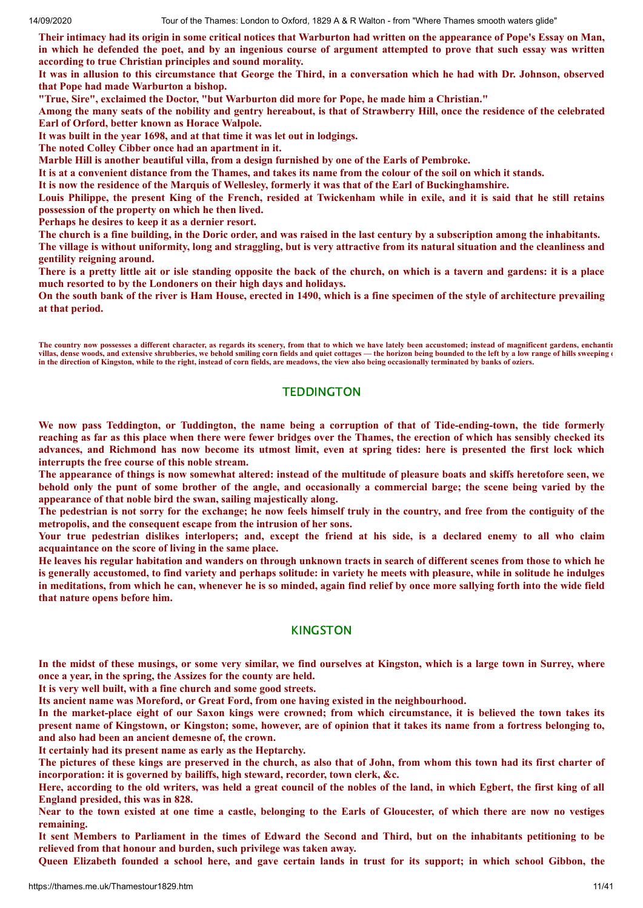Their intimacy had its origin in some critical notices that Warburton had written on the appearance of Pope's Essay on Man, in which he defended the poet, and by an ingenious course of argument attempted to prove that such essay was written **according to true Christian principles and sound morality.**

It was in allusion to this circumstance that George the Third, in a conversation which he had with Dr. Johnson, observed **that Pope had made Warburton a bishop.**

**"True, Sire", exclaimed the Doctor, "but Warburton did more for Pope, he made him a Christian."**

Among the many seats of the nobility and gentry hereabout, is that of Strawberry Hill, once the residence of the celebrated **Earl of Orford, better known as Horace Walpole.**

**It was built in the year 1698, and at that time it was let out in lodgings.**

**The noted Colley Cibber once had an apartment in it.**

**Marble Hill is another beautiful villa, from a design furnished by one of the Earls of Pembroke.**

It is at a convenient distance from the Thames, and takes its name from the colour of the soil on which it stands.

It is now the residence of the Marquis of Wellesley, formerly it was that of the Earl of Buckinghamshire.

Louis Philippe, the present King of the French, resided at Twickenham while in exile, and it is said that he still retains **possession of the property on which he then lived.**

**Perhaps he desires to keep it as a dernier resort.**

The church is a fine building, in the Doric order, and was raised in the last century by a subscription among the inhabitants. The village is without uniformity, long and straggling, but is very attractive from its natural situation and the cleanliness and **gentility reigning around.**

There is a pretty little ait or isle standing opposite the back of the church, on which is a tavern and gardens: it is a place **much resorted to by the Londoners on their high days and holidays.**

On the south bank of the river is Ham House, erected in 1490, which is a fine specimen of the style of architecture prevailing **at that period.**

The country now possesses a different character, as regards its scenery, from that to which we have lately been accustomed; instead of magnificent gardens, enchantin **villas, dense woods, and extensive shrubberies, we behold smiling corn fields and quiet cottages — the horizon being bounded to the left by a low range of hills sweeping o in the direction of Kingston, while to the right, instead of corn fields, are meadows, the view also being occasionally terminated by banks of oziers.**

# **TEDDINGTON**

We now pass Teddington, or Tuddington, the name being a corruption of that of Tide-ending-town, the tide formerly reaching as far as this place when there were fewer bridges over the Thames, the erection of which has sensibly checked its advances, and Richmond has now become its utmost limit, even at spring tides: here is presented the first lock which **interrupts the free course of this noble stream.**

The appearance of things is now somewhat altered: instead of the multitude of pleasure boats and skiffs heretofore seen, we behold only the punt of some brother of the angle, and occasionally a commercial barge; the scene being varied by the **appearance of that noble bird the swan, sailing majestically along.**

The pedestrian is not sorry for the exchange; he now feels himself truly in the country, and free from the contiguity of the **metropolis, and the consequent escape from the intrusion of her sons.**

Your true pedestrian dislikes interlopers; and, except the friend at his side, is a declared enemy to all who claim **acquaintance on the score of living in the same place.**

He leaves his regular habitation and wanders on through unknown tracts in search of different scenes from those to which he is generally accustomed, to find variety and perhaps solitude: in variety he meets with pleasure, while in solitude he indulges in meditations, from which he can, whenever he is so minded, again find relief by once more sallying forth into the wide field **that nature opens before him.**

# KINGSTON

In the midst of these musings, or some very similar, we find ourselves at Kingston, which is a large town in Surrey, where **once a year, in the spring, the Assizes for the county are held.**

**It is very well built, with a fine church and some good streets.**

**Its ancient name was Moreford, or Great Ford, from one having existed in the neighbourhood.**

In the market-place eight of our Saxon kings were crowned; from which circumstance, it is believed the town takes its present name of Kingstown, or Kingston; some, however, are of opinion that it takes its name from a fortress belonging to, **and also had been an ancient demesne of, the crown.**

**It certainly had its present name as early as the Heptarchy.**

The pictures of these kings are preserved in the church, as also that of John, from whom this town had its first charter of **incorporation: it is governed by bailiffs, high steward, recorder, town clerk, &c.**

Here, according to the old writers, was held a great council of the nobles of the land, in which Egbert, the first king of all **England presided, this was in 828.**

Near to the town existed at one time a castle, belonging to the Earls of Gloucester, of which there are now no vestiges **remaining.**

It sent Members to Parliament in the times of Edward the Second and Third, but on the inhabitants petitioning to be **relieved from that honour and burden, such privilege was taken away.**

Queen Elizabeth founded a school here, and gave certain lands in trust for its support; in which school Gibbon, the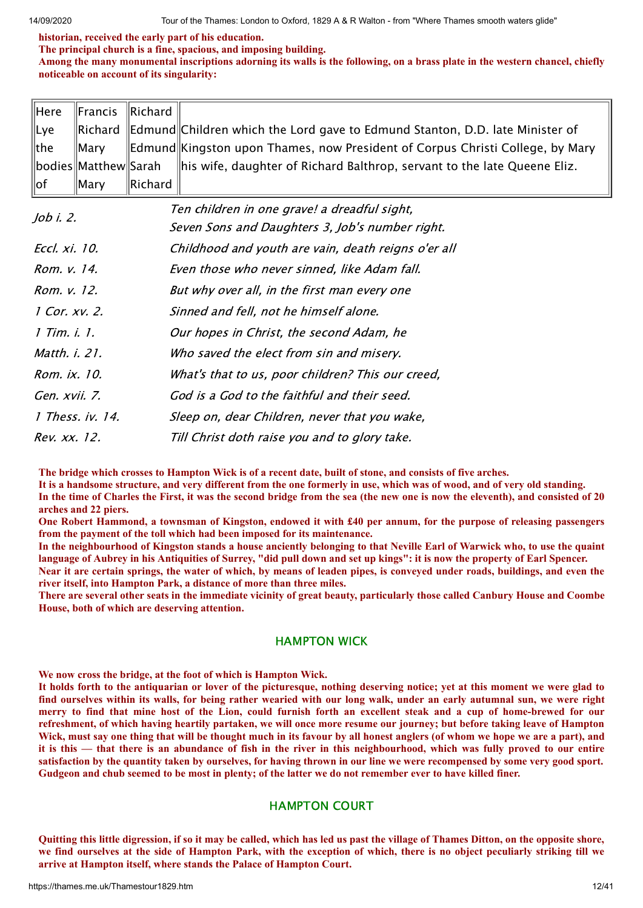**historian, received the early part of his education.**

**The principal church is a fine, spacious, and imposing building.**

Among the many monumental inscriptions adorning its walls is the following, on a brass plate in the western chancel, chiefly **noticeable on account of its singularity:**

|                 | $\parallel$ Here $\parallel$ Francis $\parallel$ Richard $\parallel$ |                   |                                                                                                                            |
|-----------------|----------------------------------------------------------------------|-------------------|----------------------------------------------------------------------------------------------------------------------------|
| ∥Lye            |                                                                      |                   | Richard Edmund Children which the Lord gave to Edmund Stanton, D.D. late Minister of                                       |
| $\parallel$ the |                                                                      |                   | Mary       Edmund   Kingston upon Thames, now President of Corpus Christi College, by Mary                                 |
|                 |                                                                      |                   | $\ $ bodies $\ $ Matthew $\ $ Sarah $\;\;\;$ $\ $ his wife, daughter of Richard Balthrop, servant to the late Queene Eliz. |
| $\parallel$ of  | $\parallel$ Mary                                                     | $\ $ Richard $\ $ |                                                                                                                            |

| Job i. 2.            | Ten children in one grave! a dreadful sight,<br>Seven Sons and Daughters 3, Job's number right. |
|----------------------|-------------------------------------------------------------------------------------------------|
| Eccl. xi. 10.        | Childhood and youth are vain, death reigns o'er all                                             |
| Rom. v. 14.          | Even those who never sinned, like Adam fall.                                                    |
| Rom. v. 12.          | But why over all, in the first man every one                                                    |
| 1 Cor. xv. 2.        | Sinned and fell, not he himself alone.                                                          |
| 1 Tim. i. 1.         | Our hopes in Christ, the second Adam, he                                                        |
| Matth. <i>i.</i> 21. | Who saved the elect from sin and misery.                                                        |
| Rom. ix. 10.         | What's that to us, poor children? This our creed,                                               |
| Gen. xvii. 7.        | God is a God to the faithful and their seed.                                                    |
| 1 Thess. iv. 14.     | Sleep on, dear Children, never that you wake,                                                   |
| Rev. xx. 12.         | Till Christ doth raise you and to glory take.                                                   |

The bridge which crosses to Hampton Wick is of a recent date, built of stone, and consists of five arches.

It is a handsome structure, and very different from the one formerly in use, which was of wood, and of very old standing. In the time of Charles the First, it was the second bridge from the sea (the new one is now the eleventh), and consisted of 20 **arches and 22 piers.**

One Robert Hammond, a townsman of Kingston, endowed it with £40 per annum, for the purpose of releasing passengers **from the payment of the toll which had been imposed for its maintenance.**

In the neighbourhood of Kingston stands a house anciently belonging to that Neville Earl of Warwick who, to use the quaint language of Aubrey in his Antiquities of Surrey, "did pull down and set up kings": it is now the property of Earl Spencer.

Near it are certain springs, the water of which, by means of leaden pipes, is conveyed under roads, buildings, and even the **river itself, into Hampton Park, a distance of more than three miles.**

There are several other seats in the immediate vicinity of great beauty, particularly those called Canbury House and Coombe **House, both of which are deserving attention.**

# HAMPTON WICK

**We now cross the bridge, at the foot of which is Hampton Wick.**

It holds forth to the antiquarian or lover of the picturesque, nothing deserving notice; yet at this moment we were glad to find ourselves within its walls, for being rather wearied with our long walk, under an early autumnal sun, we were right merry to find that mine host of the Lion, could furnish forth an excellent steak and a cup of home-brewed for our refreshment, of which having heartily partaken, we will once more resume our journey; but before taking leave of Hampton Wick, must say one thing that will be thought much in its favour by all honest anglers (of whom we hope we are a part), and it is this — that there is an abundance of fish in the river in this neighbourhood, which was fully proved to our entire satisfaction by the quantity taken by ourselves, for having thrown in our line we were recompensed by some very good sport. Gudgeon and chub seemed to be most in plenty; of the latter we do not remember ever to have killed finer.

# HAMPTON COURT

Quitting this little digression, if so it may be called, which has led us past the village of Thames Ditton, on the opposite shore, we find ourselves at the side of Hampton Park, with the exception of which, there is no object peculiarly striking till we **arrive at Hampton itself, where stands the Palace of Hampton Court.**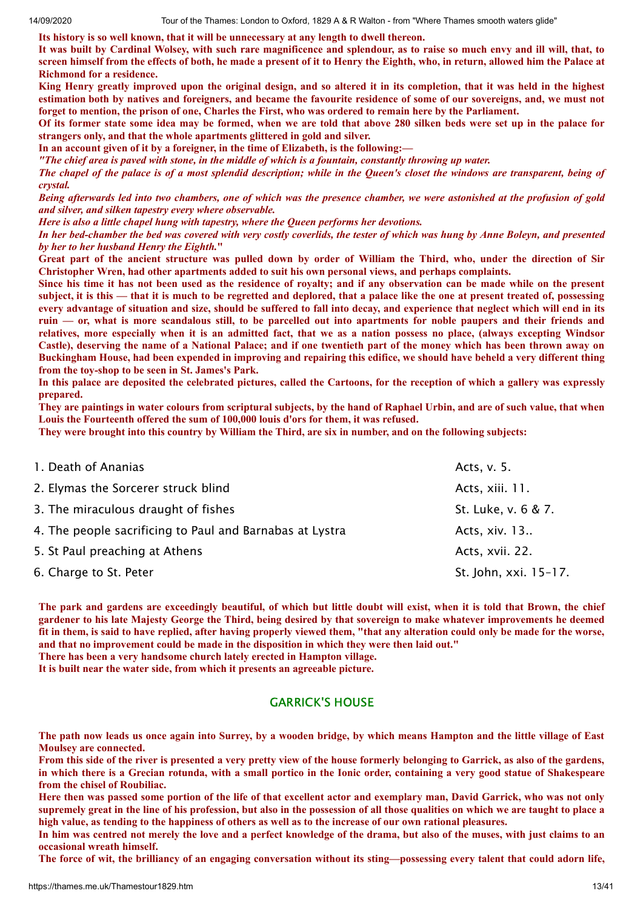**Its history is so well known, that it will be unnecessary at any length to dwell thereon.**

It was built by Cardinal Wolsey, with such rare magnificence and splendour, as to raise so much envy and ill will, that, to screen himself from the effects of both, he made a present of it to Henry the Eighth, who, in return, allowed him the Palace at **Richmond for a residence.**

King Henry greatly improved upon the original design, and so altered it in its completion, that it was held in the highest estimation both by natives and foreigners, and became the favourite residence of some of our sovereigns, and, we must not forget to mention, the prison of one, Charles the First, who was ordered to remain here by the Parliament.

Of its former state some idea may be formed, when we are told that above 280 silken beds were set up in the palace for **strangers only, and that the whole apartments glittered in gold and silver.**

**In an account given of it by a foreigner, in the time of Elizabeth, is the following:—**

"The chief area is paved with stone, in the middle of which is a fountain, constantly throwing up water.

The chapel of the palace is of a most splendid description; while in the Queen's closet the windows are transparent, being of *crystal.*

Being afterwards led into two chambers, one of which was the presence chamber, we were astonished at the profusion of gold *and silver, and silken tapestry every where observable.*

*Here is also a little chapel hung with tapestry, where the Queen performs her devotions.*

In her bed-chamber the bed was covered with very costly coverlids, the tester of which was hung by Anne Boleyn, and presented *by her to her husband Henry the Eighth.***"**

Great part of the ancient structure was pulled down by order of William the Third, who, under the direction of Sir **Christopher Wren, had other apartments added to suit his own personal views, and perhaps complaints.**

Since his time it has not been used as the residence of royalty; and if any observation can be made while on the present subject, it is this — that it is much to be regretted and deplored, that a palace like the one at present treated of, possessing every advantage of situation and size, should be suffered to fall into decay, and experience that neglect which will end in its ruin — or, what is more scandalous still, to be parcelled out into apartments for noble paupers and their friends and relatives, more especially when it is an admitted fact, that we as a nation possess no place, (always excepting Windsor Castle), deserving the name of a National Palace; and if one twentieth part of the money which has been thrown away on Buckingham House, had been expended in improving and repairing this edifice, we should have beheld a very different thing **from the toy-shop to be seen in St. James's Park.**

In this palace are deposited the celebrated pictures, called the Cartoons, for the reception of which a gallery was expressly **prepared.**

They are paintings in water colours from scriptural subjects, by the hand of Raphael Urbin, and are of such value, that when **Louis the Fourteenth offered the sum of 100,000 louis d'ors for them, it was refused.**

They were brought into this country by William the Third, are six in number, and on the following subjects:

| 1. Death of Ananias                                      | Acts, v. 5.           |
|----------------------------------------------------------|-----------------------|
| 2. Elymas the Sorcerer struck blind                      | Acts, xiii. 11.       |
| 3. The miraculous draught of fishes                      | St. Luke, v. 6 & 7.   |
| 4. The people sacrificing to Paul and Barnabas at Lystra | Acts, xiv. 13         |
| 5. St Paul preaching at Athens                           | Acts, xvii. 22.       |
| 6. Charge to St. Peter                                   | St. John, xxi. 15-17. |

The park and gardens are exceedingly beautiful, of which but little doubt will exist, when it is told that Brown, the chief gardener to his late Majesty George the Third, being desired by that sovereign to make whatever improvements he deemed fit in them, is said to have replied, after having properly viewed them, "that any alteration could only be made for the worse, **and that no improvement could be made in the disposition in which they were then laid out."**

**There has been a very handsome church lately erected in Hampton village.**

**It is built near the water side, from which it presents an agreeable picture.**

#### GARRICK'S HOUSE

The path now leads us once again into Surrey, by a wooden bridge, by which means Hampton and the little village of East **Moulsey are connected.**

From this side of the river is presented a very pretty view of the house formerly belonging to Garrick, as also of the gardens, in which there is a Grecian rotunda, with a small portico in the Ionic order, containing a very good statue of Shakespeare **from the chisel of Roubiliac.**

Here then was passed some portion of the life of that excellent actor and exemplary man, David Garrick, who was not only supremely great in the line of his profession, but also in the possession of all those qualities on which we are taught to place a high value, as tending to the happiness of others as well as to the increase of our own rational pleasures.

In him was centred not merely the love and a perfect knowledge of the drama, but also of the muses, with just claims to an **occasional wreath himself.**

The force of wit, the brilliancy of an engaging conversation without its sting—possessing every talent that could adorn life,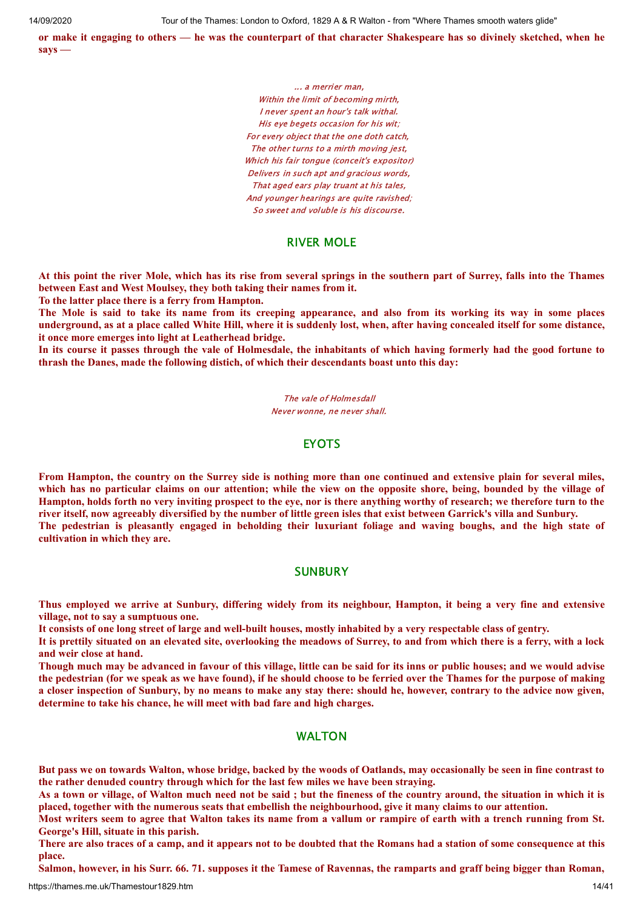or make it engaging to others — he was the counterpart of that character Shakespeare has so divinely sketched, when he **says —**

> ... a merrier man, Within the limit of becoming mirth, I never spent an hour's talk withal. His eye begets occasion for his wit; For every object that the one doth catch, The other turns to a mirth moving jest, Which his fair tongue (conceit's expositor) Delivers in such apt and gracious words, That aged ears play truant at his tales, And younger hearings are quite ravished; So sweet and voluble is his discourse.

#### RIVER MOLE

At this point the river Mole, which has its rise from several springs in the southern part of Surrey, falls into the Thames **between East and West Moulsey, they both taking their names from it.**

**To the latter place there is a ferry from Hampton.**

The Mole is said to take its name from its creeping appearance, and also from its working its way in some places underground, as at a place called White Hill, where it is suddenly lost, when, after having concealed itself for some distance, **it once more emerges into light at Leatherhead bridge.**

In its course it passes through the vale of Holmesdale, the inhabitants of which having formerly had the good fortune to **thrash the Danes, made the following distich, of which their descendants boast unto this day:**

> The vale of Holmesdall Never wonne, ne never shall.

# EYOTS

From Hampton, the country on the Surrey side is nothing more than one continued and extensive plain for several miles, which has no particular claims on our attention; while the view on the opposite shore, being, bounded by the village of Hampton, holds forth no very inviting prospect to the eye, nor is there anything worthy of research; we therefore turn to the river itself, now agreeably diversified by the number of little green isles that exist between Garrick's villa and Sunbury. The pedestrian is pleasantly engaged in beholding their luxuriant foliage and waving boughs, and the high state of **cultivation in which they are.**

#### **SUNBURY**

Thus employed we arrive at Sunbury, differing widely from its neighbour, Hampton, it being a very fine and extensive **village, not to say a sumptuous one.**

It consists of one long street of large and well-built houses, mostly inhabited by a very respectable class of gentry.

It is prettily situated on an elevated site, overlooking the meadows of Surrey, to and from which there is a ferry, with a lock **and weir close at hand.**

Though much may be advanced in favour of this village, little can be said for its inns or public houses; and we would advise the pedestrian (for we speak as we have found), if he should choose to be ferried over the Thames for the purpose of making a closer inspection of Sunbury, by no means to make any stay there: should he, however, contrary to the advice now given, **determine to take his chance, he will meet with bad fare and high charges.**

## WALTON

But pass we on towards Walton, whose bridge, backed by the woods of Oatlands, may occasionally be seen in fine contrast to **the rather denuded country through which for the last few miles we have been straying.**

As a town or village, of Walton much need not be said; but the fineness of the country around, the situation in which it is placed, together with the numerous seats that embellish the neighbourhood, give it many claims to our attention.

Most writers seem to agree that Walton takes its name from a vallum or rampire of earth with a trench running from St. **George's Hill, situate in this parish.**

There are also traces of a camp, and it appears not to be doubted that the Romans had a station of some consequence at this **place.**

Salmon, however, in his Surr, 66, 71, supposes it the Tamese of Ravennas, the ramparts and graff being bigger than Roman,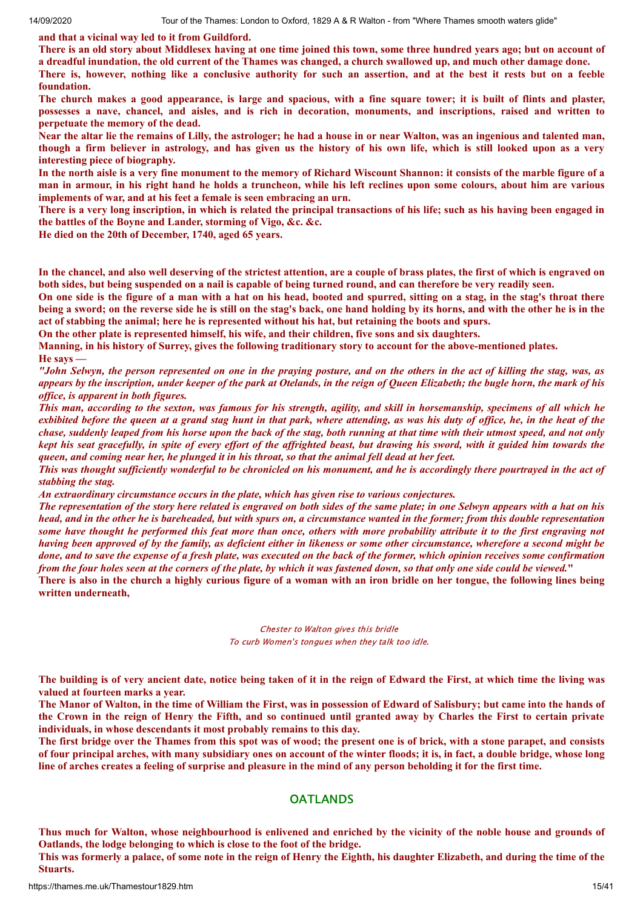**and that a vicinal way led to it from Guildford.**

There is an old story about Middlesex having at one time joined this town, some three hundred years ago; but on account of a dreadful inundation, the old current of the Thames was changed, a church swallowed up, and much other damage done.

There is, however, nothing like a conclusive authority for such an assertion, and at the best it rests but on a feeble **foundation.**

The church makes a good appearance, is large and spacious, with a fine square tower; it is built of flints and plaster, possesses a nave, chancel, and aisles, and is rich in decoration, monuments, and inscriptions, raised and written to **perpetuate the memory of the dead.**

Near the altar lie the remains of Lilly, the astrologer; he had a house in or near Walton, was an ingenious and talented man, though a firm believer in astrology, and has given us the history of his own life, which is still looked upon as a very **interesting piece of biography.**

In the north aisle is a very fine monument to the memory of Richard Wiscount Shannon: it consists of the marble figure of a man in armour, in his right hand he holds a truncheon, while his left reclines upon some colours, about him are various **implements of war, and at his feet a female is seen embracing an urn.**

There is a very long inscription, in which is related the principal transactions of his life; such as his having been engaged in **the battles of the Boyne and Lander, storming of Vigo, &c. &c.**

**He died on the 20th of December, 1740, aged 65 years.**

In the chancel, and also well deserving of the strictest attention, are a couple of brass plates, the first of which is engraved on both sides, but being suspended on a nail is capable of being turned round, and can therefore be very readily seen.

On one side is the figure of a man with a hat on his head, booted and spurred, sitting on a stag, in the stag's throat there being a sword; on the reverse side he is still on the stag's back, one hand holding by its horns, and with the other he is in the act of stabbing the animal; here he is represented without his hat, but retaining the boots and spurs.

**On the other plate is represented himself, his wife, and their children, five sons and six daughters.**

Manning, in his history of Surrey, gives the following traditionary story to account for the above-mentioned plates.

**He says —**

"John Selwyn, the person represented on one in the praying posture, and on the others in the act of killing the stag, was, as appears by the inscription, under keeper of the park at Otelands, in the reign of Queen Elizabeth; the bugle horn, the mark of his *of ice, is apparent in both figures.*

This man, according to the sexton, was famous for his strength, agility, and skill in horsemanship, specimens of all which he exbibited before the queen at a grand stag hunt in that park, where attending, as was his duty of office, he, in the heat of the chase, suddenly leaped from his horse upon the back of the stag, both running at that time with their utmost speed, and not only kept his seat gracefully, in spite of every effort of the affrighted beast, but drawing his sword, with it guided him towards the queen, and coming near her, he plunged it in his throat, so that the animal fell dead at her feet.

This was thought sufficiently wonderful to be chronicled on his monument, and he is accordingly there pourtrayed in the act of *stabbing the stag.*

*An extraordinary circumstance occurs in the plate, which has given rise to various conjectures.*

The representation of the story here related is engraved on both sides of the same plate; in one Selwyn appears with a hat on his head, and in the other he is bareheaded, but with spurs on, a circumstance wanted in the former; from this double representation some have thought he performed this feat more than once, others with more probability attribute it to the first engraving not having been approved of by the family, as deficient either in likeness or some other circumstance, wherefore a second might be done, and to save the expense of a fresh plate, was executed on the back of the former, which opinion receives some confirmation from the four holes seen at the corners of the plate, by which it was fastened down, so that only one side could be viewed."

There is also in the church a highly curious figure of a woman with an iron bridle on her tongue, the following lines being **written underneath,**

> Chester to Walton gives this bridle To curb Women's tongues when they talk too idle.

The building is of very ancient date, notice being taken of it in the reign of Edward the First, at which time the living was **valued at fourteen marks a year.**

The Manor of Walton, in the time of William the First, was in possession of Edward of Salisbury; but came into the hands of the Crown in the reign of Henry the Fifth, and so continued until granted away by Charles the First to certain private **individuals, in whose descendants it most probably remains to this day.**

The first bridge over the Thames from this spot was of wood; the present one is of brick, with a stone parapet, and consists of four principal arches, with many subsidiary ones on account of the winter floods; it is, in fact, a double bridge, whose long line of arches creates a feeling of surprise and pleasure in the mind of any person beholding it for the first time.

#### **OATLANDS**

Thus much for Walton, whose neighbourhood is enlivened and enriched by the vicinity of the noble house and grounds of **Oatlands, the lodge belonging to which is close to the foot of the bridge.**

This was formerly a palace, of some note in the reign of Henry the Eighth, his daughter Elizabeth, and during the time of the **Stuarts.**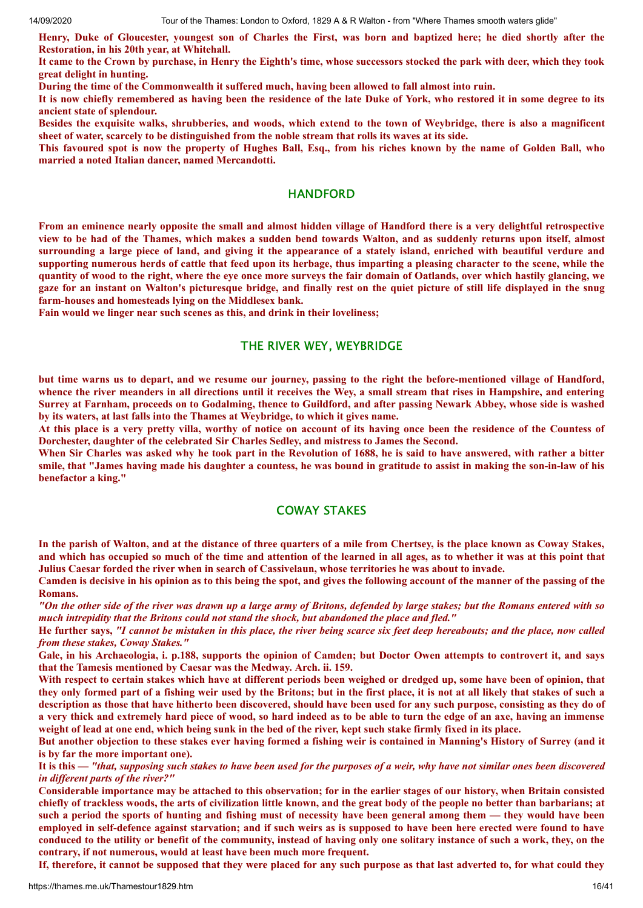Henry, Duke of Gloucester, youngest son of Charles the First, was born and baptized here; he died shortly after the **Restoration, in his 20th year, at Whitehall.**

It came to the Crown by purchase, in Henry the Eighth's time, whose successors stocked the park with deer, which they took **great delight in hunting.**

**During the time of the Commonwealth it suffered much, having been allowed to fall almost into ruin.**

It is now chiefly remembered as having been the residence of the late Duke of York, who restored it in some degree to its **ancient state of splendour.**

Besides the exquisite walks, shrubberies, and woods, which extend to the town of Weybridge, there is also a magnificent sheet of water, scarcely to be distinguished from the noble stream that rolls its waves at its side.

This favoured spot is now the property of Hughes Ball, Esq., from his riches known by the name of Golden Ball, who **married a noted Italian dancer, named Mercandotti.**

#### **HANDFORD**

From an eminence nearly opposite the small and almost hidden village of Handford there is a very delightful retrospective view to be had of the Thames, which makes a sudden bend towards Walton, and as suddenly returns upon itself, almost surrounding a large piece of land, and giving it the appearance of a stately island, enriched with beautiful verdure and supporting numerous herds of cattle that feed upon its herbage, thus imparting a pleasing character to the scene, while the quantity of wood to the right, where the eve once more surveys the fair domain of Oatlands, over which hastily glancing, we gaze for an instant on Walton's picturesque bridge, and finally rest on the quiet picture of still life displayed in the snug **farm-houses and homesteads lying on the Middlesex bank.**

**Fain would we linger near such scenes as this, and drink in their loveliness;**

#### THE RIVER WEY, WEYBRIDGE

but time warns us to depart, and we resume our journey, passing to the right the before-mentioned village of Handford, whence the river meanders in all directions until it receives the Wey, a small stream that rises in Hampshire, and entering Surrey at Farnham, proceeds on to Godalming, thence to Guildford, and after passing Newark Abbey, whose side is washed **by its waters, at last falls into the Thames at Weybridge, to which it gives name.**

At this place is a very pretty villa, worthy of notice on account of its having once been the residence of the Countess of **Dorchester, daughter of the celebrated Sir Charles Sedley, and mistress to James the Second.**

When Sir Charles was asked why he took part in the Revolution of 1688, he is said to have answered, with rather a bitter smile, that "James having made his daughter a countess, he was bound in gratitude to assist in making the son-in-law of his **benefactor a king."**

# COWAY STAKES

In the parish of Walton, and at the distance of three quarters of a mile from Chertsey, is the place known as Coway Stakes, and which has occupied so much of the time and attention of the learned in all ages, as to whether it was at this point that **Julius Caesar forded the river when in search of Cassivelaun, whose territories he was about to invade.**

Camden is decisive in his opinion as to this being the spot, and gives the following account of the manner of the passing of the **Romans.**

"On the other side of the river was drawn up a large army of Britons, defended by large stakes; but the Romans entered with so *much intrepidity that the Britons could not stand the shock, but abandoned the place and fled."*

He further says, "I cannot be mistaken in this place, the river being scarce six feet deep hereabouts; and the place, now called *from these stakes, Coway Stakes."*

Gale, in his Archaeologia, i. p.188, supports the opinion of Camden; but Doctor Owen attempts to controvert it, and says **that the Tamesis mentioned by Caesar was the Medway. Arch. ii. 159.**

With respect to certain stakes which have at different periods been weighed or dredged up, some have been of opinion, that they only formed part of a fishing weir used by the Britons; but in the first place, it is not at all likely that stakes of such a description as those that have hitherto been discovered, should have been used for any such purpose, consisting as they do of a very thick and extremely hard piece of wood, so hard indeed as to be able to turn the edge of an axe, having an immense weight of lead at one end, which being sunk in the bed of the river, kept such stake firmly fixed in its place.

But another objection to these stakes ever having formed a fishing weir is contained in Manning's History of Surrey (and it **is by far the more important one).**

It is this — "that, supposing such stakes to have been used for the purposes of a weir, why have not similar ones been discovered *in dif erent parts of the river?"*

Considerable importance may be attached to this observation; for in the earlier stages of our history, when Britain consisted chiefly of trackless woods, the arts of civilization little known, and the great body of the people no better than barbarians; at such a period the sports of hunting and fishing must of necessity have been general among them — they would have been employed in self-defence against starvation; and if such weirs as is supposed to have been here erected were found to have conduced to the utility or benefit of the community, instead of having only one solitary instance of such a work, they, on the **contrary, if not numerous, would at least have been much more frequent.**

If, therefore, it cannot be supposed that they were placed for any such purpose as that last adverted to, for what could they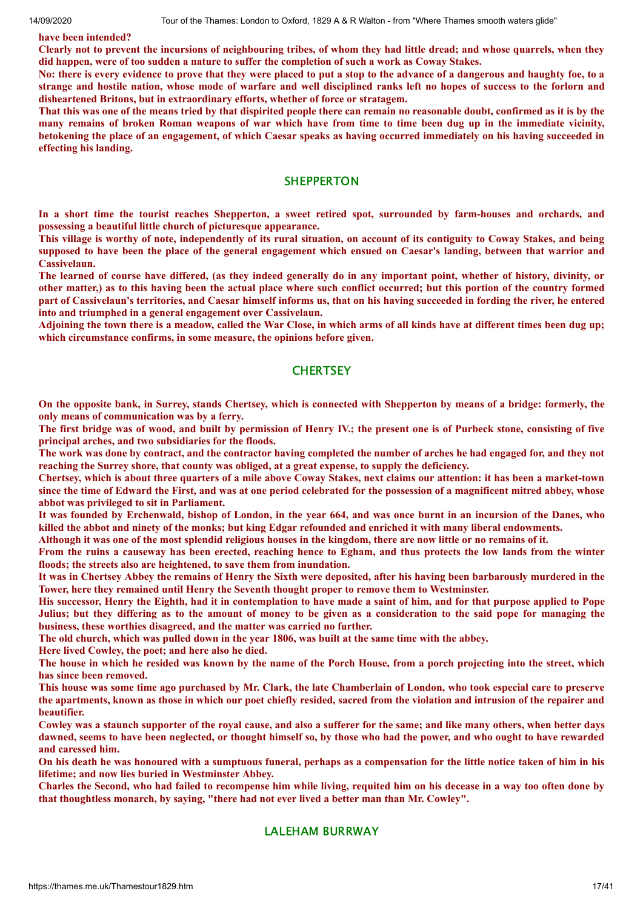**have been intended?**

Clearly not to prevent the incursions of neighbouring tribes, of whom they had little dread; and whose quarrels, when they did happen, were of too sudden a nature to suffer the completion of such a work as Coway Stakes.

No: there is every evidence to prove that they were placed to put a stop to the advance of a dangerous and haughty foe, to a strange and hostile nation, whose mode of warfare and well disciplined ranks left no hopes of success to the forlorn and **disheartened Britons, but in extraordinary efforts, whether of force or stratagem.**

That this was one of the means tried by that dispirited people there can remain no reasonable doubt, confirmed as it is by the many remains of broken Roman weapons of war which have from time to time been dug up in the immediate vicinity, betokening the place of an engagement, of which Caesar speaks as having occurred immediately on his having succeeded in **effecting his landing.**

#### **SHEPPERTON**

In a short time the tourist reaches Shepperton, a sweet retired spot, surrounded by farm-houses and orchards, and **possessing a beautiful little church of picturesque appearance.**

This village is worthy of note, independently of its rural situation, on account of its contiguity to Coway Stakes, and being supposed to have been the place of the general engagement which ensued on Caesar's landing, between that warrior and **Cassivelaun.**

The learned of course have differed, (as they indeed generally do in any important point, whether of history, divinity, or other matter,) as to this having been the actual place where such conflict occurred; but this portion of the country formed part of Cassivelaun's territories, and Caesar himself informs us, that on his having succeeded in fording the river, he entered **into and triumphed in a general engagement over Cassivelaun.**

Adjoining the town there is a meadow, called the War Close, in which arms of all kinds have at different times been dug up: **which circumstance confirms, in some measure, the opinions before given.**

# **CHERTSEY**

On the opposite bank, in Surrey, stands Chertsey, which is connected with Shepperton by means of a bridge: formerly, the **only means of communication was by a ferry.**

The first bridge was of wood, and built by permission of Henry IV.; the present one is of Purbeck stone, consisting of five **principal arches, and two subsidiaries for the floods.**

The work was done by contract, and the contractor having completed the number of arches he had engaged for, and they not **reaching the Surrey shore, that county was obliged, at a great expense, to supply the deficiency.**

Chertsey, which is about three quarters of a mile above Coway Stakes, next claims our attention: it has been a market-town since the time of Edward the First, and was at one period celebrated for the possession of a magnificent mitred abbey, whose **abbot was privileged to sit in Parliament.**

It was founded by Erchenwald, bishop of London, in the year 664, and was once burnt in an incursion of the Danes, who killed the abbot and ninety of the monks; but king Edgar refounded and enriched it with many liberal endowments.

Although it was one of the most splendid religious houses in the kingdom, there are now little or no remains of it.

From the ruins a causeway has been erected, reaching hence to Egham, and thus protects the low lands from the winter **floods; the streets also are heightened, to save them from inundation.**

It was in Chertsey Abbey the remains of Henry the Sixth were deposited, after his having been barbarously murdered in the **Tower, here they remained until Henry the Seventh thought proper to remove them to Westminster.**

His successor, Henry the Eighth, had it in contemplation to have made a saint of him, and for that purpose applied to Pope Julius; but they differing as to the amount of money to be given as a consideration to the said pope for managing the **business, these worthies disagreed, and the matter was carried no further.**

The old church, which was pulled down in the year 1806, was built at the same time with the abbey.

**Here lived Cowley, the poet; and here also he died.**

The house in which he resided was known by the name of the Porch House, from a porch projecting into the street, which **has since been removed.**

This house was some time ago purchased by Mr. Clark, the late Chamberlain of London, who took especial care to preserve the apartments, known as those in which our poet chiefly resided, sacred from the violation and intrusion of the repairer and **beautifier.**

Cowley was a staunch supporter of the royal cause, and also a sufferer for the same; and like many others, when better days dawned, seems to have been neglected, or thought himself so, by those who had the power, and who ought to have rewarded **and caressed him.**

On his death he was honoured with a sumptuous funeral, perhaps as a compensation for the little notice taken of him in his **lifetime; and now lies buried in Westminster Abbey.**

Charles the Second, who had failed to recompense him while living, requited him on his decease in a way too often done by **that thoughtless monarch, by saying, "there had not ever lived a better man than Mr. Cowley".**

# LALEHAM BURRWAY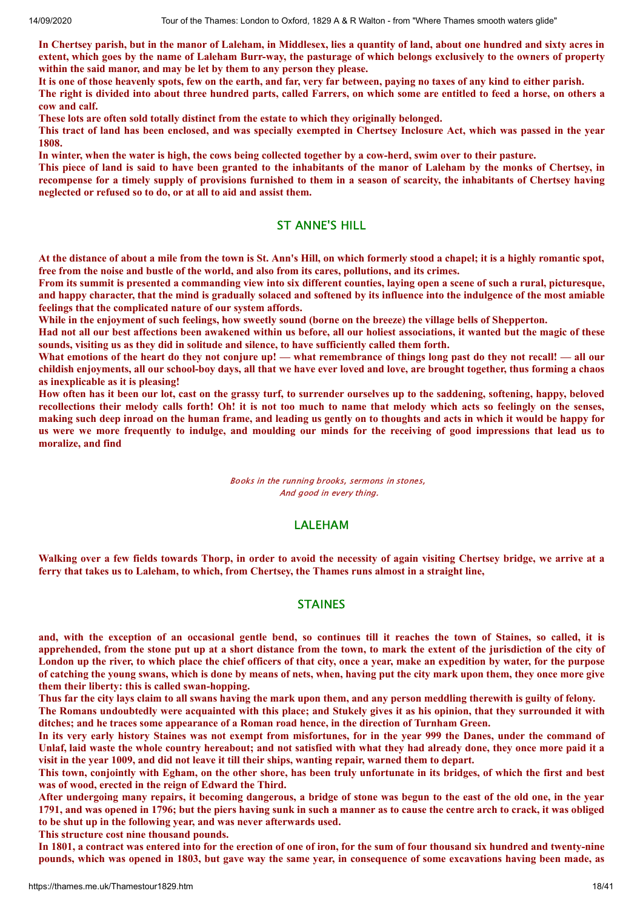In Chertsey parish, but in the manor of Laleham, in Middlesex, lies a quantity of land, about one hundred and sixty acres in extent, which goes by the name of Laleham Burr-way, the pasturage of which belongs exclusively to the owners of property **within the said manor, and may be let by them to any person they please.**

It is one of those heavenly spots, few on the earth, and far, very far between, paying no taxes of any kind to either parish.

The right is divided into about three hundred parts, called Farrers, on which some are entitled to feed a horse, on others a **cow and calf.**

**These lots are often sold totally distinct from the estate to which they originally belonged.**

This tract of land has been enclosed, and was specially exempted in Chertsey Inclosure Act, which was passed in the year **1808.**

In winter, when the water is high, the cows being collected together by a cow-herd, swim over to their pasture.

This piece of land is said to have been granted to the inhabitants of the manor of Laleham by the monks of Chertsey, in recompense for a timely supply of provisions furnished to them in a season of scarcity, the inhabitants of Chertsey having **neglected or refused so to do, or at all to aid and assist them.**

# ST ANNE'S HILL

At the distance of about a mile from the town is St. Ann's Hill, on which formerly stood a chapel; it is a highly romantic spot, **free from the noise and bustle of the world, and also from its cares, pollutions, and its crimes.**

From its summit is presented a commanding view into six different counties, laying open a scene of such a rural, picturesque, and happy character, that the mind is gradually solaced and softened by its influence into the indulgence of the most amiable **feelings that the complicated nature of our system affords.**

While in the enjoyment of such feelings, how sweetly sound (borne on the breeze) the village bells of Shepperton.

Had not all our best affections been awakened within us before, all our holiest associations, it wanted but the magic of these **sounds, visiting us as they did in solitude and silence, to have sufficiently called them forth.**

What emotions of the heart do they not conjure up! — what remembrance of things long past do they not recall! — all our childish enjoyments, all our school-boy days, all that we have ever loved and love, are brought together, thus forming a chaos **as inexplicable as it is pleasing!**

How often has it been our lot, cast on the grassy turf, to surrender ourselves up to the saddening, softening, happy, beloved recollections their melody calls forth! Oh! it is not too much to name that melody which acts so feelingly on the senses, making such deep inroad on the human frame, and leading us gently on to thoughts and acts in which it would be happy for us were we more frequently to indulge, and moulding our minds for the receiving of good impressions that lead us to **moralize, and find**

> Books in the running brooks, sermons in stones, And good in every thing.

# LALEHAM

Walking over a few fields towards Thorp, in order to avoid the necessity of again visiting Chertsey bridge, we arrive at a ferry that takes us to Laleham, to which, from Chertsey, the Thames runs almost in a straight line,

#### STAINES

and, with the exception of an occasional gentle bend, so continues till it reaches the town of Staines, so called, it is apprehended, from the stone put up at a short distance from the town, to mark the extent of the jurisdiction of the city of London up the river, to which place the chief officers of that city, once a year, make an expedition by water, for the purpose of catching the young swans, which is done by means of nets, when, having put the city mark upon them, they once more give **them their liberty: this is called swan-hopping.**

Thus far the city lays claim to all swans having the mark upon them, and any person meddling therewith is guilty of felony. The Romans undoubtedly were acquainted with this place; and Stukely gives it as his opinion, that they surrounded it with

**ditches; and he traces some appearance of a Roman road hence, in the direction of Turnham Green.**

In its very early history Staines was not exempt from misfortunes, for in the year 999 the Danes, under the command of Unlaf, laid waste the whole country hereabout; and not satisfied with what they had already done, they once more paid it a visit in the year 1009, and did not leave it till their ships, wanting repair, warned them to depart.

This town, conjointly with Egham, on the other shore, has been truly unfortunate in its bridges, of which the first and best **was of wood, erected in the reign of Edward the Third.**

After undergoing many repairs, it becoming dangerous, a bridge of stone was begun to the east of the old one, in the year 1791, and was opened in 1796; but the piers having sunk in such a manner as to cause the centre arch to crack, it was obliged **to be shut up in the following year, and was never afterwards used.**

**This structure cost nine thousand pounds.**

In 1801, a contract was entered into for the erection of one of iron, for the sum of four thousand six hundred and twenty-nine pounds, which was opened in 1803, but gave way the same year, in consequence of some excavations having been made, as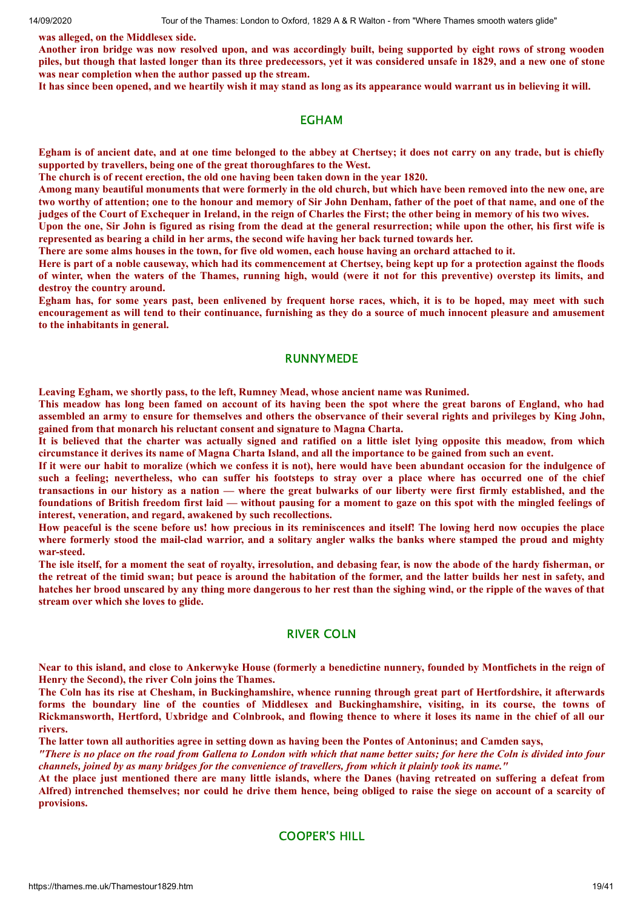**was alleged, on the Middlesex side.**

Another iron bridge was now resolved upon, and was accordingly built, being supported by eight rows of strong wooden piles, but though that lasted longer than its three predecessors, yet it was considered unsafe in 1829, and a new one of stone **was near completion when the author passed up the stream.**

It has since been opened, and we heartily wish it may stand as long as its appearance would warrant us in believing it will.

#### EGHAM

Egham is of ancient date, and at one time belonged to the abbey at Chertsey; it does not carry on any trade, but is chiefly **supported by travellers, being one of the great thoroughfares to the West.**

**The church is of recent erection, the old one having been taken down in the year 1820.**

Among many beautiful monuments that were formerly in the old church, but which have been removed into the new one, are two worthy of attention; one to the honour and memory of Sir John Denham, father of the poet of that name, and one of the judges of the Court of Exchequer in Ireland, in the reign of Charles the First; the other being in memory of his two wives.

Upon the one, Sir John is figured as rising from the dead at the general resurrection; while upon the other, his first wife is **represented as bearing a child in her arms, the second wife having her back turned towards her.**

There are some alms houses in the town, for five old women, each house having an orchard attached to it.

Here is part of a noble causeway, which had its commencement at Chertsey, being kept up for a protection against the floods of winter, when the waters of the Thames, running high, would (were it not for this preventive) overstep its limits, and **destroy the country around.**

Egham has, for some years past, been enlivened by frequent horse races, which, it is to be hoped, may meet with such encouragement as will tend to their continuance, furnishing as they do a source of much innocent pleasure and amusement **to the inhabitants in general.**

#### RUNNYMEDE

**Leaving Egham, we shortly pass, to the left, Rumney Mead, whose ancient name was Runimed.**

This meadow has long been famed on account of its having been the spot where the great barons of England, who had assembled an army to ensure for themselves and others the observance of their several rights and privileges by King John, **gained from that monarch his reluctant consent and signature to Magna Charta.**

It is believed that the charter was actually signed and ratified on a little islet lying opposite this meadow, from which circumstance it derives its name of Magna Charta Island, and all the importance to be gained from such an event.

If it were our habit to moralize (which we confess it is not), here would have been abundant occasion for the indulgence of such a feeling; nevertheless, who can suffer his footsteps to stray over a place where has occurred one of the chief transactions in our history as a nation - where the great bulwarks of our liberty were first firmly established, and the foundations of British freedom first laid — without pausing for a moment to gaze on this spot with the mingled feelings of **interest, veneration, and regard, awakened by such recollections.**

How peaceful is the scene before us! how precious in its reminiscences and itself! The lowing herd now occupies the place where formerly stood the mail-clad warrior, and a solitary angler walks the banks where stamped the proud and mighty **war-steed.**

The isle itself, for a moment the seat of royalty, irresolution, and debasing fear, is now the abode of the hardy fisherman, or the retreat of the timid swan; but peace is around the habitation of the former, and the latter builds her nest in safety, and hatches her brood unscared by any thing more dangerous to her rest than the sighing wind, or the ripple of the waves of that **stream over which she loves to glide.**

#### RIVER COLN

Near to this island, and close to Ankerwyke House (formerly a benedictine nunnery, founded by Montfichets in the reign of **Henry the Second), the river Coln joins the Thames.**

The Coln has its rise at Chesham, in Buckinghamshire, whence running through great part of Hertfordshire, it afterwards forms the boundary line of the counties of Middlesex and Buckinghamshire, visiting, in its course, the towns of Rickmansworth, Hertford, Uxbridge and Colnbrook, and flowing thence to where it loses its name in the chief of all our **rivers.**

The latter town all authorities agree in setting down as having been the Pontes of Antoninus; and Camden says,

"There is no place on the road from Gallena to London with which that name better suits; for here the Coln is divided into four channels, joined by as many bridges for the convenience of travellers, from which it plainly took its name."

At the place just mentioned there are many little islands, where the Danes (having retreated on suffering a defeat from Alfred) intrenched themselves; nor could he drive them hence, being obliged to raise the siege on account of a scarcity of **provisions.**

# COOPER'S HILL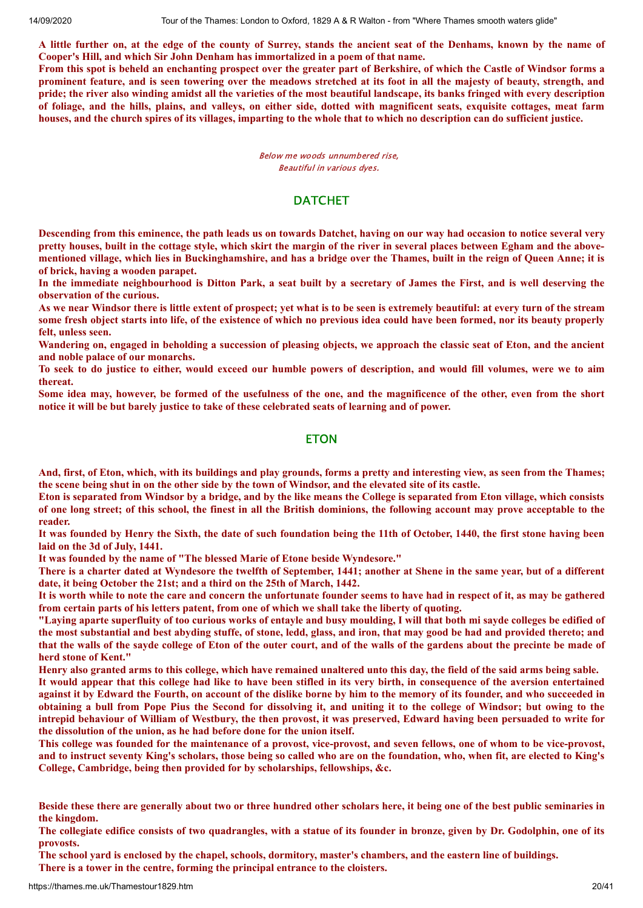A little further on, at the edge of the county of Surrey, stands the ancient seat of the Denhams, known by the name of **Cooper's Hill, and which Sir John Denham has immortalized in a poem of that name.**

From this spot is beheld an enchanting prospect over the greater part of Berkshire, of which the Castle of Windsor forms a prominent feature, and is seen towering over the meadows stretched at its foot in all the majesty of beauty, strength, and pride: the river also winding amidst all the varieties of the most beautiful landscape, its banks fringed with every description of foliage, and the hills, plains, and valleys, on either side, dotted with magnificent seats, exquisite cottages, meat farm houses, and the church spires of its villages, imparting to the whole that to which no description can do sufficient justice.

> Below me woods unnumbered rise, Beautiful in various dyes.

# **DATCHET**

Descending from this eminence, the path leads us on towards Datchet, having on our way had occasion to notice several very pretty houses, built in the cottage style, which skirt the margin of the river in several places between Egham and the abovementioned village, which lies in Buckinghamshire, and has a bridge over the Thames, built in the reign of Queen Anne; it is **of brick, having a wooden parapet.**

In the immediate neighbourhood is Ditton Park, a seat built by a secretary of James the First, and is well deserving the **observation of the curious.**

As we near Windsor there is little extent of prospect; yet what is to be seen is extremely beautiful: at every turn of the stream some fresh object starts into life, of the existence of which no previous idea could have been formed, nor its beauty properly **felt, unless seen.**

Wandering on, engaged in beholding a succession of pleasing objects, we approach the classic seat of Eton, and the ancient **and noble palace of our monarchs.**

To seek to do justice to either, would exceed our humble powers of description, and would fill volumes, were we to aim **thereat.**

Some idea may, however, be formed of the usefulness of the one, and the magnificence of the other, even from the short **notice it will be but barely justice to take of these celebrated seats of learning and of power.**

#### **ETON**

And, first, of Eton, which, with its buildings and play grounds, forms a pretty and interesting view, as seen from the Thames; the scene being shut in on the other side by the town of Windsor, and the elevated site of its castle.

Eton is separated from Windsor by a bridge, and by the like means the College is separated from Eton village, which consists of one long street; of this school, the finest in all the British dominions, the following account may prove acceptable to the **reader.**

It was founded by Henry the Sixth, the date of such foundation being the 11th of October, 1440, the first stone having been **laid on the 3d of July, 1441.**

**It was founded by the name of "The blessed Marie of Etone beside Wyndesore."**

There is a charter dated at Wyndesore the twelfth of September, 1441; another at Shene in the same year, but of a different **date, it being October the 21st; and a third on the 25th of March, 1442.**

It is worth while to note the care and concern the unfortunate founder seems to have had in respect of it, as may be gathered **from certain parts of his letters patent, from one of which we shall take the liberty of quoting.**

"Laving aparte superfluity of too curious works of entayle and busy moulding, I will that both mi sayde colleges be edified of the most substantial and best abyding stuffe, of stone, ledd, glass, and iron, that may good be had and provided thereto; and that the walls of the sayde college of Eton of the outer court, and of the walls of the gardens about the precinte be made of **herd stone of Kent."**

Henry also granted arms to this college, which have remained unaltered unto this day, the field of the said arms being sable. It would appear that this college had like to have been stifled in its very birth, in consequence of the aversion entertained against it by Edward the Fourth, on account of the dislike borne by him to the memory of its founder, and who succeeded in obtaining a bull from Pope Pius the Second for dissolving it, and uniting it to the college of Windsor; but owing to the intrepid behaviour of William of Westbury, the then provost, it was preserved, Edward having been persuaded to write for **the dissolution of the union, as he had before done for the union itself.**

This college was founded for the maintenance of a provost, vice-provost, and seven fellows, one of whom to be vice-provost, and to instruct seventy King's scholars, those being so called who are on the foundation, who, when fit, are elected to King's **College, Cambridge, being then provided for by scholarships, fellowships, &c.**

The collegiate edifice consists of two quadrangles, with a statue of its founder in bronze, given by Dr. Godolphin, one of its **provosts.**

The school yard is enclosed by the chapel, schools, dormitory, master's chambers, and the eastern line of buildings.

**There is a tower in the centre, forming the principal entrance to the cloisters.**

Beside these there are generally about two or three hundred other scholars here, it being one of the best public seminaries in **the kingdom.**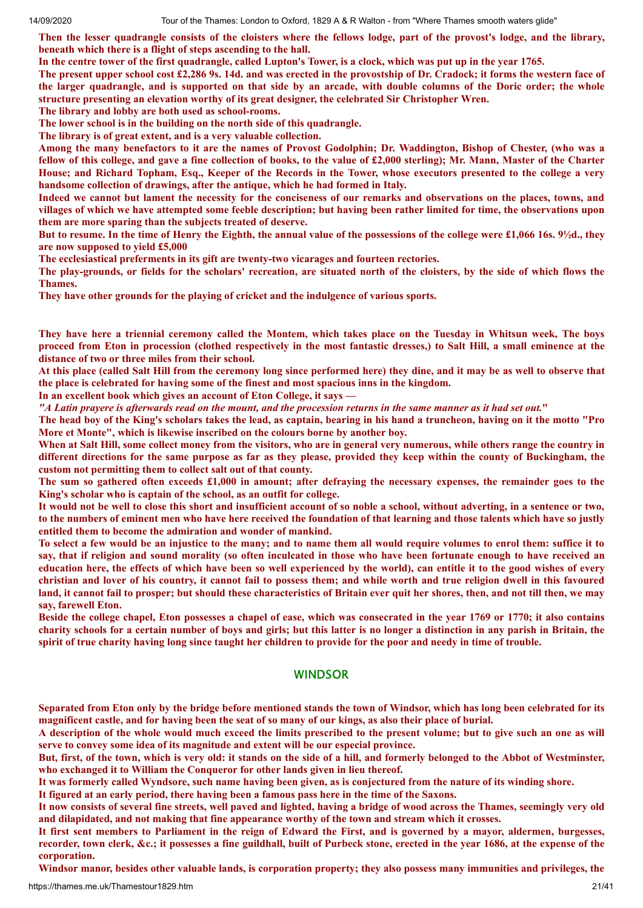Then the lesser quadrangle consists of the cloisters where the fellows lodge, part of the provost's lodge, and the library, **beneath which there is a flight of steps ascending to the hall.**

In the centre tower of the first quadrangle, called Lupton's Tower, is a clock, which was put up in the year 1765.

The present upper school cost £2,286 9s. 14d. and was erected in the provostship of Dr. Cradock; it forms the western face of the larger quadrangle, and is supported on that side by an arcade, with double columns of the Doric order; the whole **structure presenting an elevation worthy of its great designer, the celebrated Sir Christopher Wren.**

**The library and lobby are both used as school-rooms.**

**The lower school is in the building on the north side of this quadrangle.**

**The library is of great extent, and is a very valuable collection.**

Among the many benefactors to it are the names of Provost Godolphin; Dr. Waddington, Bishop of Chester, (who was a fellow of this college, and gave a fine collection of books, to the value of £2,000 sterling); Mr. Mann, Master of the Charter House; and Richard Topham, Esq., Keeper of the Records in the Tower, whose executors presented to the college a very **handsome collection of drawings, after the antique, which he had formed in Italy.**

Indeed we cannot but lament the necessity for the conciseness of our remarks and observations on the places, towns, and villages of which we have attempted some feeble description; but having been rather limited for time, the observations upon **them are more sparing than the subjects treated of deserve.**

But to resume. In the time of Henry the Eighth, the annual value of the possessions of the college were £1,066 16s. 9½d., they **are now supposed to yield £5,000**

**The ecclesiastical preferments in its gift are twenty-two vicarages and fourteen rectories.**

The play-grounds, or fields for the scholars' recreation, are situated north of the cloisters, by the side of which flows the **Thames.**

**They have other grounds for the playing of cricket and the indulgence of various sports.**

They have here a triennial ceremony called the Montem, which takes place on the Tuesday in Whitsun week, The boys proceed from Eton in procession (clothed respectively in the most fantastic dresses,) to Salt Hill, a small eminence at the **distance of two or three miles from their school.**

At this place (called Salt Hill from the ceremony long since performed here) they dine, and it may be as well to observe that **the place is celebrated for having some of the finest and most spacious inns in the kingdom.**

**In an excellent book which gives an account of Eton College, it says —**

"A Latin prayere is afterwards read on the mount, and the procession returns in the same manner as it had set out."

The head boy of the King's scholars takes the lead, as captain, bearing in his hand a truncheon, having on it the motto "Pro **More et Monte", which is likewise inscribed on the colours borne by another boy.**

When at Salt Hill, some collect money from the visitors, who are in general very numerous, while others range the country in different directions for the same purpose as far as they please, provided they keep within the county of Buckingham, the **custom not permitting them to collect salt out of that county.**

The sum so gathered often exceeds £1,000 in amount; after defraying the necessary expenses, the remainder goes to the **King's scholar who is captain of the school, as an outfit for college.**

It would not be well to close this short and insufficient account of so noble a school, without adverting, in a sentence or two, to the numbers of eminent men who have here received the foundation of that learning and those talents which have so justly **entitled them to become the admiration and wonder of mankind.**

To select a few would be an injustice to the many; and to name them all would require volumes to enrol them: suffice it to say, that if religion and sound morality (so often inculcated in those who have been fortunate enough to have received an education here, the effects of which have been so well experienced by the world), can entitle it to the good wishes of every christian and lover of his country, it cannot fail to possess them; and while worth and true religion dwell in this favoured land, it cannot fail to prosper; but should these characteristics of Britain ever quit her shores, then, and not till then, we may **say, farewell Eton.**

Beside the college chapel, Eton possesses a chapel of ease, which was consecrated in the year 1769 or 1770; it also contains charity schools for a certain number of boys and girls; but this latter is no longer a distinction in any parish in Britain, the spirit of true charity having long since taught her children to provide for the poor and needy in time of trouble.

#### WINDSOR

Separated from Eton only by the bridge before mentioned stands the town of Windsor, which has long been celebrated for its magnificent castle, and for having been the seat of so many of our kings, as also their place of burial.

A description of the whole would much exceed the limits prescribed to the present volume; but to give such an one as will **serve to convey some idea of its magnitude and extent will be our especial province.**

But, first, of the town, which is very old: it stands on the side of a hill, and formerly belonged to the Abbot of Westminster, **who exchanged it to William the Conqueror for other lands given in lieu thereof.**

It was formerly called Wyndsore, such name having been given, as is conjectured from the nature of its winding shore.

It figured at an early period, there having been a famous pass here in the time of the Saxons.

It now consists of several fine streets, well paved and lighted, having a bridge of wood across the Thames, seemingly very old **and dilapidated, and not making that fine appearance worthy of the town and stream which it crosses.**

It first sent members to Parliament in the reign of Edward the First, and is governed by a mayor, aldermen, burgesses, recorder, town clerk, &c.; it possesses a fine guildhall, built of Purbeck stone, erected in the year 1686, at the expense of the **corporation.**

Windsor manor, besides other valuable lands, is corporation property; they also possess many immunities and privileges, the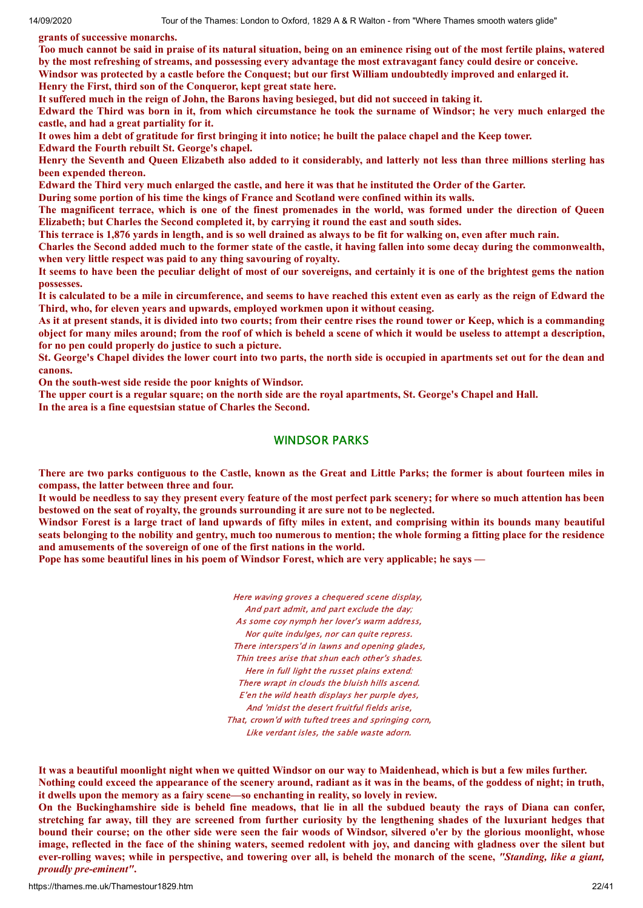**grants of successive monarchs.**

Too much cannot be said in praise of its natural situation, being on an eminence rising out of the most fertile plains, watered by the most refreshing of streams, and possessing every advantage the most extravagant fancy could desire or conceive. Windsor was protected by a castle before the Conquest; but our first William undoubtedly improved and enlarged it. **Henry the First, third son of the Conqueror, kept great state here.**

It suffered much in the reign of John, the Barons having besieged, but did not succeed in taking it.

Edward the Third was born in it, from which circumstance he took the surname of Windsor; he very much enlarged the **castle, and had a great partiality for it.**

It owes him a debt of gratitude for first bringing it into notice; he built the palace chapel and the Keep tower.

**Edward the Fourth rebuilt St. George's chapel.**

Henry the Seventh and Oueen Elizabeth also added to it considerably, and latterly not less than three millions sterling has **been expended thereon.**

Edward the Third very much enlarged the castle, and here it was that he instituted the Order of the Garter.

**During some portion of his time the kings of France and Scotland were confined within its walls.**

The magnificent terrace, which is one of the finest promenades in the world, was formed under the direction of Queen **Elizabeth; but Charles the Second completed it, by carrying it round the east and south sides.**

This terrace is 1,876 yards in length, and is so well drained as always to be fit for walking on, even after much rain.

Charles the Second added much to the former state of the castle, it having fallen into some decay during the commonwealth, **when very little respect was paid to any thing savouring of royalty.**

It seems to have been the peculiar delight of most of our sovereigns, and certainly it is one of the brightest gems the nation **possesses.**

It is calculated to be a mile in circumference, and seems to have reached this extent even as early as the reign of Edward the **Third, who, for eleven years and upwards, employed workmen upon it without ceasing.**

As it at present stands, it is divided into two courts; from their centre rises the round tower or Keep, which is a commanding object for many miles around; from the roof of which is beheld a scene of which it would be useless to attempt a description, **for no pen could properly do justice to such a picture.**

St. George's Chapel divides the lower court into two parts, the north side is occupied in apartments set out for the dean and **canons.**

**On the south-west side reside the poor knights of Windsor.**

The upper court is a regular square; on the north side are the royal apartments, St. George's Chapel and Hall. **In the area is a fine equestsian statue of Charles the Second.**

# WINDSOR PARKS

There are two parks contiguous to the Castle, known as the Great and Little Parks; the former is about fourteen miles in **compass, the latter between three and four.**

It would be needless to say they present every feature of the most perfect park scenery; for where so much attention has been **bestowed on the seat of royalty, the grounds surrounding it are sure not to be neglected.**

Windsor Forest is a large tract of land upwards of fifty miles in extent, and comprising within its bounds many beautiful seats belonging to the nobility and gentry, much too numerous to mention; the whole forming a fitting place for the residence **and amusements of the sovereign of one of the first nations in the world.**

**Pope has some beautiful lines in his poem of Windsor Forest, which are very applicable; he says —**

Here waving groves a chequered scene display, And part admit, and part exclude the day; As some coy nymph her lover's warm address, Nor quite indulges, nor can quite repress. There interspers'd in lawns and opening glades, Thin trees arise that shun each other's shades. Here in full light the russet plains extend: There wrapt in clouds the bluish hills ascend. E'en the wild heath displays her purple dyes, And 'midst the desert fruitful fields arise, That, crown'd with tufted trees and springing corn, Like verdant isles, the sable waste adorn.

It was a beautiful moonlight night when we quitted Windsor on our way to Maidenhead, which is but a few miles further. Nothing could exceed the appearance of the scenery around, radiant as it was in the beams, of the goddess of night; in truth, **it dwells upon the memory as a fairy scene—so enchanting in reality, so lovely in review.**

On the Buckinghamshire side is beheld fine meadows, that lie in all the subdued beauty the rays of Diana can confer, stretching far away, till they are screened from further curiosity by the lengthening shades of the luxuriant hedges that bound their course; on the other side were seen the fair woods of Windsor, silvered o'er by the glorious moonlight, whose image, reflected in the face of the shining waters, seemed redolent with joy, and dancing with gladness over the silent but ever-rolling waves; while in perspective, and towering over all, is beheld the monarch of the scene, "Standing, like a giant, *proudly pre-eminent"***.**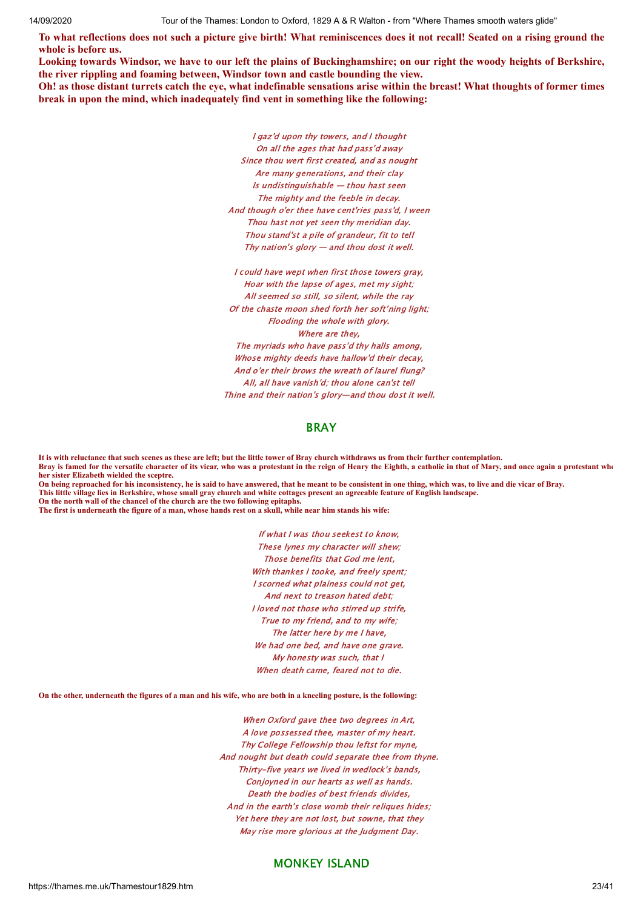To what reflections does not such a picture give birth! What reminiscences does it not recall! Seated on a rising ground the **whole is before us.**

Looking towards Windsor, we have to our left the plains of Buckinghamshire; on our right the woody heights of Berkshire, **the river rippling and foaming between, Windsor town and castle bounding the view.**

Oh! as those distant turrets catch the eye, what indefinable sensations arise within the breast! What thoughts of former times **break in upon the mind, which inadequately find vent in something like the following:**

> I gaz'd upon thy towers, and I thought On all the ages that had pass'd away Since thou wert first created, and as nought Are many generations, and their clay Is undistinguishable — thou hast seen The mighty and the feeble in decay. And though o'er thee have cent'ries pass'd, I ween Thou hast not yet seen thy meridian day. Thou stand'st a pile of grandeur, fit to tell Thy nation's glory — and thou dost it well.

I could have wept when first those towers gray, Hoar with the lapse of ages, met my sight; All seemed so still, so silent, while the ray Of the chaste moon shed forth her soft'ning light; Flooding the whole with glory. Where are they. The myriads who have pass'd thy halls among, Whose mighty deeds have hallow'd their decay, And o'er their brows the wreath of laurel flung? All, all have vanish'd; thou alone can'st tell Thine and their nation's glory—and thou dost it well.

#### BRAY

**It is with reluctance that such scenes as these are left; but the little tower of Bray church withdraws us from their further contemplation. Bray is famed for the versatile character of its vicar, who was a protestant in the reign of Henry the Eighth, a catholic in that of Mary, and once again a protestant whe her sister Elizabeth wielded the sceptre.**

**On being reproached for his inconsistency, he is said to have answered, that he meant to be consistent in one thing, which was, to live and die vicar of Bray. This little village lies in Berkshire, whose small gray church and white cottages present an agreeable feature of English landscape. On the north wall of the chancel of the church are the two following epitaphs.**

**The first is underneath the figure of a man, whose hands rest on a skull, while near him stands his wife:**

If what I was thou seekest to know, These lynes my character will shew; Those benefits that God me lent, With thankes I tooke, and freely spent; I scorned what plainess could not get, And next to treason hated debt; I loved not those who stirred up strife, True to my friend, and to my wife; The latter here by me I have, We had one bed, and have one grave. My honesty was such, that I When death came, feared not to die.

#### **On the other, underneath the figures of a man and his wife, who are both in a kneeling posture, is the following:**

When Oxford gave thee two degrees in Art, A love possessed thee, master of my heart. Thy College Fellowship thou leftst for myne, And nought but death could separate thee from thyne. Thirty-five years we lived in wedlock's bands, Conjoyned in our hearts as well as hands. Death the bodies of best friends divides, And in the earth's close womb their reliques hides; Yet here they are not lost, but sowne, that they May rise more glorious at the Judgment Day.

# MONKEY ISLAND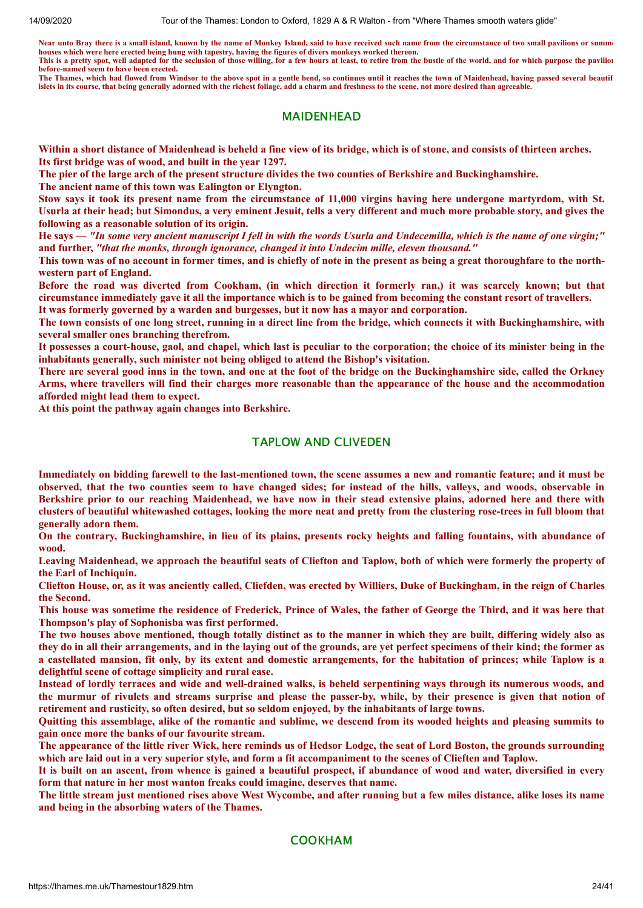Near unto Bray there is a small island, known by the name of Monkey Island, said to have received such name from the circumstance of two small pavilions or summer **houses which were here erected being hung with tapestry, having the figures of divers monkeys worked thereon. This is a pretty spot, well adapted for the seclusion of those willing, for a few hours at least, to retire from the bustle of the world, and for which purpose the pavilion before-named seem to have been erected.**

**The Thames, which had flowed from Windsor to the above spot in a gentle bend, so continues until it reaches the town of Maidenhead, having passed several beautif islets in its course, that being generally adorned with the richest foliage, add a charm and freshness to the scene, not more desired than agreeable.**

#### MAIDENHEAD

Within a short distance of Maidenhead is beheld a fine view of its bridge, which is of stone, and consists of thirteen arches. **Its first bridge was of wood, and built in the year 1297.**

The pier of the large arch of the present structure divides the two counties of Berkshire and Buckinghamshire.

**The ancient name of this town was Ealington or Elyngton.**

Stow says it took its present name from the circumstance of 11,000 virgins having here undergone martyrdom, with St. Usurla at their head; but Simondus, a very eminent Jesuit, tells a very different and much more probable story, and gives the **following as a reasonable solution of its origin.**

He says — "In some very ancient manuscript I fell in with the words Usurla and Undecemilla, which is the name of one virgin;" **and further,** *"that the monks, through ignorance, changed it into Undecim mille, eleven thousand."*

This town was of no account in former times, and is chiefly of note in the present as being a great thoroughfare to the north**western part of England.**

Before the road was diverted from Cookham, (in which direction it formerly ran,) it was scarcely known; but that circumstance immediately gave it all the importance which is to be gained from becoming the constant resort of travellers. **It was formerly governed by a warden and burgesses, but it now has a mayor and corporation.**

The town consists of one long street, running in a direct line from the bridge, which connects it with Buckinghamshire, with **several smaller ones branching therefrom.**

It possesses a court-house, gaol, and chapel, which last is peculiar to the corporation; the choice of its minister being in the **inhabitants generally, such minister not being obliged to attend the Bishop's visitation.**

There are several good inns in the town, and one at the foot of the bridge on the Buckinghamshire side, called the Orkney Arms, where travellers will find their charges more reasonable than the appearance of the house and the accommodation **afforded might lead them to expect.**

**At this point the pathway again changes into Berkshire.**

#### TAPLOW AND CLIVEDEN

Immediately on bidding farewell to the last-mentioned town, the scene assumes a new and romantic feature; and it must be observed, that the two counties seem to have changed sides; for instead of the hills, valleys, and woods, observable in Berkshire prior to our reaching Maidenhead, we have now in their stead extensive plains, adorned here and there with clusters of beautiful whitewashed cottages, looking the more neat and pretty from the clustering rose-trees in full bloom that **generally adorn them.**

On the contrary, Buckinghamshire, in lieu of its plains, presents rocky heights and falling fountains, with abundance of **wood.**

Leaving Maidenhead, we approach the beautiful seats of Cliefton and Taplow, both of which were formerly the property of **the Earl of Inchiquin.**

Cliefton House, or, as it was anciently called, Cliefden, was erected by Williers, Duke of Buckingham, in the reign of Charles **the Second.**

This house was sometime the residence of Frederick, Prince of Wales, the father of George the Third, and it was here that **Thompson's play of Sophonisba was first performed.**

The two houses above mentioned, though totally distinct as to the manner in which they are built, differing widely also as they do in all their arrangements, and in the laying out of the grounds, are yet perfect specimens of their kind; the former as a castellated mansion, fit only, by its extent and domestic arrangements, for the habitation of princes; while Taplow is a **delightful scene of cottage simplicity and rural ease.**

Instead of lordly terraces and wide and well-drained walks, is beheld serpentining ways through its numerous woods, and the murmur of rivulets and streams surprise and please the passer-by, while, by their presence is given that notion of **retirement and rusticity, so often desired, but so seldom enjoyed, by the inhabitants of large towns.**

Quitting this assemblage, alike of the romantic and sublime, we descend from its wooded heights and pleasing summits to **gain once more the banks of our favourite stream.**

The appearance of the little river Wick, here reminds us of Hedsor Lodge, the seat of Lord Boston, the grounds surrounding which are laid out in a very superior style, and form a fit accompaniment to the scenes of Clieften and Taplow.

It is built on an ascent, from whence is gained a beautiful prospect, if abundance of wood and water, diversified in every **form that nature in her most wanton freaks could imagine, deserves that name.**

The little stream just mentioned rises above West Wycombe, and after running but a few miles distance, alike loses its name **and being in the absorbing waters of the Thames.**

COOKHAM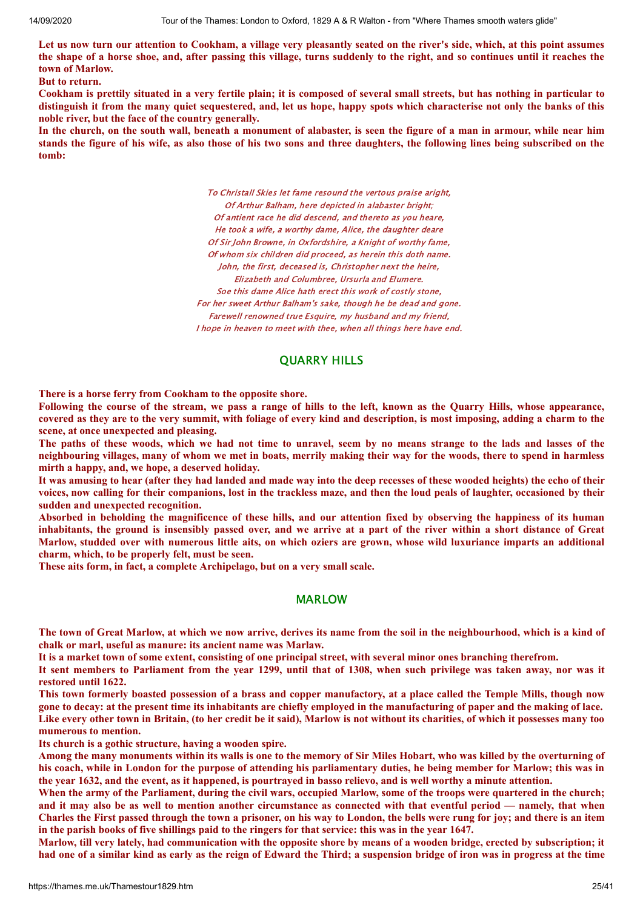Let us now turn our attention to Cookham, a village very pleasantly seated on the river's side, which, at this point assumes the shape of a horse shoe, and, after passing this village, turns suddenly to the right, and so continues until it reaches the **town of Marlow.**

**But to return.**

Cookham is prettily situated in a very fertile plain; it is composed of several small streets, but has nothing in particular to distinguish it from the many quiet sequestered, and, let us hope, happy spots which characterise not only the banks of this **noble river, but the face of the country generally.**

In the church, on the south wall, beneath a monument of alabaster, is seen the figure of a man in armour, while near him stands the figure of his wife, as also those of his two sons and three daughters, the following lines being subscribed on the **tomb:**

> To Christall Skies let fame resound the vertous praise aright, Of Arthur Balham, here depicted in alabaster bright; Of antient race he did descend, and thereto as you heare, He took a wife, a worthy dame, Alice, the daughter deare Of Sir John Browne, in Oxfordshire, a Knight of worthy fame, Of whom six children did proceed, as herein this doth name. John, the first, deceased is, Christopher next the heire, Elizabeth and Columbree, Ursurla and Elumere. Soe this dame Alice hath erect this work of costly stone, For her sweet Arthur Balham's sake, though he be dead and gone. Farewell renowned true Esquire, my husband and my friend, I hope in heaven to meet with thee, when all things here have end.

# QUARRY HILLS

**There is a horse ferry from Cookham to the opposite shore.**

Following the course of the stream, we pass a range of hills to the left, known as the Quarry Hills, whose appearance, covered as they are to the very summit, with foliage of every kind and description, is most imposing, adding a charm to the **scene, at once unexpected and pleasing.**

The paths of these woods, which we had not time to unravel, seem by no means strange to the lads and lasses of the neighbouring villages, many of whom we met in boats, merrily making their way for the woods, there to spend in harmless **mirth a happy, and, we hope, a deserved holiday.**

It was amusing to hear (after they had landed and made way into the deep recesses of these wooded heights) the echo of their voices, now calling for their companions, lost in the trackless maze, and then the loud peals of laughter, occasioned by their **sudden and unexpected recognition.**

Absorbed in beholding the magnificence of these hills, and our attention fixed by observing the happiness of its human inhabitants, the ground is insensibly passed over, and we arrive at a part of the river within a short distance of Great Marlow, studded over with numerous little aits, on which oziers are grown, whose wild luxuriance imparts an additional **charm, which, to be properly felt, must be seen.**

**These aits form, in fact, a complete Archipelago, but on a very small scale.**

#### MARLOW

The town of Great Marlow, at which we now arrive, derives its name from the soil in the neighbourhood, which is a kind of **chalk or marl, useful as manure: its ancient name was Marlaw.**

It is a market town of some extent, consisting of one principal street, with several minor ones branching therefrom.

It sent members to Parliament from the year 1299, until that of 1308, when such privilege was taken away, nor was it **restored until 1622.**

This town formerly boasted possession of a brass and copper manufactory, at a place called the Temple Mills, though now gone to decay: at the present time its inhabitants are chiefly employed in the manufacturing of paper and the making of lace. Like every other town in Britain, (to her credit be it said), Marlow is not without its charities, of which it possesses many too **mumerous to mention.**

**Its church is a gothic structure, having a wooden spire.**

Among the many monuments within its walls is one to the memory of Sir Miles Hobart, who was killed by the overturning of his coach, while in London for the purpose of attending his parliamentary duties, he being member for Marlow; this was in the year 1632, and the event, as it happened, is pourtraved in basso relievo, and is well worthy a minute attention.

When the army of the Parliament, during the civil wars, occupied Marlow, some of the troops were quartered in the church; and it may also be as well to mention another circumstance as connected with that eventful period — namely, that when Charles the First passed through the town a prisoner, on his way to London, the bells were rung for joy; and there is an item in the parish books of five shillings paid to the ringers for that service: this was in the year 1647.

Marlow, till very lately, had communication with the opposite shore by means of a wooden bridge, erected by subscription; it had one of a similar kind as early as the reign of Edward the Third; a suspension bridge of iron was in progress at the time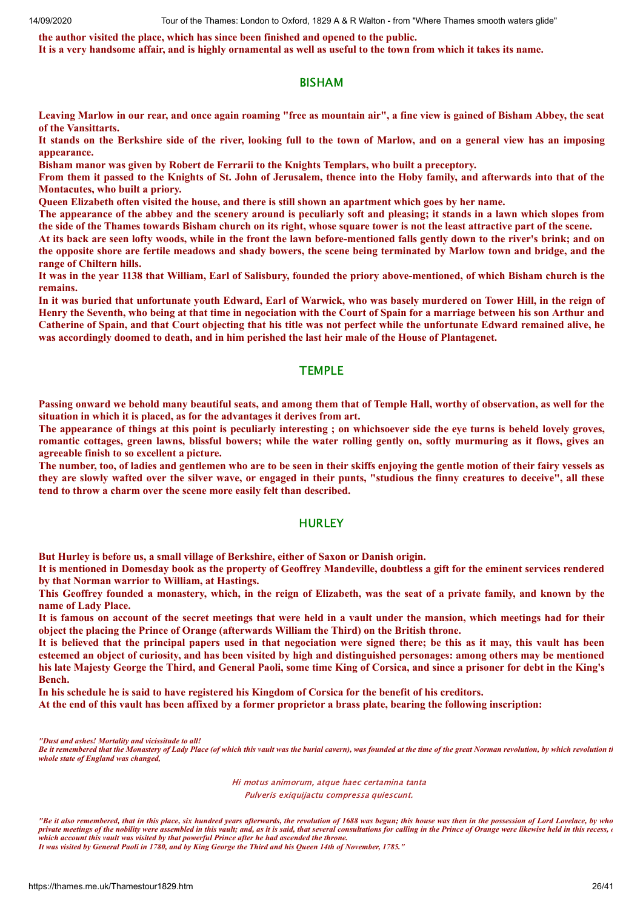**the author visited the place, which has since been finished and opened to the public.**

It is a very handsome affair, and is highly ornamental as well as useful to the town from which it takes its name.

#### BISHAM

Leaving Marlow in our rear, and once again roaming "free as mountain air", a fine view is gained of Bisham Abbey, the seat **of the Vansittarts.**

It stands on the Berkshire side of the river, looking full to the town of Marlow, and on a general view has an imposing **appearance.**

**Bisham manor was given by Robert de Ferrarii to the Knights Templars, who built a preceptory.**

From them it passed to the Knights of St. John of Jerusalem, thence into the Hoby family, and afterwards into that of the **Montacutes, who built a priory.**

Queen Elizabeth often visited the house, and there is still shown an apartment which goes by her name.

The appearance of the abbey and the scenery around is peculiarly soft and pleasing; it stands in a lawn which slopes from the side of the Thames towards Bisham church on its right, whose square tower is not the least attractive part of the scene.

At its back are seen lofty woods, while in the front the lawn before-mentioned falls gently down to the river's brink; and on the opposite shore are fertile meadows and shady bowers, the scene being terminated by Marlow town and bridge, and the **range of Chiltern hills.**

It was in the year 1138 that William, Earl of Salisbury, founded the priory above-mentioned, of which Bisham church is the **remains.**

In it was buried that unfortunate youth Edward, Earl of Warwick, who was basely murdered on Tower Hill, in the reign of Henry the Seventh, who being at that time in negociation with the Court of Spain for a marriage between his son Arthur and Catherine of Spain, and that Court objecting that his title was not perfect while the unfortunate Edward remained alive, he was accordingly doomed to death, and in him perished the last heir male of the House of Plantagenet.

#### **TEMPLE**

Passing onward we behold many beautiful seats, and among them that of Temple Hall, worthy of observation, as well for the **situation in which it is placed, as for the advantages it derives from art.**

The appearance of things at this point is peculiarly interesting; on whichsoever side the eye turns is beheld lovely groves, romantic cottages, green lawns, blissful bowers; while the water rolling gently on, softly murmuring as it flows, gives an **agreeable finish to so excellent a picture.**

The number, too, of ladies and gentlemen who are to be seen in their skiffs enjoying the gentle motion of their fairy vessels as they are slowly wafted over the silver wave, or engaged in their punts, "studious the finny creatures to deceive", all these **tend to throw a charm over the scene more easily felt than described.**

#### **HURLEY**

**But Hurley is before us, a small village of Berkshire, either of Saxon or Danish origin.**

It is mentioned in Domesday book as the property of Geoffrey Mandeville, doubtless a gift for the eminent services rendered **by that Norman warrior to William, at Hastings.**

This Geoffrev founded a monastery, which, in the reign of Elizabeth, was the seat of a private family, and known by the **name of Lady Place.**

It is famous on account of the secret meetings that were held in a vault under the mansion, which meetings had for their **object the placing the Prince of Orange (afterwards William the Third) on the British throne.**

It is believed that the principal papers used in that negociation were signed there; be this as it may, this vault has been esteemed an object of curiosity, and has been visited by high and distinguished personages: among others may be mentioned his late Majesty George the Third, and General Paoli, some time King of Corsica, and since a prisoner for debt in the King's **Bench.**

In his schedule he is said to have registered his Kingdom of Corsica for the benefit of his creditors.

At the end of this vault has been affixed by a former proprietor a brass plate, bearing the following inscription:

*"Dust and ashes! Mortality and vicissitude to all!*

Be it remembered that the Monastery of Lady Place (of which this vault was the burial cavern), was founded at the time of the great Norman revolution, by which revolution ti *whole state of England was changed,*

> Hi motus animorum, atque haec certamina tanta Pulveris exiquijactu compressa quiescunt.

*"Be it also remembered, that in this place, six hundred years afterwards, the revolution of 1688 was begun; this house was then in the possession of Lord Lovelace, by who* private meetings of the nobility were assembled in this vault; and, as it is said, that several consultations for calling in the Prince of Orange were likewise held in this recess, or *which account this vault was visited by that powerful Prince after he had ascended the throne.*

*It was visited by General Paoli in 1780, and by King George the Third and his Queen 14th of November, 1785."*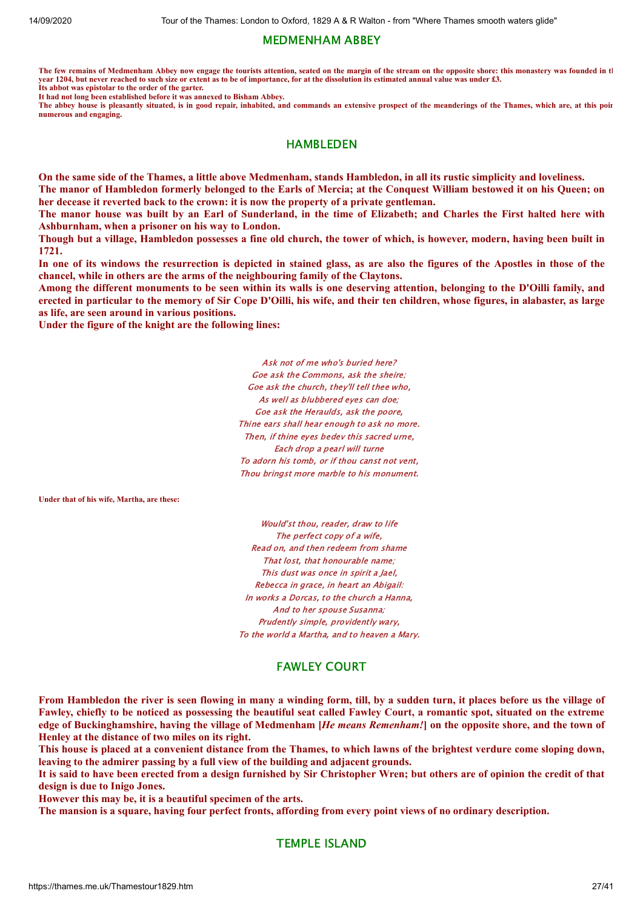# MEDMENHAM ABBEY

**The few remains of Medmenham Abbey now engage the tourists attention, seated on the margin of the stream on the opposite shore: this monastery was founded in th year 1204, but never reached to such size or extent as to be of importance, for at the dissolution its estimated annual value was under £3. Its abbot was epistolar to the order of the garter.**

**It had not long been established before it was annexed to Bisham Abbey.**

The abbey house is pleasantly situated, is in good repair, inhabited, and commands an extensive prospect of the meanderings of the Thames, which are, at this poin **numerous and engaging.**

# HAMBLEDEN

On the same side of the Thames, a little above Medmenham, stands Hambledon, in all its rustic simplicity and loveliness.

The manor of Hambledon formerly belonged to the Earls of Mercia; at the Conquest William bestowed it on his Queen; on **her decease it reverted back to the crown: it is now the property of a private gentleman.**

The manor house was built by an Earl of Sunderland, in the time of Elizabeth; and Charles the First halted here with **Ashburnham, when a prisoner on his way to London.**

Though but a village, Hambledon possesses a fine old church, the tower of which, is however, modern, having been built in **1721.**

In one of its windows the resurrection is depicted in stained glass, as are also the figures of the Apostles in those of the **chancel, while in others are the arms of the neighbouring family of the Claytons.**

Among the different monuments to be seen within its walls is one deserving attention, belonging to the D'Oilli family, and erected in particular to the memory of Sir Cope D'Oilli, his wife, and their ten children, whose figures, in alabaster, as large **as life, are seen around in various positions.**

**Under the figure of the knight are the following lines:**

Ask not of me who's buried here? Goe ask the Commons, ask the sheire; Goe ask the church, they'll tell thee who, As well as blubbered eyes can doe; Goe ask the Heraulds, ask the poore, Thine ears shall hear enough to ask no more. Then, if thine eyes bedey this sacred urne. Each drop a pearl will turne To adorn his tomb, or if thou canst not vent, Thou bringst more marble to his monument.

**Under that of his wife, Martha, are these:**

Would'st thou, reader, draw to life The perfect copy of a wife, Read on, and then redeem from shame That lost, that honourable name; This dust was once in spirit a Jael, Rebecca in grace, in heart an Abigail: In works a Dorcas, to the church a Hanna, And to her spouse Susanna; Prudently simple, providently wary, To the world a Martha, and to heaven a Mary.

# FAWLEY COURT

From Hambledon the river is seen flowing in many a winding form, till, by a sudden turn, it places before us the village of Fawley, chiefly to be noticed as possessing the beautiful seat called Fawley Court, a romantic spot, situated on the extreme edge of Buckinghamshire, having the village of Medmenham [He means Remenham!] on the opposite shore, and the town of **Henley at the distance of two miles on its right.**

This house is placed at a convenient distance from the Thames, to which lawns of the brightest verdure come sloping down, **leaving to the admirer passing by a full view of the building and adjacent grounds.**

It is said to have been erected from a design furnished by Sir Christopher Wren; but others are of opinion the credit of that **design is due to Inigo Jones.**

**However this may be, it is a beautiful specimen of the arts.**

The mansion is a square, having four perfect fronts, affording from every point views of no ordinary description.

TEMPLE ISLAND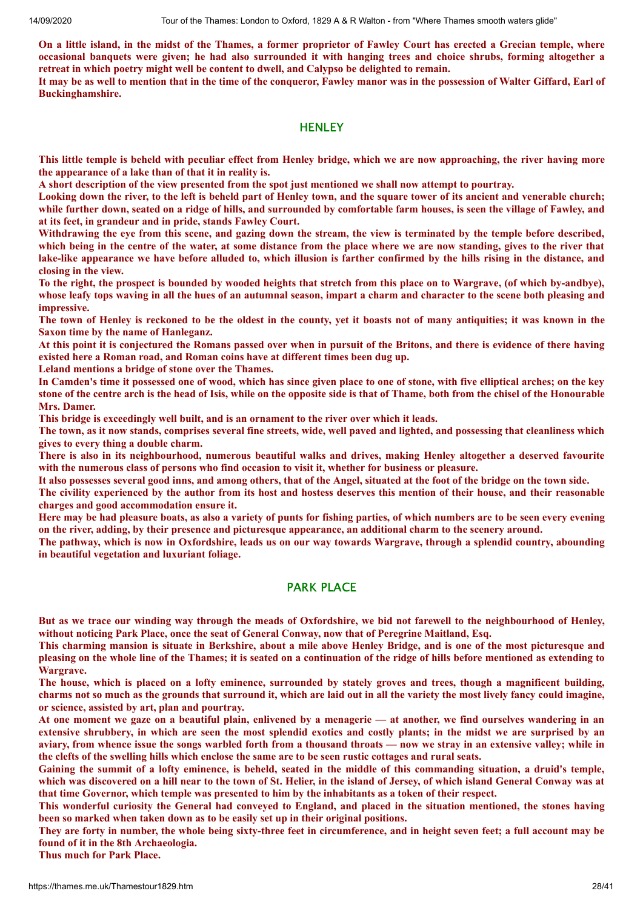On a little island, in the midst of the Thames, a former proprietor of Fawley Court has erected a Grecian temple, where occasional banquets were given; he had also surrounded it with hanging trees and choice shrubs, forming altogether a **retreat in which poetry might well be content to dwell, and Calypso be delighted to remain.**

It may be as well to mention that in the time of the conqueror, Fawley manor was in the possession of Walter Giffard, Earl of **Buckinghamshire.**

#### **HENLEY**

This little temple is beheld with peculiar effect from Henley bridge, which we are now approaching, the river having more **the appearance of a lake than of that it in reality is.**

A short description of the view presented from the spot just mentioned we shall now attempt to pourtray.

Looking down the river, to the left is beheld part of Henley town, and the square tower of its ancient and venerable church: while further down, seated on a ridge of hills, and surrounded by comfortable farm houses, is seen the village of Fawley, and **at its feet, in grandeur and in pride, stands Fawley Court.**

Withdrawing the eve from this scene, and gazing down the stream, the view is terminated by the temple before described, which being in the centre of the water, at some distance from the place where we are now standing, gives to the river that lake-like appearance we have before alluded to, which illusion is farther confirmed by the hills rising in the distance, and **closing in the view.**

To the right, the prospect is bounded by wooded heights that stretch from this place on to Wargrave, (of which by-andbye), whose leafy tops waving in all the hues of an autumnal season, impart a charm and character to the scene both pleasing and **impressive.**

The town of Henley is reckoned to be the oldest in the county, yet it boasts not of many antiquities; it was known in the **Saxon time by the name of Hanleganz.**

At this point it is conjectured the Romans passed over when in pursuit of the Britons, and there is evidence of there having **existed here a Roman road, and Roman coins have at different times been dug up.**

**Leland mentions a bridge of stone over the Thames.**

In Camden's time it possessed one of wood, which has since given place to one of stone, with five elliptical arches; on the key stone of the centre arch is the head of Isis, while on the opposite side is that of Thame, both from the chisel of the Honourable **Mrs. Damer.**

**This bridge is exceedingly well built, and is an ornament to the river over which it leads.**

The town, as it now stands, comprises several fine streets, wide, well payed and lighted, and possessing that cleanliness which **gives to every thing a double charm.**

There is also in its neighbourhood, numerous beautiful walks and drives, making Henley altogether a deserved favourite **with the numerous class of persons who find occasion to visit it, whether for business or pleasure.**

It also possesses several good inns, and among others, that of the Angel, situated at the foot of the bridge on the town side.

The civility experienced by the author from its host and hostess deserves this mention of their house, and their reasonable **charges and good accommodation ensure it.**

Here may be had pleasure boats, as also a variety of punts for fishing parties, of which numbers are to be seen every evening on the river, adding, by their presence and picturesque appearance, an additional charm to the scenery around.

The pathway, which is now in Oxfordshire, leads us on our way towards Wargrave, through a splendid country, abounding **in beautiful vegetation and luxuriant foliage.**

# PARK PLACE

But as we trace our winding way through the meads of Oxfordshire, we bid not farewell to the neighbourhood of Henley. **without noticing Park Place, once the seat of General Conway, now that of Peregrine Maitland, Esq.**

This charming mansion is situate in Berkshire, about a mile above Henley Bridge, and is one of the most picturesque and pleasing on the whole line of the Thames; it is seated on a continuation of the ridge of hills before mentioned as extending to **Wargrave.**

The house, which is placed on a lofty eminence, surrounded by stately groves and trees, though a magnificent building, charms not so much as the grounds that surround it, which are laid out in all the variety the most lively fancy could imagine, **or science, assisted by art, plan and pourtray.**

At one moment we gaze on a beautiful plain, enlivened by a menagerie — at another, we find ourselves wandering in an extensive shrubbery, in which are seen the most splendid exotics and costly plants; in the midst we are surprised by an aviary, from whence issue the songs warbled forth from a thousand throats — now we stray in an extensive valley; while in the clefts of the swelling hills which enclose the same are to be seen rustic cottages and rural seats.

Gaining the summit of a lofty eminence, is beheld, seated in the middle of this commanding situation, a druid's temple, which was discovered on a hill near to the town of St. Helier, in the island of Jersey, of which island General Conway was at that time Governor, which temple was presented to him by the inhabitants as a token of their respect.

This wonderful curiosity the General had conveyed to England, and placed in the situation mentioned, the stones having **been so marked when taken down as to be easily set up in their original positions.**

They are forty in number, the whole being sixty-three feet in circumference, and in height seven feet; a full account may be **found of it in the 8th Archaeologia.**

**Thus much for Park Place.**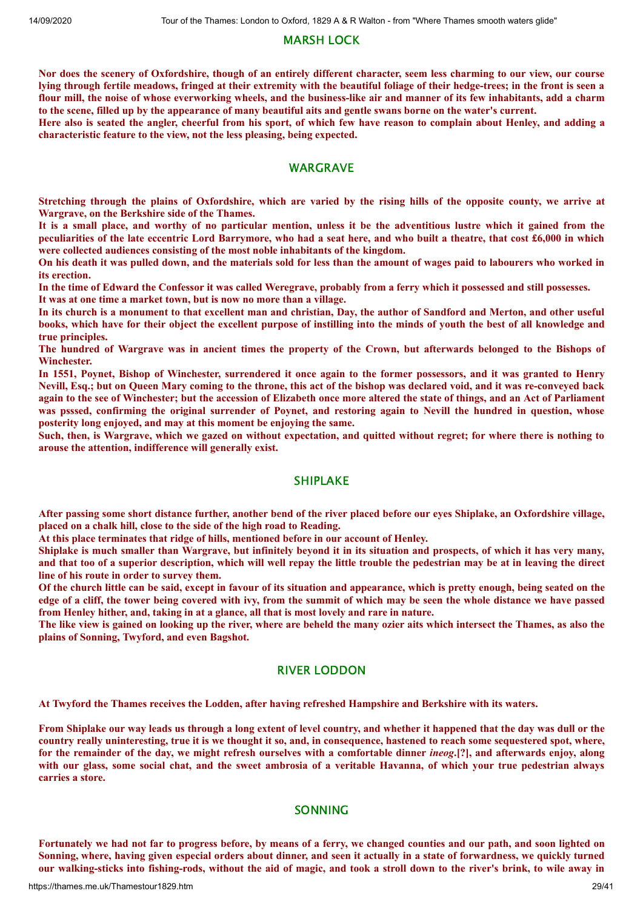# MARSH LOCK

Nor does the scenery of Oxfordshire, though of an entirely different character, seem less charming to our view, our course lying through fertile meadows, fringed at their extremity with the beautiful foliage of their hedge-trees; in the front is seen a flour mill, the noise of whose everworking wheels, and the business-like air and manner of its few inhabitants, add a charm to the scene, filled up by the appearance of many beautiful aits and gentle swans borne on the water's current.

Here also is seated the angler, cheerful from his sport, of which few have reason to complain about Henley, and adding a **characteristic feature to the view, not the less pleasing, being expected.**

# **WARGRAVE**

Stretching through the plains of Oxfordshire, which are varied by the rising hills of the opposite county, we arrive at **Wargrave, on the Berkshire side of the Thames.**

It is a small place, and worthy of no particular mention, unless it be the adventitious lustre which it gained from the peculiarities of the late eccentric Lord Barrymore, who had a seat here, and who built a theatre, that cost £6,000 in which **were collected audiences consisting of the most noble inhabitants of the kingdom.**

On his death it was pulled down, and the materials sold for less than the amount of wages paid to labourers who worked in **its erection.**

In the time of Edward the Confessor it was called Weregrave, probably from a ferry which it possessed and still possesses. **It was at one time a market town, but is now no more than a village.**

In its church is a monument to that excellent man and christian, Day, the author of Sandford and Merton, and other useful books, which have for their object the excellent purpose of instilling into the minds of youth the best of all knowledge and **true principles.**

The hundred of Wargrave was in ancient times the property of the Crown, but afterwards belonged to the Bishops of **Winchester.**

In 1551, Poynet, Bishop of Winchester, surrendered it once again to the former possessors, and it was granted to Henry Nevill, Esq.; but on Oueen Mary coming to the throne, this act of the bishop was declared void, and it was re-conveyed back again to the see of Winchester; but the accession of Elizabeth once more altered the state of things, and an Act of Parliament was psssed, confirming the original surrender of Poynet, and restoring again to Nevill the hundred in question, whose **posterity long enjoyed, and may at this moment be enjoying the same.**

Such, then, is Wargrave, which we gazed on without expectation, and quitted without regret; for where there is nothing to **arouse the attention, indifference will generally exist.**

# SHIPLAKE

After passing some short distance further, another bend of the river placed before our eyes Shiplake, an Oxfordshire village, **placed on a chalk hill, close to the side of the high road to Reading.**

**At this place terminates that ridge of hills, mentioned before in our account of Henley.**

Shiplake is much smaller than Wargrave, but infinitely bevond it in its situation and prospects, of which it has very many, and that too of a superior description, which will well repay the little trouble the pedestrian may be at in leaving the direct **line of his route in order to survey them.**

Of the church little can be said, except in favour of its situation and appearance, which is pretty enough, being seated on the edge of a cliff, the tower being covered with ivy, from the summit of which may be seen the whole distance we have passed **from Henley hither, and, taking in at a glance, all that is most lovely and rare in nature.**

The like view is gained on looking up the river, where are beheld the many ozier aits which intersect the Thames, as also the **plains of Sonning, Twyford, and even Bagshot.**

# RIVER LODDON

**At Twyford the Thames receives the Lodden, after having refreshed Hampshire and Berkshire with its waters.**

From Shiplake our way leads us through a long extent of level country, and whether it happened that the day was dull or the country really uninteresting, true it is we thought it so, and, in consequence, hastened to reach some sequestered spot, where, for the remainder of the day, we might refresh ourselves with a comfortable dinner *ineog*.[?], and afterwards enjoy, along with our glass, some social chat, and the sweet ambrosia of a veritable Havanna, of which your true pedestrian always **carries a store.**

# SONNING

Fortunately we had not far to progress before, by means of a ferry, we changed counties and our path, and soon lighted on Sonning, where, having given especial orders about dinner, and seen it actually in a state of forwardness, we quickly turned our walking-sticks into fishing-rods, without the aid of magic, and took a stroll down to the river's brink, to wile away in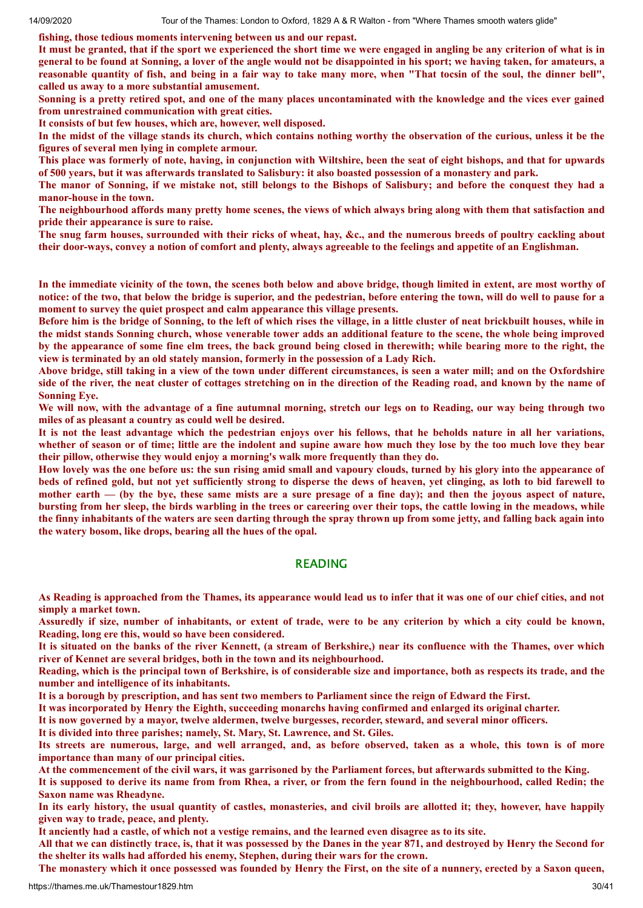**fishing, those tedious moments intervening between us and our repast.**

It must be granted, that if the sport we experienced the short time we were engaged in angling be any criterion of what is in general to be found at Sonning, a lover of the angle would not be disappointed in his sport; we having taken, for amateurs, a reasonable quantity of fish, and being in a fair way to take many more, when "That tocsin of the soul, the dinner bell", **called us away to a more substantial amusement.**

Sonning is a pretty retired spot, and one of the many places uncontaminated with the knowledge and the vices ever gained **from unrestrained communication with great cities.**

**It consists of but few houses, which are, however, well disposed.**

In the midst of the village stands its church, which contains nothing worthy the observation of the curious, unless it be the **figures of several men lying in complete armour.**

This place was formerly of note, having, in conjunction with Wiltshire, been the seat of eight bishops, and that for upwards of 500 years, but it was afterwards translated to Salisbury: it also boasted possession of a monastery and park.

The manor of Sonning, if we mistake not, still belongs to the Bishops of Salisbury; and before the conquest they had a **manor-house in the town.**

The neighbourhood affords many pretty home scenes, the views of which always bring along with them that satisfaction and **pride their appearance is sure to raise.**

The snug farm houses, surrounded with their ricks of wheat, hay, &c., and the numerous breeds of poultry cackling about their door-ways, convey a notion of comfort and plenty, always agreeable to the feelings and appetite of an Englishman.

In the immediate vicinity of the town, the scenes both below and above bridge, though limited in extent, are most worthy of notice: of the two, that below the bridge is superior, and the pedestrian, before entering the town, will do well to pause for a **moment to survey the quiet prospect and calm appearance this village presents.**

Before him is the bridge of Sonning, to the left of which rises the village, in a little cluster of neat brickbuilt houses, while in the midst stands Sonning church, whose venerable tower adds an additional feature to the scene, the whole being improved by the appearance of some fine elm trees, the back ground being closed in therewith; while bearing more to the right, the **view is terminated by an old stately mansion, formerly in the possession of a Lady Rich.**

Above bridge, still taking in a view of the town under different circumstances, is seen a water mill; and on the Oxfordshire side of the river, the neat cluster of cottages stretching on in the direction of the Reading road, and known by the name of **Sonning Eye.**

We will now, with the advantage of a fine autumnal morning, stretch our legs on to Reading, our way being through two **miles of as pleasant a country as could well be desired.**

It is not the least advantage which the pedestrian enjoys over his fellows, that he beholds nature in all her variations, whether of season or of time; little are the indolent and supine aware how much they lose by the too much love they bear **their pillow, otherwise they would enjoy a morning's walk more frequently than they do.**

How lovely was the one before us: the sun rising amid small and vapoury clouds, turned by his glory into the appearance of beds of refined gold, but not yet sufficiently strong to disperse the dews of heaven, yet clinging, as loth to bid farewell to mother earth — (by the bye, these same mists are a sure presage of a fine day); and then the joyous aspect of nature, bursting from her sleep, the birds warbling in the trees or careering over their tops, the cattle lowing in the meadows, while the finny inhabitants of the waters are seen darting through the spray thrown up from some jetty, and falling back again into **the watery bosom, like drops, bearing all the hues of the opal.**

## READING

As Reading is approached from the Thames, its appearance would lead us to infer that it was one of our chief cities, and not **simply a market town.**

Assuredly if size, number of inhabitants, or extent of trade, were to be any criterion by which a city could be known, **Reading, long ere this, would so have been considered.**

It is situated on the banks of the river Kennett, (a stream of Berkshire,) near its confluence with the Thames, over which **river of Kennet are several bridges, both in the town and its neighbourhood.**

Reading, which is the principal town of Berkshire, is of considerable size and importance, both as respects its trade, and the **number and intelligence of its inhabitants.**

It is a borough by prescription, and has sent two members to Parliament since the reign of Edward the First.

**It was incorporated by Henry the Eighth, succeeding monarchs having confirmed and enlarged its original charter.**

It is now governed by a mayor, twelve aldermen, twelve burgesses, recorder, steward, and several minor officers,

**It is divided into three parishes; namely, St. Mary, St. Lawrence, and St. Giles.**

Its streets are numerous, large, and well arranged, and, as before observed, taken as a whole, this town is of more **importance than many of our principal cities.**

At the commencement of the civil wars, it was garrisoned by the Parliament forces, but afterwards submitted to the King.

It is supposed to derive its name from from Rhea, a river, or from the fern found in the neighbourhood, called Redin; the **Saxon name was Rheadyne.**

In its early history, the usual quantity of castles, monasteries, and civil broils are allotted it; they, however, have happily **given way to trade, peace, and plenty.**

It anciently had a castle, of which not a vestige remains, and the learned even disagree as to its site.

All that we can distinctly trace, is, that it was possessed by the Danes in the year 871, and destroyed by Henry the Second for **the shelter its walls had afforded his enemy, Stephen, during their wars for the crown.**

The monastery which it once possessed was founded by Henry the First, on the site of a nunnery, erected by a Saxon queen,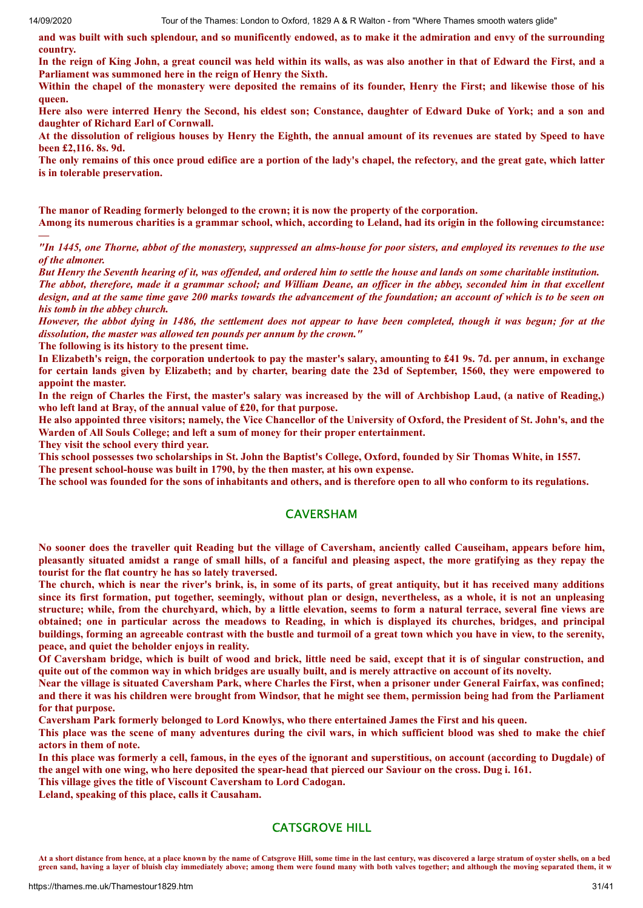and was built with such splendour, and so munificently endowed, as to make it the admiration and envy of the surrounding **country.**

In the reign of King John, a great council was held within its walls, as was also another in that of Edward the First, and a **Parliament was summoned here in the reign of Henry the Sixth.**

Within the chapel of the monastery were deposited the remains of its founder, Henry the First; and likewise those of his **queen.**

Here also were interred Henry the Second, his eldest son; Constance, daughter of Edward Duke of York; and a son and **daughter of Richard Earl of Cornwall.**

At the dissolution of religious houses by Henry the Eighth, the annual amount of its revenues are stated by Speed to have **been £2,116. 8s. 9d.**

The only remains of this once proud edifice are a portion of the lady's chapel, the refectory, and the great gate, which latter **is in tolerable preservation.**

**The manor of Reading formerly belonged to the crown; it is now the property of the corporation.**

Among its numerous charities is a grammar school, which, according to Leland, had its origin in the following circumstance: **—**

"In 1445, one Thorne, abbot of the monastery, suppressed an alms-house for poor sisters, and employed its revenues to the use *of the almoner.*

But Henry the Seventh hearing of it, was offended, and ordered him to settle the house and lands on some charitable institution. The abbot, therefore, made it a grammar school; and William Deane, an officer in the abbey, seconded him in that excellent design, and at the same time gave 200 marks towards the advancement of the foundation; an account of which is to be seen on *his tomb in the abbey church.*

However, the abbot dying in 1486, the settlement does not appear to have been completed, though it was begun; for at the *dissolution, the master was allowed ten pounds per annum by the crown."*

**The following is its history to the present time.**

In Elizabeth's reign, the corporation undertook to pay the master's salary, amounting to £41 9s. 7d. per annum, in exchange for certain lands given by Elizabeth; and by charter, bearing date the 23d of September, 1560, they were empowered to **appoint the master.**

In the reign of Charles the First, the master's salary was increased by the will of Archbishop Laud, (a native of Reading,) **who left land at Bray, of the annual value of £20, for that purpose.**

He also appointed three visitors; namely, the Vice Chancellor of the University of Oxford, the President of St. John's, and the **Warden of All Souls College; and left a sum of money for their proper entertainment.**

**They visit the school every third year.**

This school possesses two scholarships in St. John the Baptist's College, Oxford, founded by Sir Thomas White, in 1557.

**The present school-house was built in 1790, by the then master, at his own expense.**

The school was founded for the sons of inhabitants and others, and is therefore open to all who conform to its regulations.

# CAVERSHAM

No sooner does the traveller quit Reading but the village of Caversham, anciently called Causeiham, appears before him, pleasantly situated amidst a range of small hills, of a fanciful and pleasing aspect, the more gratifying as they repay the **tourist for the flat country he has so lately traversed.**

The church, which is near the river's brink, is, in some of its parts, of great antiquity, but it has received many additions since its first formation, put together, seemingly, without plan or design, nevertheless, as a whole, it is not an unpleasing structure; while, from the churchyard, which, by a little elevation, seems to form a natural terrace, several fine views are obtained; one in particular across the meadows to Reading, in which is displayed its churches, bridges, and principal buildings, forming an agreeable contrast with the bustle and turmoil of a great town which you have in view, to the serenity, **peace, and quiet the beholder enjoys in reality.**

Of Caversham bridge, which is built of wood and brick, little need be said, except that it is of singular construction, and quite out of the common way in which bridges are usually built, and is merely attractive on account of its novelty.

Near the village is situated Caversham Park, where Charles the First, when a prisoner under General Fairfax, was confined; and there it was his children were brought from Windsor, that he might see them, permission being had from the Parliament **for that purpose.**

**Caversham Park formerly belonged to Lord Knowlys, who there entertained James the First and his queen.**

This place was the scene of many adventures during the civil wars, in which sufficient blood was shed to make the chief **actors in them of note.**

In this place was formerly a cell, famous, in the eves of the ignorant and superstitious, on account (according to Dugdale) of the angel with one wing, who here deposited the spear-head that pierced our Saviour on the cross. Dug i. 161.

**This village gives the title of Viscount Caversham to Lord Cadogan.**

**Leland, speaking of this place, calls it Causaham.**

# CATSGROVE HILL

**At a short distance from hence, at a place known by the name of Catsgrove Hill, some time in the last century, was discovered a large stratum of oyster shells, on a bed green sand, having a layer of bluish clay immediately above; among them were found many with both valves together; and although the moving separated them, it w**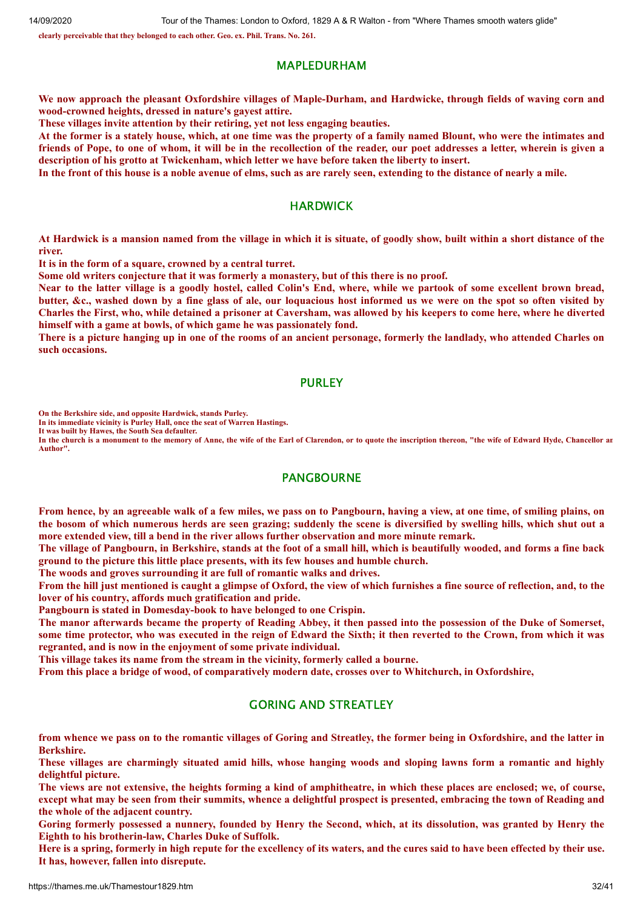**clearly perceivable that they belonged to each other. Geo. ex. Phil. Trans. No. 261.**

#### MAPLEDURHAM

We now approach the pleasant Oxfordshire villages of Maple-Durham, and Hardwicke, through fields of waving corn and **wood-crowned heights, dressed in nature's gayest attire.**

**These villages invite attention by their retiring, yet not less engaging beauties.**

At the former is a stately house, which, at one time was the property of a family named Blount, who were the intimates and friends of Pope, to one of whom, it will be in the recollection of the reader, our poet addresses a letter, wherein is given a **description of his grotto at Twickenham, which letter we have before taken the liberty to insert.**

In the front of this house is a noble avenue of elms, such as are rarely seen, extending to the distance of nearly a mile.

## **HARDWICK**

At Hardwick is a mansion named from the village in which it is situate, of goodly show, built within a short distance of the **river.**

**It is in the form of a square, crowned by a central turret.**

**Some old writers conjecture that it was formerly a monastery, but of this there is no proof.**

Near to the latter village is a goodly hostel, called Colin's End, where, while we partook of some excellent brown bread, butter, &c., washed down by a fine glass of ale, our loquacious host informed us we were on the spot so often visited by Charles the First, who, while detained a prisoner at Caversham, was allowed by his keepers to come here, where he diverted **himself with a game at bowls, of which game he was passionately fond.**

There is a picture hanging up in one of the rooms of an ancient personage, formerly the landlady, who attended Charles on **such occasions.**

# PURLEY

**On the Berkshire side, and opposite Hardwick, stands Purley.**

**In its immediate vicinity is Purley Hall, once the seat of Warren Hastings.**

**It was built by Hawes, the South Sea defaulter.**

**In the church is a monument to the memory of Anne, the wife of the Earl of Clarendon, or to quote the inscription thereon, "the wife of Edward Hyde, Chancellor an Author".**

#### PANGBOURNE

From hence, by an agreeable walk of a few miles, we pass on to Pangbourn, having a view, at one time, of smiling plains, on the bosom of which numerous herds are seen grazing; suddenly the scene is diversified by swelling hills, which shut out a **more extended view, till a bend in the river allows further observation and more minute remark.**

The village of Pangbourn, in Berkshire, stands at the foot of a small hill, which is beautifully wooded, and forms a fine back **ground to the picture this little place presents, with its few houses and humble church.**

**The woods and groves surrounding it are full of romantic walks and drives.**

From the hill just mentioned is caught a glimpse of Oxford, the view of which furnishes a fine source of reflection, and, to the **lover of his country, affords much gratification and pride.**

**Pangbourn is stated in Domesday-book to have belonged to one Crispin.**

The manor afterwards became the property of Reading Abbey, it then passed into the possession of the Duke of Somerset, some time protector, who was executed in the reign of Edward the Sixth; it then reverted to the Crown, from which it was **regranted, and is now in the enjoyment of some private individual.**

**This village takes its name from the stream in the vicinity, formerly called a bourne.**

From this place a bridge of wood, of comparatively modern date, crosses over to Whitchurch, in Oxfordshire,

# GORING AND STREATLEY

from whence we pass on to the romantic villages of Goring and Streatley, the former being in Oxfordshire, and the latter in **Berkshire.**

These villages are charmingly situated amid hills, whose hanging woods and sloping lawns form a romantic and highly **delightful picture.**

The views are not extensive, the heights forming a kind of amphitheatre, in which these places are enclosed; we, of course, except what may be seen from their summits, whence a delightful prospect is presented, embracing the town of Reading and **the whole of the adjacent country.**

Goring formerly possessed a nunnery, founded by Henry the Second, which, at its dissolution, was granted by Henry the **Eighth to his brotherin-law, Charles Duke of Suffolk.**

Here is a spring, formerly in high repute for the excellency of its waters, and the cures said to have been effected by their use. **It has, however, fallen into disrepute.**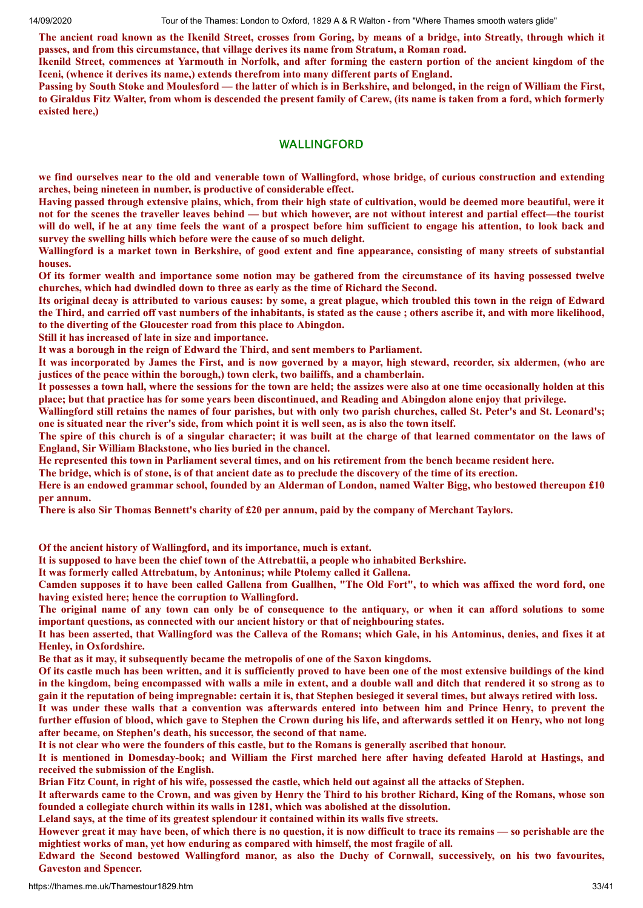The ancient road known as the Ikenild Street, crosses from Goring, by means of a bridge, into Streatly, through which it **passes, and from this circumstance, that village derives its name from Stratum, a Roman road.**

Ikenild Street, commences at Yarmouth in Norfolk, and after forming the eastern portion of the ancient kingdom of the **Iceni, (whence it derives its name,) extends therefrom into many different parts of England.**

Passing by South Stoke and Moulesford — the latter of which is in Berkshire, and belonged, in the reign of William the First, to Giraldus Fitz Walter, from whom is descended the present family of Carew, (its name is taken from a ford, which formerly **existed here,)**

# WALLINGFORD

we find ourselves near to the old and venerable town of Wallingford, whose bridge, of curious construction and extending **arches, being nineteen in number, is productive of considerable effect.**

Having passed through extensive plains, which, from their high state of cultivation, would be deemed more beautiful, were it not for the scenes the traveller leaves behind — but which however, are not without interest and partial effect—the tourist will do well, if he at any time feels the want of a prospect before him sufficient to engage his attention, to look back and **survey the swelling hills which before were the cause of so much delight.**

Wallingford is a market town in Berkshire, of good extent and fine appearance, consisting of many streets of substantial **houses.**

Of its former wealth and importance some notion may be gathered from the circumstance of its having possessed twelve **churches, which had dwindled down to three as early as the time of Richard the Second.**

Its original decay is attributed to various causes: by some, a great plague, which troubled this town in the reign of Edward the Third, and carried off vast numbers of the inhabitants, is stated as the cause; others ascribe it, and with more likelihood, **to the diverting of the Gloucester road from this place to Abingdon.**

**Still it has increased of late in size and importance.**

**It was a borough in the reign of Edward the Third, and sent members to Parliament.**

It was incorporated by James the First, and is now governed by a mayor, high steward, recorder, six aldermen, (who are **justices of the peace within the borough,) town clerk, two bailiffs, and a chamberlain.**

It possesses a town hall, where the sessions for the town are held; the assizes were also at one time occasionally holden at this place; but that practice has for some years been discontinued, and Reading and Abingdon alone enjoy that privilege.

Wallingford still retains the names of four parishes, but with only two parish churches, called St. Peter's and St. Leonard's; one is situated near the river's side, from which point it is well seen, as is also the town itself.

The spire of this church is of a singular character; it was built at the charge of that learned commentator on the laws of **England, Sir William Blackstone, who lies buried in the chancel.**

He represented this town in Parliament several times, and on his retirement from the bench became resident here.

The bridge, which is of stone, is of that ancient date as to preclude the discovery of the time of its erection.

Here is an endowed grammar school, founded by an Alderman of London, named Walter Bigg, who bestowed thereupon £10 **per annum.**

There is also Sir Thomas Bennett's charity of £20 per annum, paid by the company of Merchant Taylors.

**Of the ancient history of Wallingford, and its importance, much is extant.**

**It is supposed to have been the chief town of the Attrebattii, a people who inhabited Berkshire.**

**It was formerly called Attrebatum, by Antoninus; while Ptolemy called it Gallena.**

Camden supposes it to have been called Gallena from Guallhen, "The Old Fort", to which was affixed the word ford, one **having existed here; hence the corruption to Wallingford.**

The original name of any town can only be of consequence to the antiquary, or when it can afford solutions to some **important questions, as connected with our ancient history or that of neighbouring states.**

It has been asserted, that Wallingford was the Calleva of the Romans; which Gale, in his Antominus, denies, and fixes it at **Henley, in Oxfordshire.**

**Be that as it may, it subsequently became the metropolis of one of the Saxon kingdoms.**

Of its castle much has been written, and it is sufficiently proved to have been one of the most extensive buildings of the kind in the kingdom, being encompassed with walls a mile in extent, and a double wall and ditch that rendered it so strong as to gain it the reputation of being impregnable: certain it is, that Stephen besieged it several times, but always retired with loss. It was under these walls that a convention was afterwards entered into between him and Prince Henry, to prevent the

further effusion of blood, which gave to Stephen the Crown during his life, and afterwards settled it on Henry, who not long **after became, on Stephen's death, his successor, the second of that name.**

It is not clear who were the founders of this castle, but to the Romans is generally ascribed that honour.

It is mentioned in Domesday-book; and William the First marched here after having defeated Harold at Hastings, and **received the submission of the English.**

Brian Fitz Count, in right of his wife, possessed the castle, which held out against all the attacks of Stephen.

It afterwards came to the Crown, and was given by Henry the Third to his brother Richard, King of the Romans, whose son **founded a collegiate church within its walls in 1281, which was abolished at the dissolution.**

**Leland says, at the time of its greatest splendour it contained within its walls five streets.**

However great it may have been, of which there is no question, it is now difficult to trace its remains — so perishable are the **mightiest works of man, yet how enduring as compared with himself, the most fragile of all.**

Edward the Second bestowed Wallingford manor, as also the Duchy of Cornwall, successively, on his two favourites, **Gaveston and Spencer.**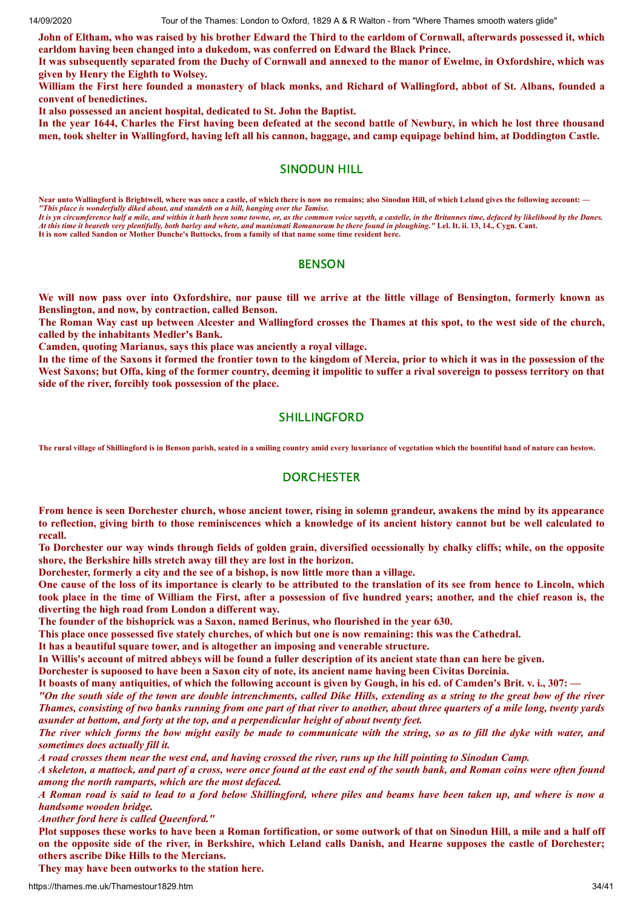John of Eltham, who was raised by his brother Edward the Third to the earldom of Cornwall, afterwards possessed it, which **earldom having been changed into a dukedom, was conferred on Edward the Black Prince.**

It was subsequently separated from the Duchy of Cornwall and annexed to the manor of Ewelme, in Oxfordshire, which was **given by Henry the Eighth to Wolsey.**

William the First here founded a monastery of black monks, and Richard of Wallingford, abbot of St. Albans, founded a **convent of benedictines.**

**It also possessed an ancient hospital, dedicated to St. John the Baptist.**

In the year 1644, Charles the First having been defeated at the second battle of Newbury, in which he lost three thousand men, took shelter in Wallingford, having left all his cannon, baggage, and camp equipage behind him, at Doddington Castle.

# SINODUN HILL

Near unto Wallingford is Brightwell, where was once a castle, of which there is now no remains; also Sinodun Hill, of which Leland gives the following account: — *"This place is wonderfully diked about, and standeth on a hill, hanging over the Tamise.*

*It is yn circumference half a mile, and within it hath been some towne, or, as the common voice sayeth, a castelle, in the Britannes time, defaced by likelihood by the Danes. At this time it beareth very plentifully, both barley and whete, and munismati Romanorum be there found in ploughing."* **Lel. It. ii. 13, 14., Cygn. Cant. It is now called Sandon or Mother Dunche's Buttocks, from a family of that name some time resident here.**

# **BENSON**

We will now pass over into Oxfordshire, nor pause till we arrive at the little village of Bensington, formerly known as **Benslington, and now, by contraction, called Benson.**

The Roman Way cast up between Alcester and Wallingford crosses the Thames at this spot, to the west side of the church, **called by the inhabitants Medler's Bank.**

**Camden, quoting Marianus, says this place was anciently a royal village.**

In the time of the Saxons it formed the frontier town to the kingdom of Mercia, prior to which it was in the possession of the West Saxons; but Offa, king of the former country, deeming it impolitic to suffer a rival sovereign to possess territory on that **side of the river, forcibly took possession of the place.**

# SHILLINGFORD

**The rural village of Shillingford is in Benson parish, seated in a smiling country amid every luxuriance of vegetation which the bountiful hand of nature can bestow.**

# **DORCHESTER**

From hence is seen Dorchester church, whose ancient tower, rising in solemn grandeur, awakens the mind by its appearance to reflection, giving birth to those reminiscences which a knowledge of its ancient history cannot but be well calculated to **recall.**

To Dorchester our way winds through fields of golden grain, diversified occssionally by chalky cliffs; while, on the opposite **shore, the Berkshire hills stretch away till they are lost in the horizon.**

**Dorchester, formerly a city and the see of a bishop, is now little more than a village.**

One cause of the loss of its importance is clearly to be attributed to the translation of its see from hence to Lincoln, which took place in the time of William the First, after a possession of five hundred years; another, and the chief reason is, the **diverting the high road from London a different way.**

**The founder of the bishoprick was a Saxon, named Berinus, who flourished in the year 630.**

This place once possessed five stately churches, of which but one is now remaining: this was the Cathedral.

**It has a beautiful square tower, and is altogether an imposing and venerable structure.**

In Willis's account of mitred abbeys will be found a fuller description of its ancient state than can here be given.

Dorchester is supoosed to have been a Saxon city of note, its ancient name having been Civitas Dorcinia.

It boasts of many antiquities, of which the following account is given by Gough, in his ed. of Camden's Brit. v. i., 307:

"On the south side of the town are double intrenchments, called Dike Hills, extending as a string to the great bow of the river Thames, consisting of two banks running from one part of that river to another, about three quarters of a mile long, twenty vards *asunder at bottom, and forty at the top, and a perpendicular height of about twenty feet.*

The river which forms the bow might easily be made to communicate with the string, so as to fill the dyke with water, and *sometimes does actually fill it.*

A road crosses them near the west end, and having crossed the river, runs up the hill pointing to Sinodun Camp.

A skeleton, a mattock, and part of a cross, were once found at the east end of the south bank, and Roman coins were often found *among the north ramparts, which are the most defaced.*

A Roman road is said to lead to a ford below Shillingford, where piles and beams have been taken up, and where is now a *handsome wooden bridge.*

*Another ford here is called Queenford."*

Plot supposes these works to have been a Roman fortification, or some outwork of that on Sinodun Hill, a mile and a half off on the opposite side of the river, in Berkshire, which Leland calls Danish, and Hearne supposes the castle of Dorchester; **others ascribe Dike Hills to the Mercians.**

**They may have been outworks to the station here.**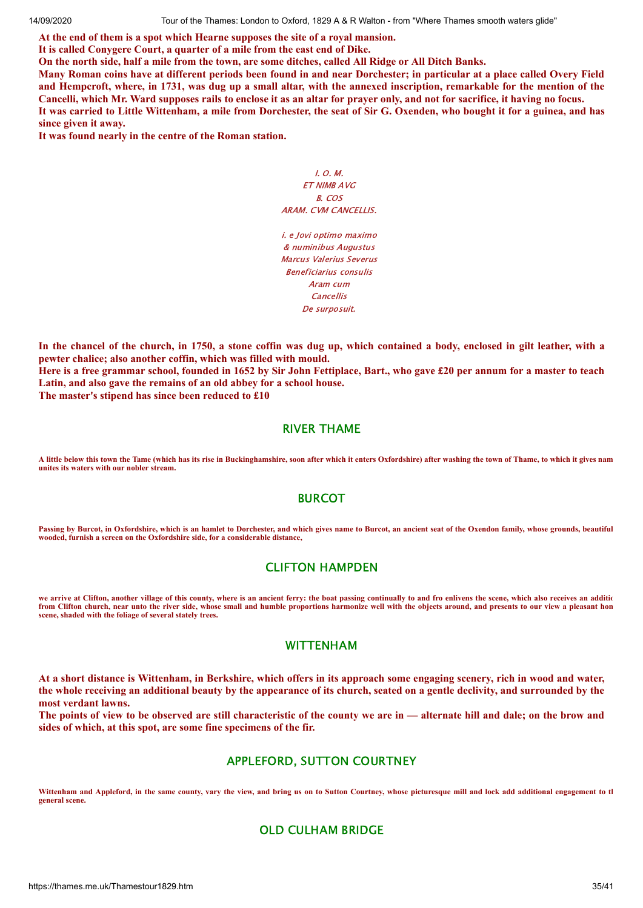**At the end of them is a spot which Hearne supposes the site of a royal mansion.**

**It is called Conygere Court, a quarter of a mile from the east end of Dike.**

On the north side, half a mile from the town, are some ditches, called All Ridge or All Ditch Banks.

Many Roman coins have at different periods been found in and near Dorchester; in particular at a place called Overy Field and Hemperoft, where, in 1731, was dug up a small altar, with the annexed inscription, remarkable for the mention of the Cancelli, which Mr. Ward supposes rails to enclose it as an altar for prayer only, and not for sacrifice, it having no focus. It was carried to Little Wittenham, a mile from Dorchester, the seat of Sir G. Oxenden, who bought it for a guinea, and has **since given it away.**

**It was found nearly in the centre of the Roman station.**

I. O. M. ET NIMB AVG B. COS ARAM. CVM CANCELLIS.

i. e Jovi optimo maximo & numinibus Augustus Marcus Valerius Severus Beneficiarius consulis Aram cum Cancellis De surposuit.

In the chancel of the church, in 1750, a stone coffin was dug up, which contained a body, enclosed in gilt leather, with a **pewter chalice; also another coffin, which was filled with mould.**

Here is a free grammar school, founded in 1652 by Sir John Fettiplace, Bart., who gave £20 per annum for a master to teach **Latin, and also gave the remains of an old abbey for a school house.**

**The master's stipend has since been reduced to £10**

#### RIVER THAME

**A little below this town the Tame (which has its rise in Buckinghamshire, soon after which it enters Oxfordshire) after washing the town of Thame, to which it gives nam unites its waters with our nobler stream.**

# BURCOT

**Passing by Burcot, in Oxfordshire, which is an hamlet to Dorchester, and which gives name to Burcot, an ancient seat of the Oxendon family, whose grounds, beautiful wooded, furnish a screen on the Oxfordshire side, for a considerable distance,**

# CLIFTON HAMPDEN

**we arrive at Clifton, another village of this county, where is an ancient ferry: the boat passing continually to and fro enlivens the scene, which also receives an additio from Clifton church, near unto the river side, whose small and humble proportions harmonize well with the objects around, and presents to our view a pleasant hom scene, shaded with the foliage of several stately trees.**

# WITTENHAM

At a short distance is Wittenham, in Berkshire, which offers in its approach some engaging scenery, rich in wood and water, the whole receiving an additional beauty by the appearance of its church, seated on a gentle declivity, and surrounded by the **most verdant lawns.**

The points of view to be observed are still characteristic of the county we are in — alternate hill and dale; on the brow and **sides of which, at this spot, are some fine specimens of the fir.**

# APPLEFORD, SUTTON COURTNEY

Wittenham and Appleford, in the same county, vary the view, and bring us on to Sutton Courtney, whose picturesque mill and lock add additional engagement to the **general scene.**

# OLD CULHAM BRIDGE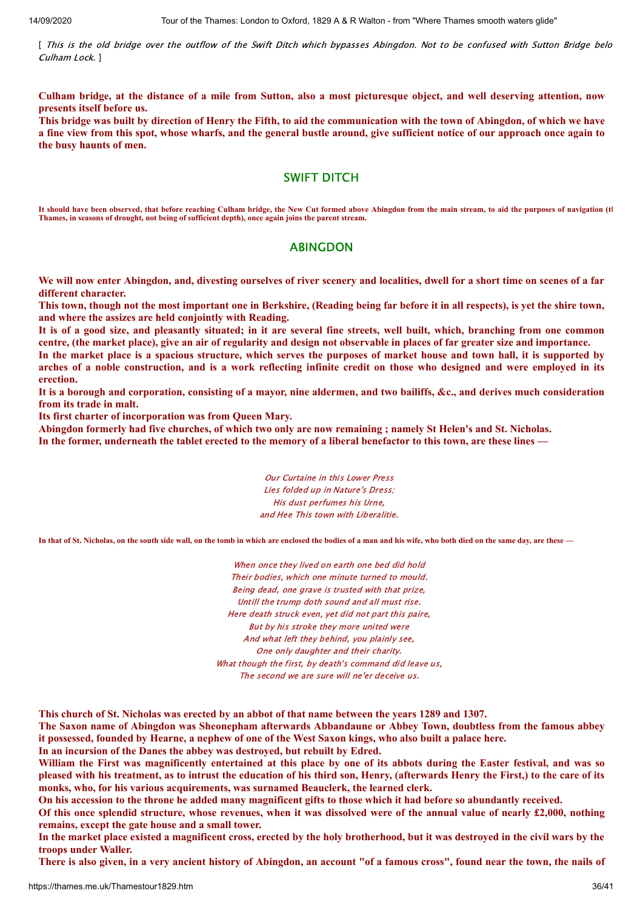[ This is the old bridge over the outflow of the Swift Ditch which bypasses Abingdon. Not to be confused with Sutton Bridge belo Culham Lock. ]

Culham bridge, at the distance of a mile from Sutton, also a most picturesque object, and well deserving attention, now **presents itself before us.**

This bridge was built by direction of Henry the Fifth, to aid the communication with the town of Abingdon, of which we have a fine view from this spot, whose wharfs, and the general bustle around, give sufficient notice of our approach once again to **the busy haunts of men.**

#### SWIFT DITCH

**It should have been observed, that before reaching Culham bridge, the New Cut formed above Abingdon from the main stream, to aid the purposes of navigation (th Thames, in seasons of drought, not being of sufficient depth), once again joins the parent stream.**

#### ABINGDON

We will now enter Abingdon, and, divesting ourselves of river scenery and localities, dwell for a short time on scenes of a far **different character.**

This town, though not the most important one in Berkshire, (Reading being far before it in all respects), is vet the shire town, **and where the assizes are held conjointly with Reading.**

It is of a good size, and pleasantly situated; in it are several fine streets, well built, which, branching from one common centre, (the market place), give an air of regularity and design not observable in places of far greater size and importance.

In the market place is a spacious structure, which serves the purposes of market house and town hall, it is supported by arches of a noble construction, and is a work reflecting infinite credit on those who designed and were employed in its **erection.**

It is a borough and corporation, consisting of a mayor, nine aldermen, and two bailiffs, &c., and derives much consideration **from its trade in malt.**

**Its first charter of incorporation was from Queen Mary.**

Abingdon formerly had five churches, of which two only are now remaining; namely St Helen's and St. Nicholas. In the former, underneath the tablet erected to the memory of a liberal benefactor to this town, are these lines —

> Our Curtaine in this Lower Press Lies folded up in Nature's Dress; His dust perfumes his Urne, and Hee This town with Liberalitie.

**In that of St. Nicholas, on the south side wall, on the tomb in which are enclosed the bodies of a man and his wife, who both died on the same day, are these —**

When once they lived on earth one bed did hold Their bodies, which one minute turned to mould. Being dead, one grave is trusted with that prize, Untill the trump doth sound and all must rise. Here death struck even, yet did not part this paire, But by his stroke they more united were And what left they behind, you plainly see, One only daughter and their charity. What though the first, by death's command did leave us, The second we are sure will ne'er deceive us.

This church of St. Nicholas was erected by an abbot of that name between the years 1289 and 1307.

The Saxon name of Abingdon was Sheonepham afterwards Abbandaune or Abbey Town, doubtless from the famous abbey it possessed, founded by Hearne, a nephew of one of the West Saxon kings, who also built a palace here.

**In an incursion of the Danes the abbey was destroyed, but rebuilt by Edred.**

William the First was magnificently entertained at this place by one of its abbots during the Easter festival, and was so pleased with his treatment, as to intrust the education of his third son, Henry, (afterwards Henry the First,) to the care of its **monks, who, for his various acquirements, was surnamed Beauclerk, the learned clerk.**

On his accession to the throne he added many magnificent gifts to those which it had before so abundantly received.

Of this once splendid structure, whose revenues, when it was dissolved were of the annual value of nearly  $\pounds2,000$ , nothing **remains, except the gate house and a small tower.**

In the market place existed a magnificent cross, erected by the holy brotherhood, but it was destroyed in the civil wars by the **troops under Waller.**

There is also given, in a very ancient history of Abingdon, an account "of a famous cross", found near the town, the nails of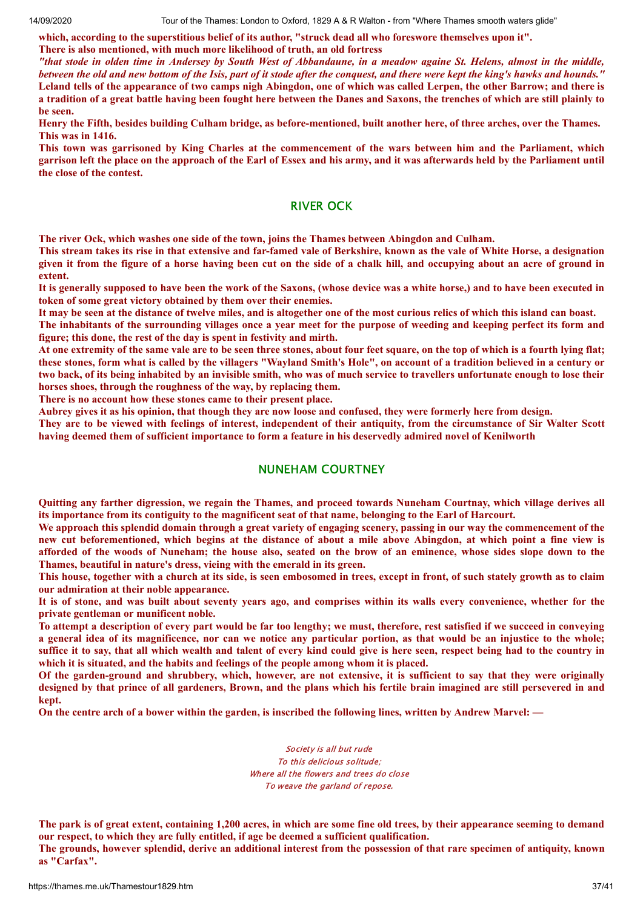which, according to the superstitious belief of its author, "struck dead all who foreswore themselves upon it".

**There is also mentioned, with much more likelihood of truth, an old fortress**

"that stode in olden time in Andersey by South West of Abbandaune, in a meadow againe St. Helens, almost in the middle, between the old and new bottom of the Isis, part of it stode after the conquest, and there were kept the king's hawks and hounds." Leland tells of the appearance of two camps nigh Abingdon, one of which was called Lerpen, the other Barrow; and there is a tradition of a great battle having been fought here between the Danes and Saxons, the trenches of which are still plainly to **be seen.**

Henry the Fifth, besides building Culham bridge, as before-mentioned, built another here, of three arches, over the Thames. **This was in 1416.**

This town was garrisoned by King Charles at the commencement of the wars between him and the Parliament, which garrison left the place on the approach of the Earl of Essex and his army, and it was afterwards held by the Parliament until **the close of the contest.**

#### RIVER OCK

**The river Ock, which washes one side of the town, joins the Thames between Abingdon and Culham.**

This stream takes its rise in that extensive and far-famed vale of Berkshire, known as the vale of White Horse, a designation given it from the figure of a horse having been cut on the side of a chalk hill, and occupying about an acre of ground in **extent.**

It is generally supposed to have been the work of the Saxons, (whose device was a white horse,) and to have been executed in **token of some great victory obtained by them over their enemies.**

It may be seen at the distance of twelve miles, and is altogether one of the most curious relics of which this island can boast.

The inhabitants of the surrounding villages once a year meet for the purpose of weeding and keeping perfect its form and **figure; this done, the rest of the day is spent in festivity and mirth.**

At one extremity of the same vale are to be seen three stones, about four feet square, on the top of which is a fourth lying flat; these stones, form what is called by the villagers "Wayland Smith's Hole", on account of a tradition believed in a century or two back, of its being inhabited by an invisible smith, who was of much service to travellers unfortunate enough to lose their **horses shoes, through the roughness of the way, by replacing them.**

**There is no account how these stones came to their present place.**

Aubrey gives it as his opinion, that though they are now loose and confused, they were formerly here from design.

They are to be viewed with feelings of interest, independent of their antiquity, from the circumstance of Sir Walter Scott having deemed them of sufficient importance to form a feature in his deservedly admired novel of Kenilworth

# NUNEHAM COURTNEY

Ouitting any farther digression, we regain the Thames, and proceed towards Nuneham Courtnay, which village derives all its importance from its contiguity to the magnificent seat of that name, belonging to the Earl of Harcourt.

We approach this splendid domain through a great variety of engaging scenery, passing in our way the commencement of the new cut beforementioned, which begins at the distance of about a mile above Abingdon, at which point a fine view is afforded of the woods of Nuneham; the house also, seated on the brow of an eminence, whose sides slope down to the **Thames, beautiful in nature's dress, vieing with the emerald in its green.**

This house, together with a church at its side, is seen embosomed in trees, except in front, of such stately growth as to claim **our admiration at their noble appearance.**

It is of stone, and was built about seventy years ago, and comprises within its walls every convenience, whether for the **private gentleman or munificent noble.**

To attempt a description of every part would be far too lengthy; we must, therefore, rest satisfied if we succeed in conveying a general idea of its magnificence, nor can we notice any particular portion, as that would be an injustice to the whole; suffice it to say, that all which wealth and talent of every kind could give is here seen, respect being had to the country in **which it is situated, and the habits and feelings of the people among whom it is placed.**

Of the garden-ground and shrubbery, which, however, are not extensive, it is sufficient to say that they were originally designed by that prince of all gardeners, Brown, and the plans which his fertile brain imagined are still persevered in and **kept.**

On the centre arch of a bower within the garden, is inscribed the following lines, written by Andrew Marvel: —

Society is all but rude To this delicious solitude; Where all the flowers and trees do close To weave the garland of repose.

The park is of great extent, containing 1,200 acres, in which are some fine old trees, by their appearance seeming to demand **our respect, to which they are fully entitled, if age be deemed a sufficient qualification.** The grounds, however splendid, derive an additional interest from the possession of that rare specimen of antiquity, known **as "Carfax".**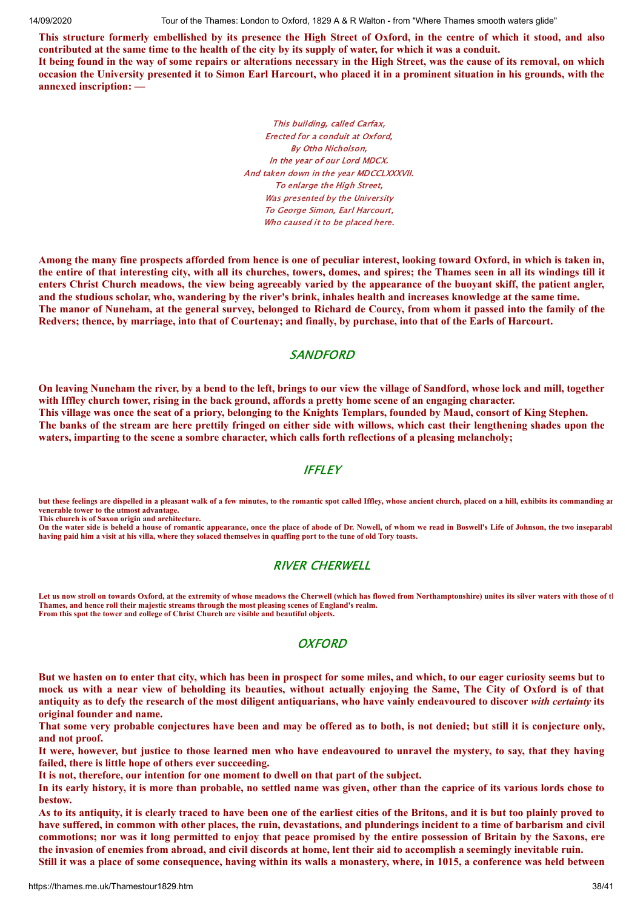This structure formerly embellished by its presence the High Street of Oxford, in the centre of which it stood, and also contributed at the same time to the health of the city by its supply of water, for which it was a conduit.

It being found in the way of some repairs or alterations necessary in the High Street, was the cause of its removal, on which occasion the University presented it to Simon Earl Harcourt, who placed it in a prominent situation in his grounds, with the **annexed inscription: —**

> This building, called Carfax, Erected for a conduit at Oxford, By Otho Nicholson, In the year of our Lord MDCX. And taken down in the year MDCCLXXXVII. To enlarge the High Street, Was presented by the University To George Simon, Earl Harcourt, Who caused it to be placed here.

Among the many fine prospects afforded from hence is one of peculiar interest, looking toward Oxford, in which is taken in, the entire of that interesting city, with all its churches, towers, domes, and spires; the Thames seen in all its windings till it enters Christ Church meadows, the view being agreeably varied by the appearance of the buoyant skiff, the patient angler, and the studious scholar, who, wandering by the river's brink, inhales health and increases knowledge at the same time. The manor of Nuneham, at the general survey, belonged to Richard de Courcy, from whom it passed into the family of the Redvers; thence, by marriage, into that of Courtenay; and finally, by purchase, into that of the Earls of Harcourt.

#### **SANDFORD**

On leaving Nuneham the river, by a bend to the left, brings to our view the village of Sandford, whose lock and mill, together with Iffley church tower, rising in the back ground, affords a pretty home scene of an engaging character. This village was once the seat of a priory, belonging to the Knights Templars, founded by Maud, consort of King Stephen. The banks of the stream are here prettily fringed on either side with willows, which cast their lengthening shades upon the **waters, imparting to the scene a sombre character, which calls forth reflections of a pleasing melancholy;**

# **IFFLEY**

**but these feelings are dispelled in a pleasant walk of a few minutes, to the romantic spot called Iffley, whose ancient church, placed on a hill, exhibits its commanding an venerable tower to the utmost advantage. This church is of Saxon origin and architecture.**

**On the water side is beheld a house of romantic appearance, once the place of abode of Dr. Nowell, of whom we read in Boswell's Life of Johnson, the two inseparabl having paid him a visit at his villa, where they solaced themselves in quaffing port to the tune of old Tory toasts.**

# RIVER CHERWELL

**Let us now stroll on towards Oxford, at the extremity of whose meadows the Cherwell (which has flowed from Northamptonshire) unites its silver waters with those of th Thames, and hence roll their majestic streams through the most pleasing scenes of England's realm. From this spot the tower and college of Christ Church are visible and beautiful objects.**

# **OXFORD**

But we hasten on to enter that city, which has been in prospect for some miles, and which, to our eager curiosity seems but to mock us with a near view of beholding its beauties, without actually enjoying the Same, The City of Oxford is of that antiquity as to defy the research of the most diligent antiquarians, who have vainly endeavoured to discover with certainty its **original founder and name.**

That some very probable conjectures have been and may be offered as to both, is not denied; but still it is conjecture only, **and not proof.**

It were, however, but justice to those learned men who have endeavoured to unravel the mystery, to say, that they having **failed, there is little hope of others ever succeeding.**

**It is not, therefore, our intention for one moment to dwell on that part of the subject.**

In its early history, it is more than probable, no settled name was given, other than the caprice of its various lords chose to **bestow.**

As to its antiquity, it is clearly traced to have been one of the earliest cities of the Britons, and it is but too plainly proved to have suffered, in common with other places, the ruin, devastations, and plunderings incident to a time of barbarism and civil commotions; nor was it long permitted to enjoy that peace promised by the entire possession of Britain by the Saxons, ere the invasion of enemies from abroad, and civil discords at home, lent their aid to accomplish a seemingly inevitable ruin.

Still it was a place of some consequence, having within its walls a monastery, where, in 1015, a conference was held between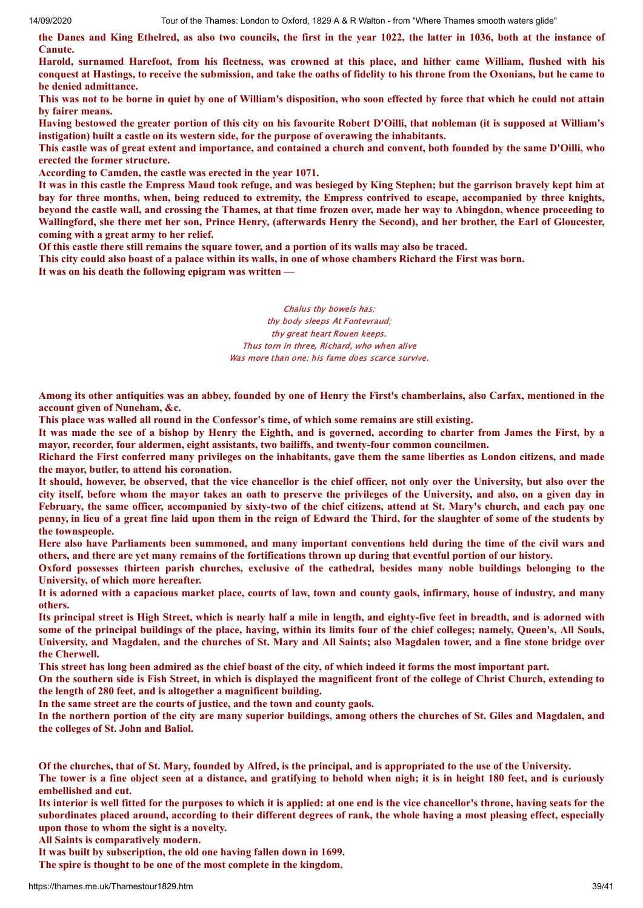the Danes and King Ethelred, as also two councils, the first in the year 1022, the latter in 1036, both at the instance of **Canute.**

Harold, surnamed Harefoot, from his fleetness, was crowned at this place, and hither came William, flushed with his conquest at Hastings, to receive the submission, and take the oaths of fidelity to his throne from the Oxonians, but he came to **be denied admittance.**

This was not to be borne in quiet by one of William's disposition, who soon effected by force that which he could not attain **by fairer means.**

Having bestowed the greater portion of this city on his favourite Robert D'Oilli, that nobleman (it is supposed at William's **instigation) built a castle on its western side, for the purpose of overawing the inhabitants.**

This castle was of great extent and importance, and contained a church and convent, both founded by the same D'Oilli, who **erected the former structure.**

**According to Camden, the castle was erected in the year 1071.**

It was in this castle the Empress Maud took refuge, and was besieged by King Stephen; but the garrison bravely kept him at bay for three months, when, being reduced to extremity, the Empress contrived to escape, accompanied by three knights, beyond the castle wall, and crossing the Thames, at that time frozen over, made her way to Abingdon, whence proceeding to Wallingford, she there met her son, Prince Henry, (afterwards Henry the Second), and her brother, the Earl of Gloucester, **coming with a great army to her relief.**

Of this castle there still remains the square tower, and a portion of its walls may also be traced.

This city could also boast of a palace within its walls, in one of whose chambers Richard the First was born.

**It was on his death the following epigram was written —**

Chalus thy bowels has; thy body sleeps At Fontevraud; thy great heart Rouen keeps. Thus torn in three, Richard, who when alive Was more than one; his fame does scarce survive.

Among its other antiquities was an abbey, founded by one of Henry the First's chamberlains, also Carfax, mentioned in the **account given of Nuneham, &c.**

**This place was walled all round in the Confessor's time, of which some remains are still existing.**

It was made the see of a bishop by Henry the Eighth, and is governed, according to charter from James the First, by a **mayor, recorder, four aldermen, eight assistants, two bailiffs, and twenty-four common councilmen.**

Richard the First conferred many privileges on the inhabitants, gave them the same liberties as London citizens, and made **the mayor, butler, to attend his coronation.**

It should, however, be observed, that the vice chancellor is the chief officer, not only over the University, but also over the city itself, before whom the mayor takes an oath to preserve the privileges of the University, and also, on a given day in February, the same officer, accompanied by sixty-two of the chief citizens, attend at St. Mary's church, and each pay one penny, in lieu of a great fine laid upon them in the reign of Edward the Third, for the slaughter of some of the students by **the townspeople.**

Here also have Parliaments been summoned, and many important conventions held during the time of the civil wars and others, and there are yet many remains of the fortifications thrown up during that eventful portion of our history.

Oxford possesses thirteen parish churches, exclusive of the cathedral, besides many noble buildings belonging to the **University, of which more hereafter.**

It is adorned with a capacious market place, courts of law, town and county gaols, infirmary, house of industry, and many **others.**

Its principal street is High Street, which is nearly half a mile in length, and eighty-five feet in breadth, and is adorned with some of the principal buildings of the place, having, within its limits four of the chief colleges; namely, Queen's, All Souls, University, and Magdalen, and the churches of St. Mary and All Saints; also Magdalen tower, and a fine stone bridge over **the Cherwell.**

This street has long been admired as the chief boast of the city, of which indeed it forms the most important part.

On the southern side is Fish Street, in which is displayed the magnificent front of the college of Christ Church, extending to **the length of 280 feet, and is altogether a magnificent building.**

**In the same street are the courts of justice, and the town and county gaols.**

In the northern portion of the city are many superior buildings, among others the churches of St. Giles and Magdalen, and **the colleges of St. John and Baliol.**

Of the churches, that of St. Mary, founded by Alfred, is the principal, and is appropriated to the use of the University. The tower is a fine object seen at a distance, and gratifying to behold when nigh; it is in height 180 feet, and is curiously

**embellished and cut.**

Its interior is well fitted for the purposes to which it is applied: at one end is the vice chancellor's throne, having seats for the subordinates placed around, according to their different degrees of rank, the whole having a most pleasing effect, especially **upon those to whom the sight is a novelty.**

**All Saints is comparatively modern.**

**It was built by subscription, the old one having fallen down in 1699.**

**The spire is thought to be one of the most complete in the kingdom.**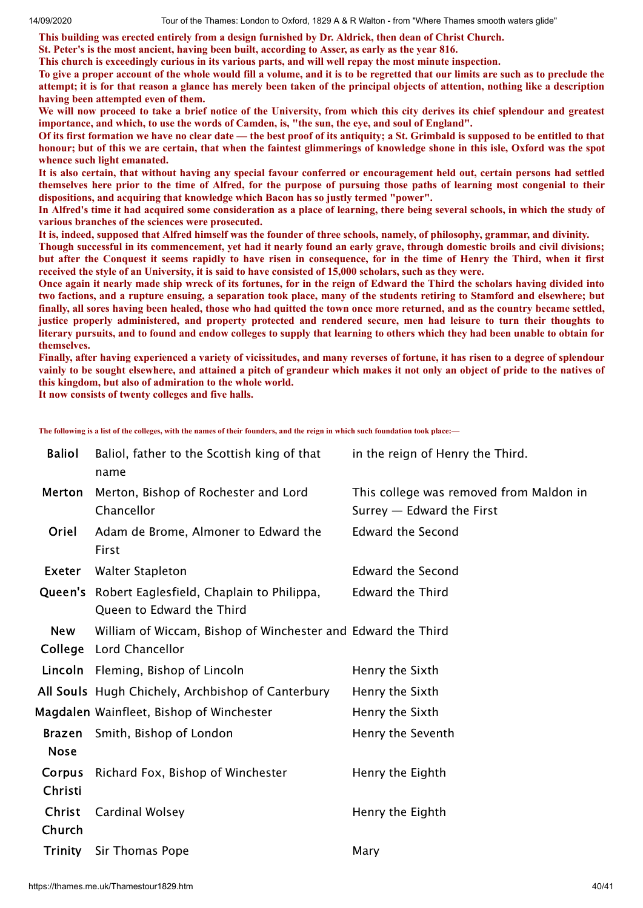**This building was erected entirely from a design furnished by Dr. Aldrick, then dean of Christ Church.**

**St. Peter's is the most ancient, having been built, according to Asser, as early as the year 816.**

**This church is exceedingly curious in its various parts, and will well repay the most minute inspection.**

To give a proper account of the whole would fill a volume, and it is to be regretted that our limits are such as to preclude the attempt; it is for that reason a glance has merely been taken of the principal objects of attention, nothing like a description **having been attempted even of them.**

We will now proceed to take a brief notice of the University, from which this city derives its chief splendour and greatest **importance, and which, to use the words of Camden, is, "the sun, the eye, and soul of England".**

Of its first formation we have no clear date — the best proof of its antiquity; a St. Grimbald is supposed to be entitled to that honour; but of this we are certain, that when the faintest glimmerings of knowledge shone in this isle, Oxford was the spot **whence such light emanated.**

It is also certain, that without having any special favour conferred or encouragement held out, certain persons had settled themselves here prior to the time of Alfred, for the purpose of pursuing those paths of learning most congenial to their **dispositions, and acquiring that knowledge which Bacon has so justly termed "power".**

In Alfred's time it had acquired some consideration as a place of learning, there being several schools, in which the study of **various branches of the sciences were prosecuted.**

It is, indeed, supposed that Alfred himself was the founder of three schools, namely, of philosophy, grammar, and divinity.

Though successful in its commencement, yet had it nearly found an early grave, through domestic broils and civil divisions; but after the Conquest it seems rapidly to have risen in consequence, for in the time of Henry the Third, when it first received the style of an University, it is said to have consisted of 15,000 scholars, such as they were.

Once again it nearly made ship wreck of its fortunes, for in the reign of Edward the Third the scholars having divided into two factions, and a rupture ensuing, a separation took place, many of the students retiring to Stamford and elsewhere; but finally, all sores having been healed, those who had quitted the town once more returned, and as the country became settled, justice properly administered, and property protected and rendered secure, men had leisure to turn their thoughts to literary pursuits, and to found and endow colleges to supply that learning to others which they had been unable to obtain for **themselves.**

Finally, after having experienced a variety of vicissitudes, and many reverses of fortune, it has risen to a degree of splendour vainly to be sought elsewhere, and attained a pitch of grandeur which makes it not only an object of pride to the natives of **this kingdom, but also of admiration to the whole world.**

**It now consists of twenty colleges and five halls.**

**The following is a list of the colleges, with the names of their founders, and the reign in which such foundation took place:—**

| <b>Baliol</b>         | Baliol, father to the Scottish king of that<br>name                                     | in the reign of Henry the Third.                                     |
|-----------------------|-----------------------------------------------------------------------------------------|----------------------------------------------------------------------|
| Merton                | Merton, Bishop of Rochester and Lord<br>Chancellor                                      | This college was removed from Maldon in<br>Surrey - Edward the First |
| Oriel                 | Adam de Brome, Almoner to Edward the<br>First                                           | <b>Edward the Second</b>                                             |
| Exeter                | <b>Walter Stapleton</b>                                                                 | <b>Edward the Second</b>                                             |
|                       | Queen's Robert Eaglesfield, Chaplain to Philippa,<br>Queen to Edward the Third          | <b>Edward the Third</b>                                              |
| <b>New</b>            | William of Wiccam, Bishop of Winchester and Edward the Third<br>College Lord Chancellor |                                                                      |
|                       | Lincoln Fleming, Bishop of Lincoln                                                      | Henry the Sixth                                                      |
|                       | All Souls Hugh Chichely, Archbishop of Canterbury                                       | Henry the Sixth                                                      |
|                       | Magdalen Wainfleet, Bishop of Winchester                                                | Henry the Sixth                                                      |
| Brazen<br><b>Nose</b> | Smith, Bishop of London                                                                 | Henry the Seventh                                                    |
| Corpus<br>Christi     | Richard Fox, Bishop of Winchester                                                       | Henry the Eighth                                                     |
| Christ<br>Church      | Cardinal Wolsey                                                                         | Henry the Eighth                                                     |
|                       | Trinity Sir Thomas Pope                                                                 | Mary                                                                 |